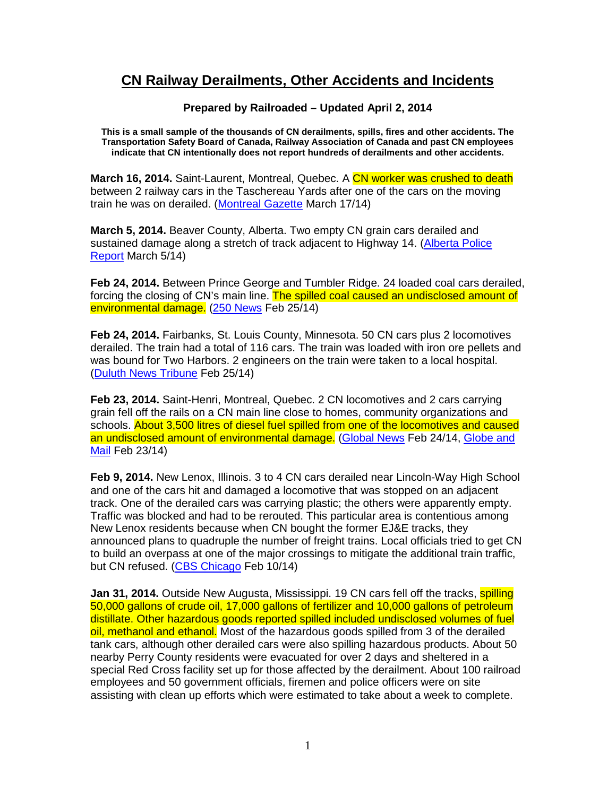## **CN Railway Derailments, Other Accidents and Incidents**

## **Prepared by Railroaded – Updated April 2, 2014**

**This is a small sample of the thousands of CN derailments, spills, fires and other accidents. The Transportation Safety Board of Canada, Railway Association of Canada and past CN employees indicate that CN intentionally does not report hundreds of derailments and other accidents.** 

**March 16, 2014.** Saint-Laurent, Montreal, Quebec. A CN worker was crushed to death between 2 railway cars in the Taschereau Yards after one of the cars on the moving train he was on derailed. (Montreal Gazette March 17/14)

**March 5, 2014.** Beaver County, Alberta. Two empty CN grain cars derailed and sustained damage along a stretch of track adjacent to Highway 14. (Alberta Police Report March 5/14)

**Feb 24, 2014.** Between Prince George and Tumbler Ridge. 24 loaded coal cars derailed, forcing the closing of CN's main line. The spilled coal caused an undisclosed amount of environmental damage. (250 News Feb 25/14)

**Feb 24, 2014.** Fairbanks, St. Louis County, Minnesota. 50 CN cars plus 2 locomotives derailed. The train had a total of 116 cars. The train was loaded with iron ore pellets and was bound for Two Harbors. 2 engineers on the train were taken to a local hospital. (Duluth News Tribune Feb 25/14)

**Feb 23, 2014.** Saint-Henri, Montreal, Quebec. 2 CN locomotives and 2 cars carrying grain fell off the rails on a CN main line close to homes, community organizations and schools. About 3,500 litres of diesel fuel spilled from one of the locomotives and caused an undisclosed amount of environmental damage. (Global News Feb 24/14, Globe and Mail Feb 23/14)

**Feb 9, 2014.** New Lenox, Illinois. 3 to 4 CN cars derailed near Lincoln-Way High School and one of the cars hit and damaged a locomotive that was stopped on an adjacent track. One of the derailed cars was carrying plastic; the others were apparently empty. Traffic was blocked and had to be rerouted. This particular area is contentious among New Lenox residents because when CN bought the former EJ&E tracks, they announced plans to quadruple the number of freight trains. Local officials tried to get CN to build an overpass at one of the major crossings to mitigate the additional train traffic, but CN refused. (CBS Chicago Feb 10/14)

**Jan 31, 2014.** Outside New Augusta, Mississippi. 19 CN cars fell off the tracks, **spilling** 50,000 gallons of crude oil, 17,000 gallons of fertilizer and 10,000 gallons of petroleum distillate. Other hazardous goods reported spilled included undisclosed volumes of fuel oil, methanol and ethanol. Most of the hazardous goods spilled from 3 of the derailed tank cars, although other derailed cars were also spilling hazardous products. About 50 nearby Perry County residents were evacuated for over 2 days and sheltered in a special Red Cross facility set up for those affected by the derailment. About 100 railroad employees and 50 government officials, firemen and police officers were on site assisting with clean up efforts which were estimated to take about a week to complete.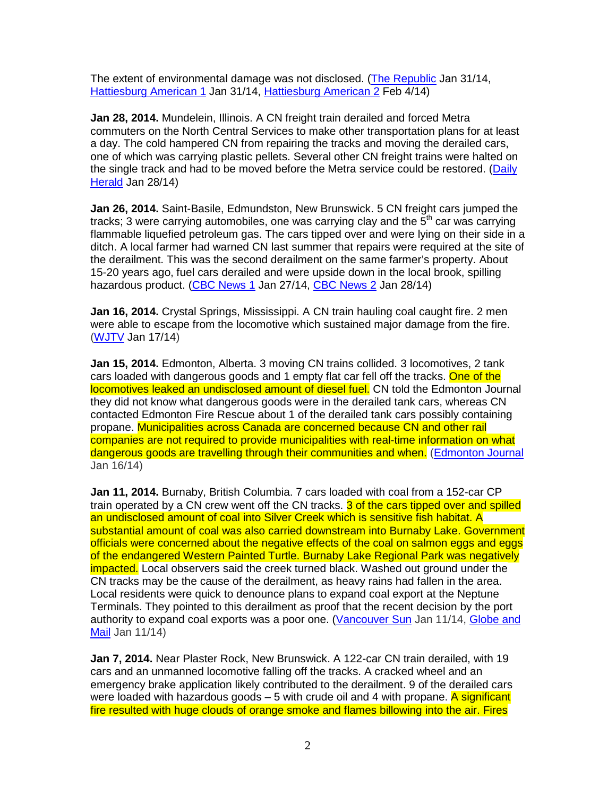The extent of environmental damage was not disclosed. (The Republic Jan 31/14, Hattiesburg American 1 Jan 31/14, Hattiesburg American 2 Feb 4/14)

**Jan 28, 2014.** Mundelein, Illinois. A CN freight train derailed and forced Metra commuters on the North Central Services to make other transportation plans for at least a day. The cold hampered CN from repairing the tracks and moving the derailed cars, one of which was carrying plastic pellets. Several other CN freight trains were halted on the single track and had to be moved before the Metra service could be restored. (Daily Herald Jan 28/14)

**Jan 26, 2014.** Saint-Basile, Edmundston, New Brunswick. 5 CN freight cars jumped the tracks; 3 were carrying automobiles, one was carrying clay and the  $5<sup>th</sup>$  car was carrying flammable liquefied petroleum gas. The cars tipped over and were lying on their side in a ditch. A local farmer had warned CN last summer that repairs were required at the site of the derailment. This was the second derailment on the same farmer's property. About 15-20 years ago, fuel cars derailed and were upside down in the local brook, spilling hazardous product. (CBC News 1 Jan 27/14, CBC News 2 Jan 28/14)

**Jan 16, 2014.** Crystal Springs, Mississippi. A CN train hauling coal caught fire. 2 men were able to escape from the locomotive which sustained major damage from the fire. (WJTV Jan 17/14)

**Jan 15, 2014.** Edmonton, Alberta. 3 moving CN trains collided. 3 locomotives, 2 tank cars loaded with dangerous goods and 1 empty flat car fell off the tracks. One of the locomotives leaked an undisclosed amount of diesel fuel. CN told the Edmonton Journal they did not know what dangerous goods were in the derailed tank cars, whereas CN contacted Edmonton Fire Rescue about 1 of the derailed tank cars possibly containing propane. Municipalities across Canada are concerned because CN and other rail companies are not required to provide municipalities with real-time information on what dangerous goods are travelling through their communities and when. (Edmonton Journal Jan 16/14)

**Jan 11, 2014.** Burnaby, British Columbia. 7 cars loaded with coal from a 152-car CP train operated by a CN crew went off the CN tracks. 3 of the cars tipped over and spilled an undisclosed amount of coal into Silver Creek which is sensitive fish habitat. A substantial amount of coal was also carried downstream into Burnaby Lake. Government officials were concerned about the negative effects of the coal on salmon eggs and eggs of the endangered Western Painted Turtle. Burnaby Lake Regional Park was negatively impacted. Local observers said the creek turned black. Washed out ground under the CN tracks may be the cause of the derailment, as heavy rains had fallen in the area. Local residents were quick to denounce plans to expand coal export at the Neptune Terminals. They pointed to this derailment as proof that the recent decision by the port authority to expand coal exports was a poor one. (Vancouver Sun Jan 11/14, Globe and Mail Jan 11/14)

**Jan 7, 2014.** Near Plaster Rock, New Brunswick. A 122-car CN train derailed, with 19 cars and an unmanned locomotive falling off the tracks. A cracked wheel and an emergency brake application likely contributed to the derailment. 9 of the derailed cars were loaded with hazardous goods  $-5$  with crude oil and 4 with propane. A significant fire resulted with huge clouds of orange smoke and flames billowing into the air. Fires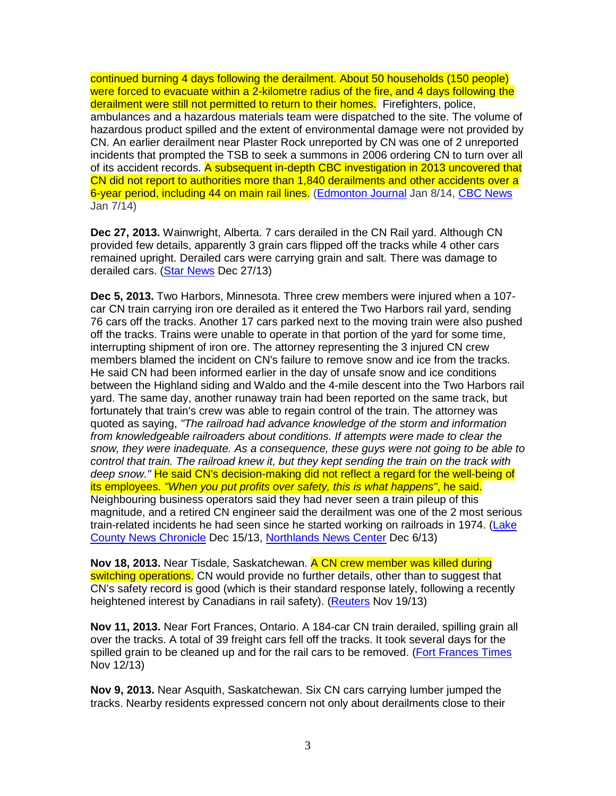continued burning 4 days following the derailment. About 50 households (150 people) were forced to evacuate within a 2-kilometre radius of the fire, and 4 days following the derailment were still not permitted to return to their homes. Firefighters, police, ambulances and a hazardous materials team were dispatched to the site. The volume of hazardous product spilled and the extent of environmental damage were not provided by CN. An earlier derailment near Plaster Rock unreported by CN was one of 2 unreported incidents that prompted the TSB to seek a summons in 2006 ordering CN to turn over all of its accident records. A subsequent in-depth CBC investigation in 2013 uncovered that CN did not report to authorities more than 1,840 derailments and other accidents over a 6-year period, including 44 on main rail lines. (Edmonton Journal Jan 8/14, CBC News Jan 7/14)

**Dec 27, 2013.** Wainwright, Alberta. 7 cars derailed in the CN Rail yard. Although CN provided few details, apparently 3 grain cars flipped off the tracks while 4 other cars remained upright. Derailed cars were carrying grain and salt. There was damage to derailed cars. (Star News Dec 27/13)

**Dec 5, 2013.** Two Harbors, Minnesota. Three crew members were injured when a 107 car CN train carrying iron ore derailed as it entered the Two Harbors rail yard, sending 76 cars off the tracks. Another 17 cars parked next to the moving train were also pushed off the tracks. Trains were unable to operate in that portion of the yard for some time, interrupting shipment of iron ore. The attorney representing the 3 injured CN crew members blamed the incident on CN's failure to remove snow and ice from the tracks. He said CN had been informed earlier in the day of unsafe snow and ice conditions between the Highland siding and Waldo and the 4-mile descent into the Two Harbors rail yard. The same day, another runaway train had been reported on the same track, but fortunately that train's crew was able to regain control of the train. The attorney was quoted as saying, "The railroad had advance knowledge of the storm and information from knowledgeable railroaders about conditions. If attempts were made to clear the snow, they were inadequate. As a consequence, these guys were not going to be able to control that train. The railroad knew it, but they kept sending the train on the track with deep snow." He said CN's decision-making did not reflect a regard for the well-being of its employees. "When you put profits over safety, this is what happens", he said. Neighbouring business operators said they had never seen a train pileup of this magnitude, and a retired CN engineer said the derailment was one of the 2 most serious train-related incidents he had seen since he started working on railroads in 1974. (Lake County News Chronicle Dec 15/13, Northlands News Center Dec 6/13)

**Nov 18, 2013.** Near Tisdale, Saskatchewan. A CN crew member was killed during switching operations. CN would provide no further details, other than to suggest that CN's safety record is good (which is their standard response lately, following a recently heightened interest by Canadians in rail safety). (Reuters Nov 19/13)

**Nov 11, 2013.** Near Fort Frances, Ontario. A 184-car CN train derailed, spilling grain all over the tracks. A total of 39 freight cars fell off the tracks. It took several days for the spilled grain to be cleaned up and for the rail cars to be removed. (Fort Frances Times Nov 12/13)

**Nov 9, 2013.** Near Asquith, Saskatchewan. Six CN cars carrying lumber jumped the tracks. Nearby residents expressed concern not only about derailments close to their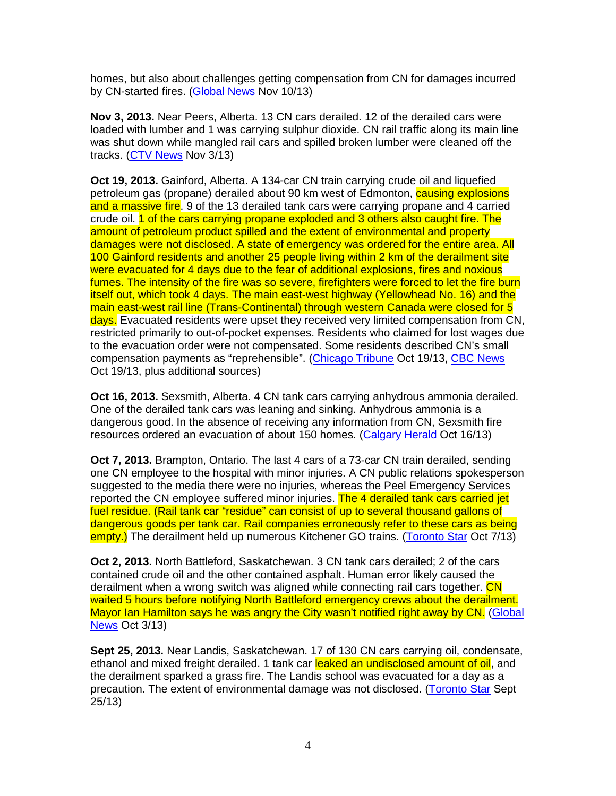homes, but also about challenges getting compensation from CN for damages incurred by CN-started fires. (Global News Nov 10/13)

**Nov 3, 2013.** Near Peers, Alberta. 13 CN cars derailed. 12 of the derailed cars were loaded with lumber and 1 was carrying sulphur dioxide. CN rail traffic along its main line was shut down while mangled rail cars and spilled broken lumber were cleaned off the tracks. (CTV News Nov 3/13)

**Oct 19, 2013.** Gainford, Alberta. A 134-car CN train carrying crude oil and liquefied petroleum gas (propane) derailed about 90 km west of Edmonton, **causing explosions** and a massive fire. 9 of the 13 derailed tank cars were carrying propane and 4 carried crude oil. 1 of the cars carrying propane exploded and 3 others also caught fire. The amount of petroleum product spilled and the extent of environmental and property damages were not disclosed. A state of emergency was ordered for the entire area. All 100 Gainford residents and another 25 people living within 2 km of the derailment site were evacuated for 4 days due to the fear of additional explosions, fires and noxious fumes. The intensity of the fire was so severe, firefighters were forced to let the fire burn itself out, which took 4 days. The main east-west highway (Yellowhead No. 16) and the main east-west rail line (Trans-Continental) through western Canada were closed for 5 days. Evacuated residents were upset they received very limited compensation from CN, restricted primarily to out-of-pocket expenses. Residents who claimed for lost wages due to the evacuation order were not compensated. Some residents described CN's small compensation payments as "reprehensible". (Chicago Tribune Oct 19/13, CBC News Oct 19/13, plus additional sources)

**Oct 16, 2013.** Sexsmith, Alberta. 4 CN tank cars carrying anhydrous ammonia derailed. One of the derailed tank cars was leaning and sinking. Anhydrous ammonia is a dangerous good. In the absence of receiving any information from CN, Sexsmith fire resources ordered an evacuation of about 150 homes. (Calgary Herald Oct 16/13)

**Oct 7, 2013.** Brampton, Ontario. The last 4 cars of a 73-car CN train derailed, sending one CN employee to the hospital with minor injuries. A CN public relations spokesperson suggested to the media there were no injuries, whereas the Peel Emergency Services reported the CN employee suffered minor injuries. The 4 derailed tank cars carried jet fuel residue. (Rail tank car "residue" can consist of up to several thousand gallons of dangerous goods per tank car. Rail companies erroneously refer to these cars as being empty.) The derailment held up numerous Kitchener GO trains. (Toronto Star Oct 7/13)

**Oct 2, 2013.** North Battleford, Saskatchewan. 3 CN tank cars derailed; 2 of the cars contained crude oil and the other contained asphalt. Human error likely caused the derailment when a wrong switch was aligned while connecting rail cars together. CN waited 5 hours before notifying North Battleford emergency crews about the derailment. Mayor Ian Hamilton says he was angry the City wasn't notified right away by CN. (Global News Oct 3/13)

**Sept 25, 2013.** Near Landis, Saskatchewan. 17 of 130 CN cars carrying oil, condensate, ethanol and mixed freight derailed. 1 tank car leaked an undisclosed amount of oil, and the derailment sparked a grass fire. The Landis school was evacuated for a day as a precaution. The extent of environmental damage was not disclosed. (Toronto Star Sept 25/13)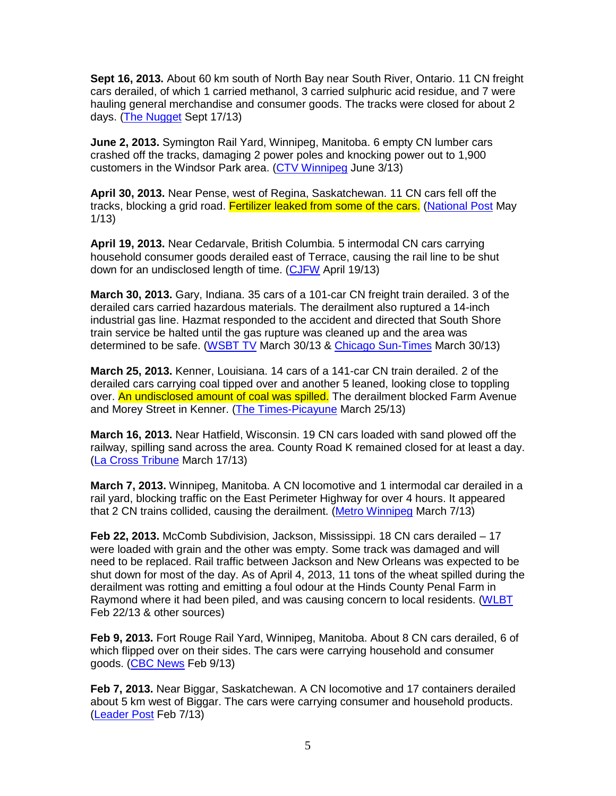**Sept 16, 2013.** About 60 km south of North Bay near South River, Ontario. 11 CN freight cars derailed, of which 1 carried methanol, 3 carried sulphuric acid residue, and 7 were hauling general merchandise and consumer goods. The tracks were closed for about 2 days. (The Nugget Sept 17/13)

**June 2, 2013.** Symington Rail Yard, Winnipeg, Manitoba. 6 empty CN lumber cars crashed off the tracks, damaging 2 power poles and knocking power out to 1,900 customers in the Windsor Park area. (CTV Winnipeg June 3/13)

**April 30, 2013.** Near Pense, west of Regina, Saskatchewan. 11 CN cars fell off the tracks, blocking a grid road. Fertilizer leaked from some of the cars. (National Post May 1/13)

**April 19, 2013.** Near Cedarvale, British Columbia. 5 intermodal CN cars carrying household consumer goods derailed east of Terrace, causing the rail line to be shut down for an undisclosed length of time. (CJFW April 19/13)

**March 30, 2013.** Gary, Indiana. 35 cars of a 101-car CN freight train derailed. 3 of the derailed cars carried hazardous materials. The derailment also ruptured a 14-inch industrial gas line. Hazmat responded to the accident and directed that South Shore train service be halted until the gas rupture was cleaned up and the area was determined to be safe. (WSBT TV March 30/13 & Chicago Sun-Times March 30/13)

**March 25, 2013.** Kenner, Louisiana. 14 cars of a 141-car CN train derailed. 2 of the derailed cars carrying coal tipped over and another 5 leaned, looking close to toppling over. An undisclosed amount of coal was spilled. The derailment blocked Farm Avenue and Morey Street in Kenner. (The Times-Picayune March 25/13)

**March 16, 2013.** Near Hatfield, Wisconsin. 19 CN cars loaded with sand plowed off the railway, spilling sand across the area. County Road K remained closed for at least a day. (La Cross Tribune March 17/13)

**March 7, 2013.** Winnipeg, Manitoba. A CN locomotive and 1 intermodal car derailed in a rail yard, blocking traffic on the East Perimeter Highway for over 4 hours. It appeared that 2 CN trains collided, causing the derailment. (Metro Winnipeg March 7/13)

Feb 22, 2013. McComb Subdivision, Jackson, Mississippi. 18 CN cars derailed - 17 were loaded with grain and the other was empty. Some track was damaged and will need to be replaced. Rail traffic between Jackson and New Orleans was expected to be shut down for most of the day. As of April 4, 2013, 11 tons of the wheat spilled during the derailment was rotting and emitting a foul odour at the Hinds County Penal Farm in Raymond where it had been piled, and was causing concern to local residents. (WLBT Feb 22/13 & other sources)

**Feb 9, 2013.** Fort Rouge Rail Yard, Winnipeg, Manitoba. About 8 CN cars derailed, 6 of which flipped over on their sides. The cars were carrying household and consumer goods. (CBC News Feb 9/13)

**Feb 7, 2013.** Near Biggar, Saskatchewan. A CN locomotive and 17 containers derailed about 5 km west of Biggar. The cars were carrying consumer and household products. (Leader Post Feb 7/13)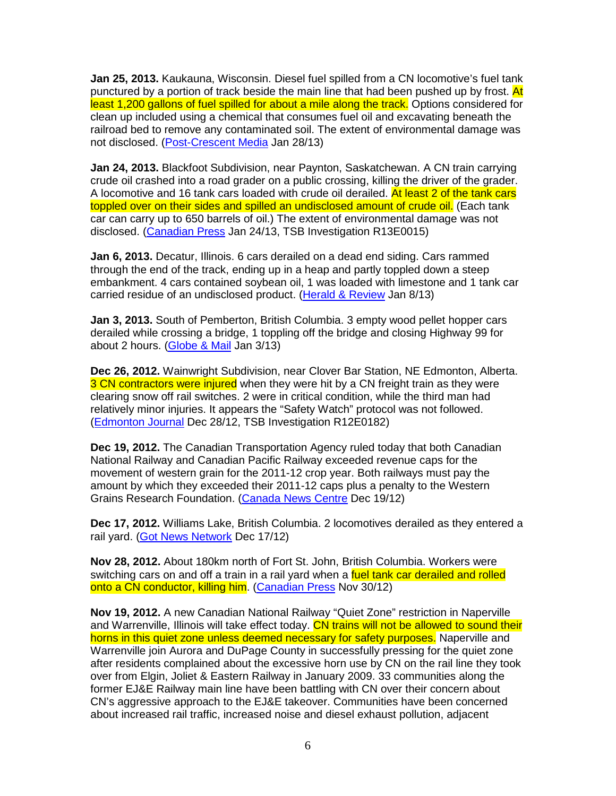**Jan 25, 2013.** Kaukauna, Wisconsin. Diesel fuel spilled from a CN locomotive's fuel tank punctured by a portion of track beside the main line that had been pushed up by frost. At least 1,200 gallons of fuel spilled for about a mile along the track. Options considered for clean up included using a chemical that consumes fuel oil and excavating beneath the railroad bed to remove any contaminated soil. The extent of environmental damage was not disclosed. (Post-Crescent Media Jan 28/13)

**Jan 24, 2013.** Blackfoot Subdivision, near Paynton, Saskatchewan. A CN train carrying crude oil crashed into a road grader on a public crossing, killing the driver of the grader. A locomotive and 16 tank cars loaded with crude oil derailed. At least 2 of the tank cars toppled over on their sides and spilled an undisclosed amount of crude oil. (Each tank car can carry up to 650 barrels of oil.) The extent of environmental damage was not disclosed. (Canadian Press Jan 24/13, TSB Investigation R13E0015)

**Jan 6, 2013.** Decatur, Illinois. 6 cars derailed on a dead end siding. Cars rammed through the end of the track, ending up in a heap and partly toppled down a steep embankment. 4 cars contained soybean oil, 1 was loaded with limestone and 1 tank car carried residue of an undisclosed product. (Herald & Review Jan 8/13)

**Jan 3, 2013.** South of Pemberton, British Columbia. 3 empty wood pellet hopper cars derailed while crossing a bridge, 1 toppling off the bridge and closing Highway 99 for about 2 hours. (Globe & Mail Jan 3/13)

**Dec 26, 2012.** Wainwright Subdivision, near Clover Bar Station, NE Edmonton, Alberta. 3 CN contractors were injured when they were hit by a CN freight train as they were clearing snow off rail switches. 2 were in critical condition, while the third man had relatively minor injuries. It appears the "Safety Watch" protocol was not followed. (Edmonton Journal Dec 28/12, TSB Investigation R12E0182)

**Dec 19, 2012.** The Canadian Transportation Agency ruled today that both Canadian National Railway and Canadian Pacific Railway exceeded revenue caps for the movement of western grain for the 2011-12 crop year. Both railways must pay the amount by which they exceeded their 2011-12 caps plus a penalty to the Western Grains Research Foundation. (Canada News Centre Dec 19/12)

**Dec 17, 2012.** Williams Lake, British Columbia. 2 locomotives derailed as they entered a rail yard. (Got News Network Dec 17/12)

**Nov 28, 2012.** About 180km north of Fort St. John, British Columbia. Workers were switching cars on and off a train in a rail yard when a fuel tank car derailed and rolled onto a CN conductor, killing him. (Canadian Press Nov 30/12)

**Nov 19, 2012.** A new Canadian National Railway "Quiet Zone" restriction in Naperville and Warrenville, Illinois will take effect today. CN trains will not be allowed to sound their horns in this quiet zone unless deemed necessary for safety purposes. Naperville and Warrenville join Aurora and DuPage County in successfully pressing for the quiet zone after residents complained about the excessive horn use by CN on the rail line they took over from Elgin, Joliet & Eastern Railway in January 2009. 33 communities along the former EJ&E Railway main line have been battling with CN over their concern about CN's aggressive approach to the EJ&E takeover. Communities have been concerned about increased rail traffic, increased noise and diesel exhaust pollution, adjacent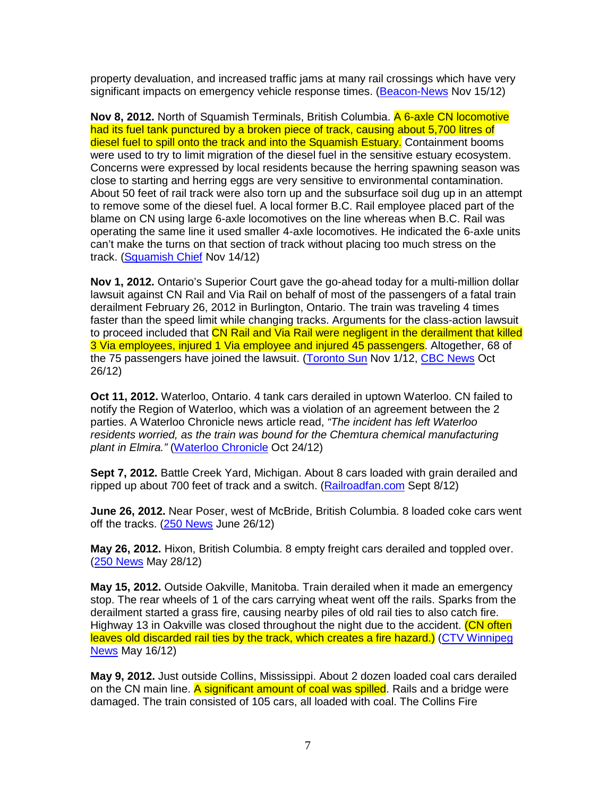property devaluation, and increased traffic jams at many rail crossings which have very significant impacts on emergency vehicle response times. (Beacon-News Nov 15/12)

**Nov 8, 2012.** North of Squamish Terminals, British Columbia. A 6-axle CN locomotive had its fuel tank punctured by a broken piece of track, causing about 5,700 litres of diesel fuel to spill onto the track and into the Squamish Estuary. Containment booms were used to try to limit migration of the diesel fuel in the sensitive estuary ecosystem. Concerns were expressed by local residents because the herring spawning season was close to starting and herring eggs are very sensitive to environmental contamination. About 50 feet of rail track were also torn up and the subsurface soil dug up in an attempt to remove some of the diesel fuel. A local former B.C. Rail employee placed part of the blame on CN using large 6-axle locomotives on the line whereas when B.C. Rail was operating the same line it used smaller 4-axle locomotives. He indicated the 6-axle units can't make the turns on that section of track without placing too much stress on the track. (Squamish Chief Nov 14/12)

**Nov 1, 2012.** Ontario's Superior Court gave the go-ahead today for a multi-million dollar lawsuit against CN Rail and Via Rail on behalf of most of the passengers of a fatal train derailment February 26, 2012 in Burlington, Ontario. The train was traveling 4 times faster than the speed limit while changing tracks. Arguments for the class-action lawsuit to proceed included that CN Rail and Via Rail were negligent in the derailment that killed 3 Via employees, injured 1 Via employee and injured 45 passengers. Altogether, 68 of the 75 passengers have joined the lawsuit. (Toronto Sun Nov 1/12, CBC News Oct 26/12)

**Oct 11, 2012.** Waterloo, Ontario. 4 tank cars derailed in uptown Waterloo. CN failed to notify the Region of Waterloo, which was a violation of an agreement between the 2 parties. A Waterloo Chronicle news article read, "The incident has left Waterloo residents worried, as the train was bound for the Chemtura chemical manufacturing plant in Elmira." (Waterloo Chronicle Oct 24/12)

**Sept 7, 2012.** Battle Creek Yard, Michigan. About 8 cars loaded with grain derailed and ripped up about 700 feet of track and a switch. (Railroadfan.com Sept 8/12)

**June 26, 2012.** Near Poser, west of McBride, British Columbia. 8 loaded coke cars went off the tracks. (250 News June 26/12)

**May 26, 2012.** Hixon, British Columbia. 8 empty freight cars derailed and toppled over. (250 News May 28/12)

**May 15, 2012.** Outside Oakville, Manitoba. Train derailed when it made an emergency stop. The rear wheels of 1 of the cars carrying wheat went off the rails. Sparks from the derailment started a grass fire, causing nearby piles of old rail ties to also catch fire. Highway 13 in Oakville was closed throughout the night due to the accident. (CN often leaves old discarded rail ties by the track, which creates a fire hazard.) (CTV Winnipeg News May 16/12)

**May 9, 2012.** Just outside Collins, Mississippi. About 2 dozen loaded coal cars derailed on the CN main line. A significant amount of coal was spilled. Rails and a bridge were damaged. The train consisted of 105 cars, all loaded with coal. The Collins Fire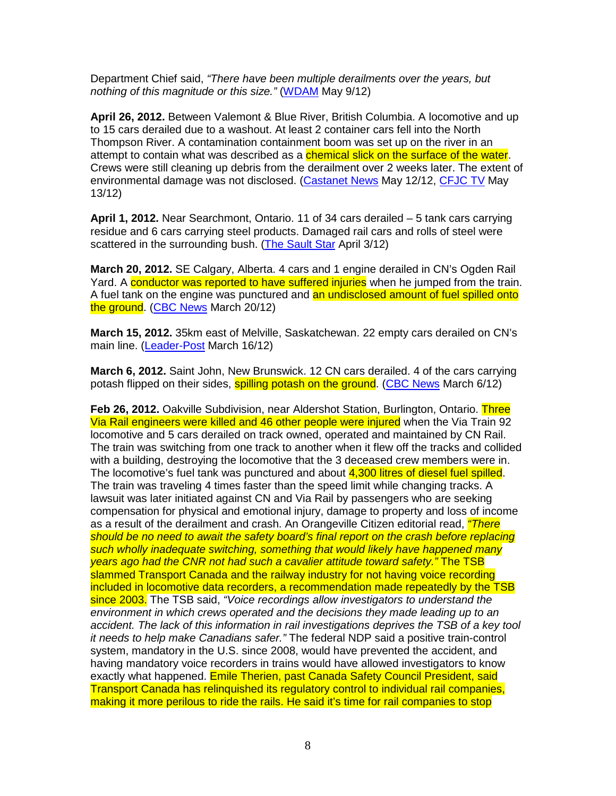Department Chief said, "There have been multiple derailments over the years, but nothing of this magnitude or this size." (WDAM May 9/12)

**April 26, 2012.** Between Valemont & Blue River, British Columbia. A locomotive and up to 15 cars derailed due to a washout. At least 2 container cars fell into the North Thompson River. A contamination containment boom was set up on the river in an attempt to contain what was described as a **chemical slick on the surface of the water**. Crews were still cleaning up debris from the derailment over 2 weeks later. The extent of environmental damage was not disclosed. (Castanet News May 12/12, CFJC TV May 13/12)

**April 1, 2012.** Near Searchmont, Ontario. 11 of 34 cars derailed – 5 tank cars carrying residue and 6 cars carrying steel products. Damaged rail cars and rolls of steel were scattered in the surrounding bush. (The Sault Star April 3/12)

**March 20, 2012.** SE Calgary, Alberta. 4 cars and 1 engine derailed in CN's Ogden Rail Yard. A conductor was reported to have suffered injuries when he jumped from the train. A fuel tank on the engine was punctured and an undisclosed amount of fuel spilled onto the ground. (CBC News March 20/12)

**March 15, 2012.** 35km east of Melville, Saskatchewan. 22 empty cars derailed on CN's main line. (Leader-Post March 16/12)

**March 6, 2012.** Saint John, New Brunswick. 12 CN cars derailed. 4 of the cars carrying potash flipped on their sides, **spilling potash on the ground.** (CBC News March 6/12)

Feb 26, 2012. Oakville Subdivision, near Aldershot Station, Burlington, Ontario. Three Via Rail engineers were killed and 46 other people were injured when the Via Train 92 locomotive and 5 cars derailed on track owned, operated and maintained by CN Rail. The train was switching from one track to another when it flew off the tracks and collided with a building, destroying the locomotive that the 3 deceased crew members were in. The locomotive's fuel tank was punctured and about 4,300 litres of diesel fuel spilled. The train was traveling 4 times faster than the speed limit while changing tracks. A lawsuit was later initiated against CN and Via Rail by passengers who are seeking compensation for physical and emotional injury, damage to property and loss of income as a result of the derailment and crash. An Orangeville Citizen editorial read, *"There* should be no need to await the safety board's final report on the crash before replacing such wholly inadequate switching, something that would likely have happened many years ago had the CNR not had such a cavalier attitude toward safety." The TSB slammed Transport Canada and the railway industry for not having voice recording included in locomotive data recorders, a recommendation made repeatedly by the TSB since 2003. The TSB said, "Voice recordings allow investigators to understand the environment in which crews operated and the decisions they made leading up to an accident. The lack of this information in rail investigations deprives the TSB of a key tool it needs to help make Canadians safer." The federal NDP said a positive train-control system, mandatory in the U.S. since 2008, would have prevented the accident, and having mandatory voice recorders in trains would have allowed investigators to know exactly what happened. Emile Therien, past Canada Safety Council President, said Transport Canada has relinquished its regulatory control to individual rail companies, making it more perilous to ride the rails. He said it's time for rail companies to stop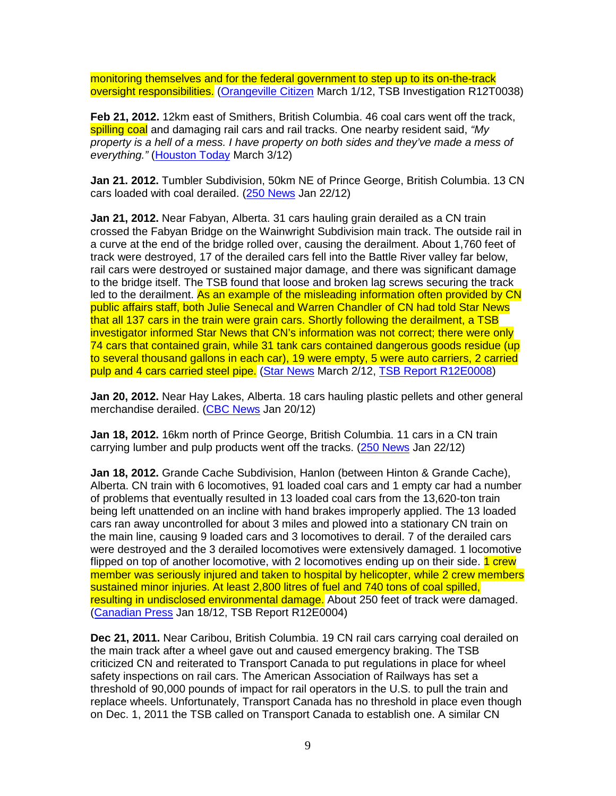monitoring themselves and for the federal government to step up to its on-the-track oversight responsibilities. (Orangeville Citizen March 1/12, TSB Investigation R12T0038)

**Feb 21, 2012.** 12km east of Smithers, British Columbia. 46 coal cars went off the track, spilling coal and damaging rail cars and rail tracks. One nearby resident said, "My property is a hell of a mess. I have property on both sides and they've made a mess of everything." (Houston Today March 3/12)

**Jan 21. 2012.** Tumbler Subdivision, 50km NE of Prince George, British Columbia. 13 CN cars loaded with coal derailed. (250 News Jan 22/12)

**Jan 21, 2012.** Near Fabyan, Alberta. 31 cars hauling grain derailed as a CN train crossed the Fabyan Bridge on the Wainwright Subdivision main track. The outside rail in a curve at the end of the bridge rolled over, causing the derailment. About 1,760 feet of track were destroyed, 17 of the derailed cars fell into the Battle River valley far below, rail cars were destroyed or sustained major damage, and there was significant damage to the bridge itself. The TSB found that loose and broken lag screws securing the track led to the derailment. As an example of the misleading information often provided by CN public affairs staff, both Julie Senecal and Warren Chandler of CN had told Star News that all 137 cars in the train were grain cars. Shortly following the derailment, a TSB investigator informed Star News that CN's information was not correct; there were only 74 cars that contained grain, while 31 tank cars contained dangerous goods residue (up to several thousand gallons in each car), 19 were empty, 5 were auto carriers, 2 carried pulp and 4 cars carried steel pipe. (Star News March 2/12, TSB Report R12E0008)

**Jan 20, 2012.** Near Hay Lakes, Alberta. 18 cars hauling plastic pellets and other general merchandise derailed. (CBC News Jan 20/12)

**Jan 18, 2012.** 16km north of Prince George, British Columbia. 11 cars in a CN train carrying lumber and pulp products went off the tracks. (250 News Jan 22/12)

**Jan 18, 2012.** Grande Cache Subdivision, Hanlon (between Hinton & Grande Cache), Alberta. CN train with 6 locomotives, 91 loaded coal cars and 1 empty car had a number of problems that eventually resulted in 13 loaded coal cars from the 13,620-ton train being left unattended on an incline with hand brakes improperly applied. The 13 loaded cars ran away uncontrolled for about 3 miles and plowed into a stationary CN train on the main line, causing 9 loaded cars and 3 locomotives to derail. 7 of the derailed cars were destroyed and the 3 derailed locomotives were extensively damaged. 1 locomotive flipped on top of another locomotive, with 2 locomotives ending up on their side. 1 crew member was seriously injured and taken to hospital by helicopter, while 2 crew members sustained minor injuries. At least 2,800 litres of fuel and 740 tons of coal spilled, resulting in undisclosed environmental damage. About 250 feet of track were damaged. (Canadian Press Jan 18/12, TSB Report R12E0004)

**Dec 21, 2011.** Near Caribou, British Columbia. 19 CN rail cars carrying coal derailed on the main track after a wheel gave out and caused emergency braking. The TSB criticized CN and reiterated to Transport Canada to put regulations in place for wheel safety inspections on rail cars. The American Association of Railways has set a threshold of 90,000 pounds of impact for rail operators in the U.S. to pull the train and replace wheels. Unfortunately, Transport Canada has no threshold in place even though on Dec. 1, 2011 the TSB called on Transport Canada to establish one. A similar CN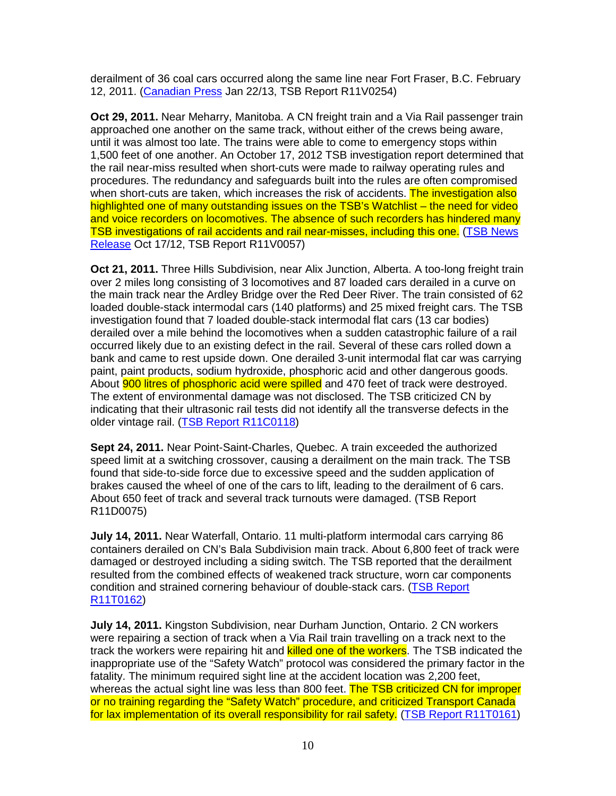derailment of 36 coal cars occurred along the same line near Fort Fraser, B.C. February 12, 2011. (Canadian Press Jan 22/13, TSB Report R11V0254)

**Oct 29, 2011.** Near Meharry, Manitoba. A CN freight train and a Via Rail passenger train approached one another on the same track, without either of the crews being aware, until it was almost too late. The trains were able to come to emergency stops within 1,500 feet of one another. An October 17, 2012 TSB investigation report determined that the rail near-miss resulted when short-cuts were made to railway operating rules and procedures. The redundancy and safeguards built into the rules are often compromised when short-cuts are taken, which increases the risk of accidents. The investigation also highlighted one of many outstanding issues on the TSB's Watchlist – the need for video and voice recorders on locomotives. The absence of such recorders has hindered many TSB investigations of rail accidents and rail near-misses, including this one. (TSB News Release Oct 17/12, TSB Report R11V0057)

**Oct 21, 2011.** Three Hills Subdivision, near Alix Junction, Alberta. A too-long freight train over 2 miles long consisting of 3 locomotives and 87 loaded cars derailed in a curve on the main track near the Ardley Bridge over the Red Deer River. The train consisted of 62 loaded double-stack intermodal cars (140 platforms) and 25 mixed freight cars. The TSB investigation found that 7 loaded double-stack intermodal flat cars (13 car bodies) derailed over a mile behind the locomotives when a sudden catastrophic failure of a rail occurred likely due to an existing defect in the rail. Several of these cars rolled down a bank and came to rest upside down. One derailed 3-unit intermodal flat car was carrying paint, paint products, sodium hydroxide, phosphoric acid and other dangerous goods. About **900 litres of phosphoric acid were spilled** and 470 feet of track were destroyed. The extent of environmental damage was not disclosed. The TSB criticized CN by indicating that their ultrasonic rail tests did not identify all the transverse defects in the older vintage rail. (TSB Report R11C0118)

**Sept 24, 2011.** Near Point-Saint-Charles, Quebec. A train exceeded the authorized speed limit at a switching crossover, causing a derailment on the main track. The TSB found that side-to-side force due to excessive speed and the sudden application of brakes caused the wheel of one of the cars to lift, leading to the derailment of 6 cars. About 650 feet of track and several track turnouts were damaged. (TSB Report R11D0075)

**July 14, 2011.** Near Waterfall, Ontario. 11 multi-platform intermodal cars carrying 86 containers derailed on CN's Bala Subdivision main track. About 6,800 feet of track were damaged or destroyed including a siding switch. The TSB reported that the derailment resulted from the combined effects of weakened track structure, worn car components condition and strained cornering behaviour of double-stack cars. (TSB Report R11T0162)

**July 14, 2011.** Kingston Subdivision, near Durham Junction, Ontario. 2 CN workers were repairing a section of track when a Via Rail train travelling on a track next to the track the workers were repairing hit and killed one of the workers. The TSB indicated the inappropriate use of the "Safety Watch" protocol was considered the primary factor in the fatality. The minimum required sight line at the accident location was 2,200 feet, whereas the actual sight line was less than 800 feet. The TSB criticized CN for improper or no training regarding the "Safety Watch" procedure, and criticized Transport Canada for lax implementation of its overall responsibility for rail safety. (TSB Report R11T0161)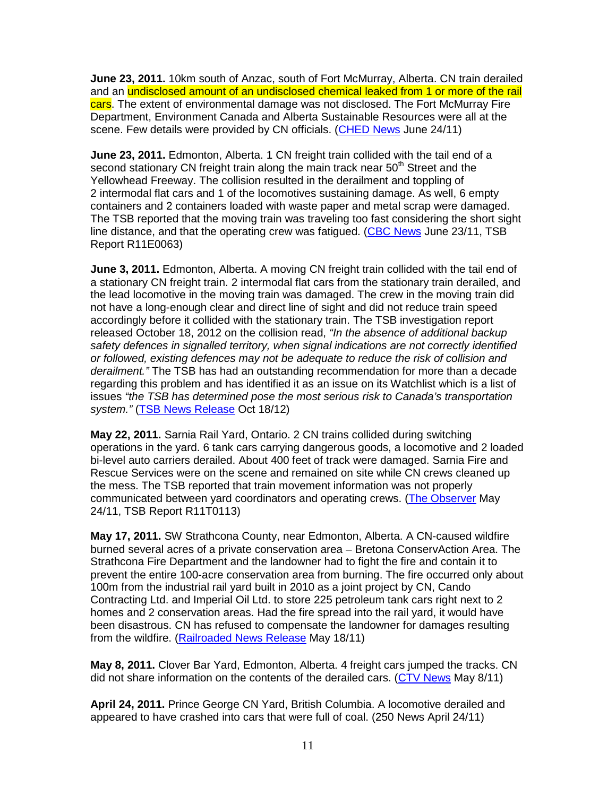**June 23, 2011.** 10km south of Anzac, south of Fort McMurray, Alberta. CN train derailed and an undisclosed amount of an undisclosed chemical leaked from 1 or more of the rail cars. The extent of environmental damage was not disclosed. The Fort McMurray Fire Department, Environment Canada and Alberta Sustainable Resources were all at the scene. Few details were provided by CN officials. (CHED News June 24/11)

**June 23, 2011.** Edmonton, Alberta. 1 CN freight train collided with the tail end of a second stationary CN freight train along the main track near 50<sup>th</sup> Street and the Yellowhead Freeway. The collision resulted in the derailment and toppling of 2 intermodal flat cars and 1 of the locomotives sustaining damage. As well, 6 empty containers and 2 containers loaded with waste paper and metal scrap were damaged. The TSB reported that the moving train was traveling too fast considering the short sight line distance, and that the operating crew was fatigued. (CBC News June 23/11, TSB Report R11E0063)

**June 3, 2011.** Edmonton, Alberta. A moving CN freight train collided with the tail end of a stationary CN freight train. 2 intermodal flat cars from the stationary train derailed, and the lead locomotive in the moving train was damaged. The crew in the moving train did not have a long-enough clear and direct line of sight and did not reduce train speed accordingly before it collided with the stationary train. The TSB investigation report released October 18, 2012 on the collision read, "In the absence of additional backup safety defences in signalled territory, when signal indications are not correctly identified or followed, existing defences may not be adequate to reduce the risk of collision and derailment." The TSB has had an outstanding recommendation for more than a decade regarding this problem and has identified it as an issue on its Watchlist which is a list of issues "the TSB has determined pose the most serious risk to Canada's transportation system." (TSB News Release Oct 18/12)

**May 22, 2011.** Sarnia Rail Yard, Ontario. 2 CN trains collided during switching operations in the yard. 6 tank cars carrying dangerous goods, a locomotive and 2 loaded bi-level auto carriers derailed. About 400 feet of track were damaged. Sarnia Fire and Rescue Services were on the scene and remained on site while CN crews cleaned up the mess. The TSB reported that train movement information was not properly communicated between yard coordinators and operating crews. (The Observer May 24/11, TSB Report R11T0113)

**May 17, 2011.** SW Strathcona County, near Edmonton, Alberta. A CN-caused wildfire burned several acres of a private conservation area – Bretona ConservAction Area. The Strathcona Fire Department and the landowner had to fight the fire and contain it to prevent the entire 100-acre conservation area from burning. The fire occurred only about 100m from the industrial rail yard built in 2010 as a joint project by CN, Cando Contracting Ltd. and Imperial Oil Ltd. to store 225 petroleum tank cars right next to 2 homes and 2 conservation areas. Had the fire spread into the rail yard, it would have been disastrous. CN has refused to compensate the landowner for damages resulting from the wildfire. (Railroaded News Release May 18/11)

**May 8, 2011.** Clover Bar Yard, Edmonton, Alberta. 4 freight cars jumped the tracks. CN did not share information on the contents of the derailed cars. (CTV News May 8/11)

**April 24, 2011.** Prince George CN Yard, British Columbia. A locomotive derailed and appeared to have crashed into cars that were full of coal. (250 News April 24/11)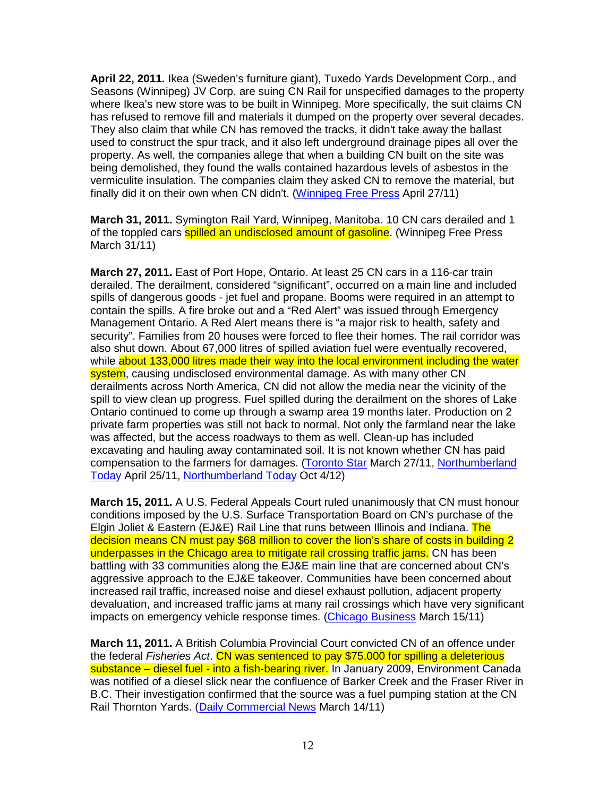**April 22, 2011.** Ikea (Sweden's furniture giant), Tuxedo Yards Development Corp., and Seasons (Winnipeg) JV Corp. are suing CN Rail for unspecified damages to the property where Ikea's new store was to be built in Winnipeg. More specifically, the suit claims CN has refused to remove fill and materials it dumped on the property over several decades. They also claim that while CN has removed the tracks, it didn't take away the ballast used to construct the spur track, and it also left underground drainage pipes all over the property. As well, the companies allege that when a building CN built on the site was being demolished, they found the walls contained hazardous levels of asbestos in the vermiculite insulation. The companies claim they asked CN to remove the material, but finally did it on their own when CN didn't. (Winnipeg Free Press April 27/11)

**March 31, 2011.** Symington Rail Yard, Winnipeg, Manitoba. 10 CN cars derailed and 1 of the toppled cars **spilled an undisclosed amount of gasoline**. (Winnipeg Free Press March 31/11)

**March 27, 2011.** East of Port Hope, Ontario. At least 25 CN cars in a 116-car train derailed. The derailment, considered "significant", occurred on a main line and included spills of dangerous goods - jet fuel and propane. Booms were required in an attempt to contain the spills. A fire broke out and a "Red Alert" was issued through Emergency Management Ontario. A Red Alert means there is "a major risk to health, safety and security". Families from 20 houses were forced to flee their homes. The rail corridor was also shut down. About 67,000 litres of spilled aviation fuel were eventually recovered, while about 133,000 litres made their way into the local environment including the water system, causing undisclosed environmental damage. As with many other CN derailments across North America, CN did not allow the media near the vicinity of the spill to view clean up progress. Fuel spilled during the derailment on the shores of Lake Ontario continued to come up through a swamp area 19 months later. Production on 2 private farm properties was still not back to normal. Not only the farmland near the lake was affected, but the access roadways to them as well. Clean-up has included excavating and hauling away contaminated soil. It is not known whether CN has paid compensation to the farmers for damages. (Toronto Star March 27/11, Northumberland Today April 25/11, Northumberland Today Oct 4/12)

**March 15, 2011.** A U.S. Federal Appeals Court ruled unanimously that CN must honour conditions imposed by the U.S. Surface Transportation Board on CN's purchase of the Elgin Joliet & Eastern (EJ&E) Rail Line that runs between Illinois and Indiana. The decision means CN must pay \$68 million to cover the lion's share of costs in building 2 underpasses in the Chicago area to mitigate rail crossing traffic jams. CN has been battling with 33 communities along the EJ&E main line that are concerned about CN's aggressive approach to the EJ&E takeover. Communities have been concerned about increased rail traffic, increased noise and diesel exhaust pollution, adjacent property devaluation, and increased traffic jams at many rail crossings which have very significant impacts on emergency vehicle response times. (Chicago Business March 15/11)

**March 11, 2011.** A British Columbia Provincial Court convicted CN of an offence under the federal Fisheries Act. CN was sentenced to pay \$75,000 for spilling a deleterious substance – diesel fuel - into a fish-bearing river. In January 2009, Environment Canada was notified of a diesel slick near the confluence of Barker Creek and the Fraser River in B.C. Their investigation confirmed that the source was a fuel pumping station at the CN Rail Thornton Yards. (Daily Commercial News March 14/11)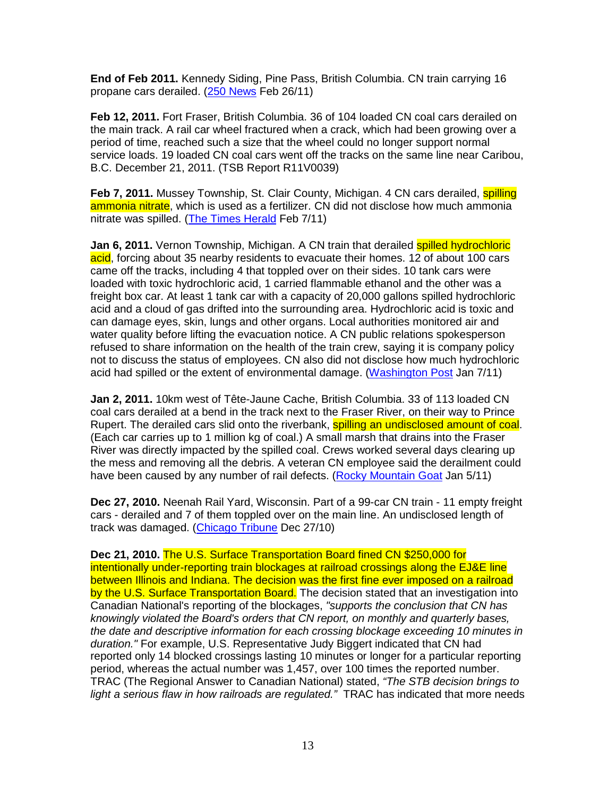**End of Feb 2011.** Kennedy Siding, Pine Pass, British Columbia. CN train carrying 16 propane cars derailed. (250 News Feb 26/11)

**Feb 12, 2011.** Fort Fraser, British Columbia. 36 of 104 loaded CN coal cars derailed on the main track. A rail car wheel fractured when a crack, which had been growing over a period of time, reached such a size that the wheel could no longer support normal service loads. 19 loaded CN coal cars went off the tracks on the same line near Caribou, B.C. December 21, 2011. (TSB Report R11V0039)

**Feb 7, 2011.** Mussey Township, St. Clair County, Michigan. 4 CN cars derailed, **spilling** ammonia nitrate, which is used as a fertilizer. CN did not disclose how much ammonia nitrate was spilled. (The Times Herald Feb 7/11)

**Jan 6, 2011.** Vernon Township, Michigan. A CN train that derailed spilled hydrochloric acid, forcing about 35 nearby residents to evacuate their homes. 12 of about 100 cars came off the tracks, including 4 that toppled over on their sides. 10 tank cars were loaded with toxic hydrochloric acid, 1 carried flammable ethanol and the other was a freight box car. At least 1 tank car with a capacity of 20,000 gallons spilled hydrochloric acid and a cloud of gas drifted into the surrounding area. Hydrochloric acid is toxic and can damage eyes, skin, lungs and other organs. Local authorities monitored air and water quality before lifting the evacuation notice. A CN public relations spokesperson refused to share information on the health of the train crew, saying it is company policy not to discuss the status of employees. CN also did not disclose how much hydrochloric acid had spilled or the extent of environmental damage. (Washington Post Jan 7/11)

**Jan 2, 2011.** 10km west of Tête-Jaune Cache, British Columbia. 33 of 113 loaded CN coal cars derailed at a bend in the track next to the Fraser River, on their way to Prince Rupert. The derailed cars slid onto the riverbank, spilling an undisclosed amount of coal. (Each car carries up to 1 million kg of coal.) A small marsh that drains into the Fraser River was directly impacted by the spilled coal. Crews worked several days clearing up the mess and removing all the debris. A veteran CN employee said the derailment could have been caused by any number of rail defects. (Rocky Mountain Goat Jan 5/11)

**Dec 27, 2010.** Neenah Rail Yard, Wisconsin. Part of a 99-car CN train - 11 empty freight cars - derailed and 7 of them toppled over on the main line. An undisclosed length of track was damaged. (Chicago Tribune Dec 27/10)

**Dec 21, 2010.** The U.S. Surface Transportation Board fined CN \$250,000 for intentionally under-reporting train blockages at railroad crossings along the EJ&E line between Illinois and Indiana. The decision was the first fine ever imposed on a railroad by the U.S. Surface Transportation Board. The decision stated that an investigation into Canadian National's reporting of the blockages, "supports the conclusion that CN has knowingly violated the Board's orders that CN report, on monthly and quarterly bases, the date and descriptive information for each crossing blockage exceeding 10 minutes in duration." For example, U.S. Representative Judy Biggert indicated that CN had reported only 14 blocked crossings lasting 10 minutes or longer for a particular reporting period, whereas the actual number was 1,457, over 100 times the reported number. TRAC (The Regional Answer to Canadian National) stated, "The STB decision brings to light a serious flaw in how railroads are regulated." TRAC has indicated that more needs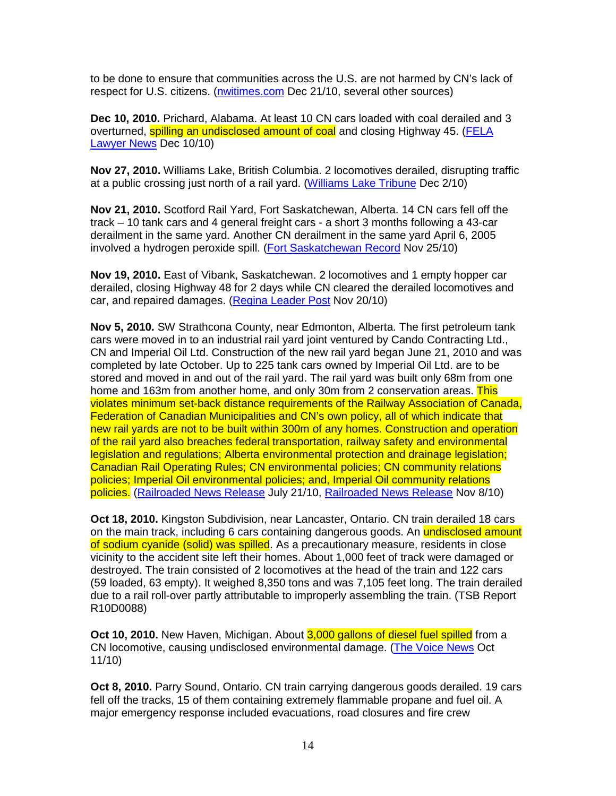to be done to ensure that communities across the U.S. are not harmed by CN's lack of respect for U.S. citizens. (nwitimes.com Dec 21/10, several other sources)

**Dec 10, 2010.** Prichard, Alabama. At least 10 CN cars loaded with coal derailed and 3 overturned, spilling an undisclosed amount of coal and closing Highway 45. (FELA Lawyer News Dec 10/10)

**Nov 27, 2010.** Williams Lake, British Columbia. 2 locomotives derailed, disrupting traffic at a public crossing just north of a rail yard. (Williams Lake Tribune Dec 2/10)

**Nov 21, 2010.** Scotford Rail Yard, Fort Saskatchewan, Alberta. 14 CN cars fell off the track – 10 tank cars and 4 general freight cars - a short 3 months following a 43-car derailment in the same yard. Another CN derailment in the same yard April 6, 2005 involved a hydrogen peroxide spill. (Fort Saskatchewan Record Nov 25/10)

**Nov 19, 2010.** East of Vibank, Saskatchewan. 2 locomotives and 1 empty hopper car derailed, closing Highway 48 for 2 days while CN cleared the derailed locomotives and car, and repaired damages. (Regina Leader Post Nov 20/10)

**Nov 5, 2010.** SW Strathcona County, near Edmonton, Alberta. The first petroleum tank cars were moved in to an industrial rail yard joint ventured by Cando Contracting Ltd., CN and Imperial Oil Ltd. Construction of the new rail yard began June 21, 2010 and was completed by late October. Up to 225 tank cars owned by Imperial Oil Ltd. are to be stored and moved in and out of the rail yard. The rail yard was built only 68m from one home and 163m from another home, and only 30m from 2 conservation areas. This violates minimum set-back distance requirements of the Railway Association of Canada, Federation of Canadian Municipalities and CN's own policy, all of which indicate that new rail yards are not to be built within 300m of any homes. Construction and operation of the rail yard also breaches federal transportation, railway safety and environmental legislation and regulations; Alberta environmental protection and drainage legislation; Canadian Rail Operating Rules; CN environmental policies; CN community relations policies; Imperial Oil environmental policies; and, Imperial Oil community relations policies. (Railroaded News Release July 21/10, Railroaded News Release Nov 8/10)

**Oct 18, 2010.** Kingston Subdivision, near Lancaster, Ontario. CN train derailed 18 cars on the main track, including 6 cars containing dangerous goods. An undisclosed amount of sodium cyanide (solid) was spilled. As a precautionary measure, residents in close vicinity to the accident site left their homes. About 1,000 feet of track were damaged or destroyed. The train consisted of 2 locomotives at the head of the train and 122 cars (59 loaded, 63 empty). It weighed 8,350 tons and was 7,105 feet long. The train derailed due to a rail roll-over partly attributable to improperly assembling the train. (TSB Report R10D0088)

**Oct 10, 2010.** New Haven, Michigan. About 3,000 gallons of diesel fuel spilled from a CN locomotive, causing undisclosed environmental damage. (The Voice News Oct 11/10)

**Oct 8, 2010.** Parry Sound, Ontario. CN train carrying dangerous goods derailed. 19 cars fell off the tracks, 15 of them containing extremely flammable propane and fuel oil. A major emergency response included evacuations, road closures and fire crew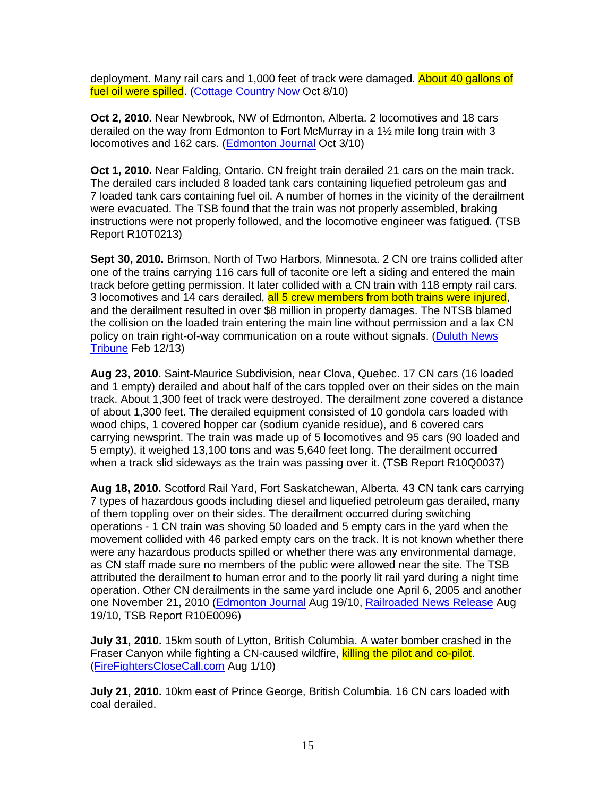deployment. Many rail cars and 1,000 feet of track were damaged. About 40 gallons of fuel oil were spilled. (Cottage Country Now Oct 8/10)

**Oct 2, 2010.** Near Newbrook, NW of Edmonton, Alberta. 2 locomotives and 18 cars derailed on the way from Edmonton to Fort McMurray in a 1½ mile long train with 3 locomotives and 162 cars. (**Edmonton Journal Oct 3/10**)

**Oct 1, 2010.** Near Falding, Ontario. CN freight train derailed 21 cars on the main track. The derailed cars included 8 loaded tank cars containing liquefied petroleum gas and 7 loaded tank cars containing fuel oil. A number of homes in the vicinity of the derailment were evacuated. The TSB found that the train was not properly assembled, braking instructions were not properly followed, and the locomotive engineer was fatigued. (TSB Report R10T0213)

**Sept 30, 2010.** Brimson, North of Two Harbors, Minnesota. 2 CN ore trains collided after one of the trains carrying 116 cars full of taconite ore left a siding and entered the main track before getting permission. It later collided with a CN train with 118 empty rail cars. 3 locomotives and 14 cars derailed, all 5 crew members from both trains were injured, and the derailment resulted in over \$8 million in property damages. The NTSB blamed the collision on the loaded train entering the main line without permission and a lax CN policy on train right-of-way communication on a route without signals. (Duluth News Tribune Feb 12/13)

**Aug 23, 2010.** Saint-Maurice Subdivision, near Clova, Quebec. 17 CN cars (16 loaded and 1 empty) derailed and about half of the cars toppled over on their sides on the main track. About 1,300 feet of track were destroyed. The derailment zone covered a distance of about 1,300 feet. The derailed equipment consisted of 10 gondola cars loaded with wood chips, 1 covered hopper car (sodium cyanide residue), and 6 covered cars carrying newsprint. The train was made up of 5 locomotives and 95 cars (90 loaded and 5 empty), it weighed 13,100 tons and was 5,640 feet long. The derailment occurred when a track slid sideways as the train was passing over it. (TSB Report R10Q0037)

**Aug 18, 2010.** Scotford Rail Yard, Fort Saskatchewan, Alberta. 43 CN tank cars carrying 7 types of hazardous goods including diesel and liquefied petroleum gas derailed, many of them toppling over on their sides. The derailment occurred during switching operations - 1 CN train was shoving 50 loaded and 5 empty cars in the yard when the movement collided with 46 parked empty cars on the track. It is not known whether there were any hazardous products spilled or whether there was any environmental damage, as CN staff made sure no members of the public were allowed near the site. The TSB attributed the derailment to human error and to the poorly lit rail yard during a night time operation. Other CN derailments in the same yard include one April 6, 2005 and another one November 21, 2010 (Edmonton Journal Aug 19/10, Railroaded News Release Aug 19/10, TSB Report R10E0096)

**July 31, 2010.** 15km south of Lytton, British Columbia. A water bomber crashed in the Fraser Canyon while fighting a CN-caused wildfire, killing the pilot and co-pilot. (FireFightersCloseCall.com Aug 1/10)

**July 21, 2010.** 10km east of Prince George, British Columbia. 16 CN cars loaded with coal derailed.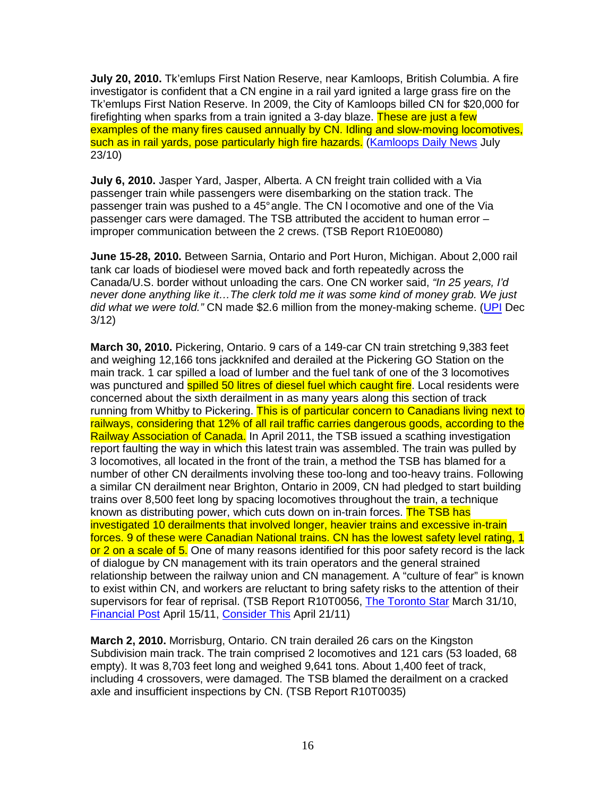**July 20, 2010.** Tk'emlups First Nation Reserve, near Kamloops, British Columbia. A fire investigator is confident that a CN engine in a rail yard ignited a large grass fire on the Tk'emlups First Nation Reserve. In 2009, the City of Kamloops billed CN for \$20,000 for firefighting when sparks from a train ignited a 3-day blaze. These are just a few examples of the many fires caused annually by CN. Idling and slow-moving locomotives, such as in rail yards, pose particularly high fire hazards. (Kamloops Daily News July 23/10)

**July 6, 2010.** Jasper Yard, Jasper, Alberta. A CN freight train collided with a Via passenger train while passengers were disembarking on the station track. The passenger train was pushed to a 45° angle. The CN l ocomotive and one of the Via passenger cars were damaged. The TSB attributed the accident to human error – improper communication between the 2 crews. (TSB Report R10E0080)

**June 15-28, 2010.** Between Sarnia, Ontario and Port Huron, Michigan. About 2,000 rail tank car loads of biodiesel were moved back and forth repeatedly across the Canada/U.S. border without unloading the cars. One CN worker said, "In 25 years, I'd never done anything like it…The clerk told me it was some kind of money grab. We just did what we were told." CN made \$2.6 million from the money-making scheme. (UPI Dec 3/12)

**March 30, 2010.** Pickering, Ontario. 9 cars of a 149-car CN train stretching 9,383 feet and weighing 12,166 tons jackknifed and derailed at the Pickering GO Station on the main track. 1 car spilled a load of lumber and the fuel tank of one of the 3 locomotives was punctured and **spilled 50 litres of diesel fuel which caught fire**. Local residents were concerned about the sixth derailment in as many years along this section of track running from Whitby to Pickering. This is of particular concern to Canadians living next to railways, considering that 12% of all rail traffic carries dangerous goods, according to the Railway Association of Canada. In April 2011, the TSB issued a scathing investigation report faulting the way in which this latest train was assembled. The train was pulled by 3 locomotives, all located in the front of the train, a method the TSB has blamed for a number of other CN derailments involving these too-long and too-heavy trains. Following a similar CN derailment near Brighton, Ontario in 2009, CN had pledged to start building trains over 8,500 feet long by spacing locomotives throughout the train, a technique known as distributing power, which cuts down on in-train forces. The TSB has investigated 10 derailments that involved longer, heavier trains and excessive in-train forces. 9 of these were Canadian National trains. CN has the lowest safety level rating, 1 or 2 on a scale of 5. One of many reasons identified for this poor safety record is the lack of dialogue by CN management with its train operators and the general strained relationship between the railway union and CN management. A "culture of fear" is known to exist within CN, and workers are reluctant to bring safety risks to the attention of their supervisors for fear of reprisal. (TSB Report R10T0056, The Toronto Star March 31/10, Financial Post April 15/11, Consider This April 21/11)

**March 2, 2010.** Morrisburg, Ontario. CN train derailed 26 cars on the Kingston Subdivision main track. The train comprised 2 locomotives and 121 cars (53 loaded, 68 empty). It was 8,703 feet long and weighed 9,641 tons. About 1,400 feet of track, including 4 crossovers, were damaged. The TSB blamed the derailment on a cracked axle and insufficient inspections by CN. (TSB Report R10T0035)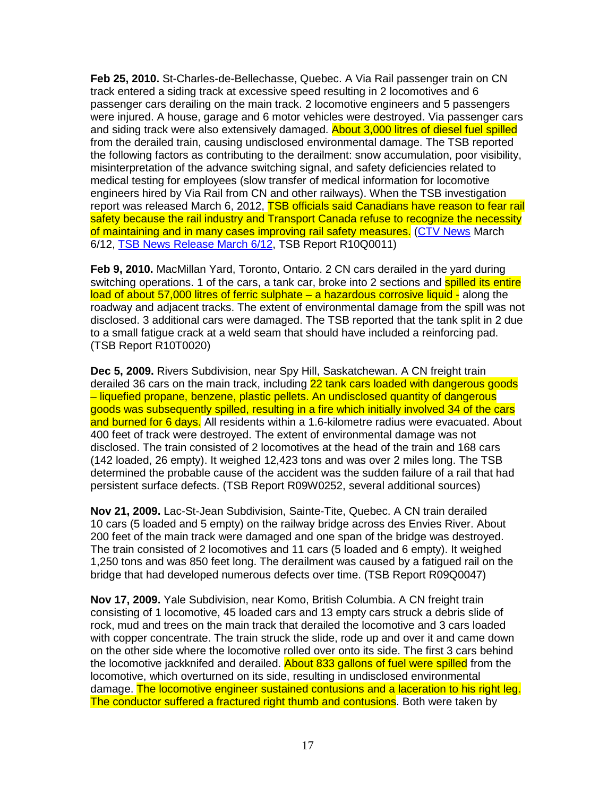**Feb 25, 2010.** St-Charles-de-Bellechasse, Quebec. A Via Rail passenger train on CN track entered a siding track at excessive speed resulting in 2 locomotives and 6 passenger cars derailing on the main track. 2 locomotive engineers and 5 passengers were injured. A house, garage and 6 motor vehicles were destroyed. Via passenger cars and siding track were also extensively damaged. **About 3,000 litres of diesel fuel spilled** from the derailed train, causing undisclosed environmental damage. The TSB reported the following factors as contributing to the derailment: snow accumulation, poor visibility, misinterpretation of the advance switching signal, and safety deficiencies related to medical testing for employees (slow transfer of medical information for locomotive engineers hired by Via Rail from CN and other railways). When the TSB investigation report was released March 6, 2012, TSB officials said Canadians have reason to fear rail safety because the rail industry and Transport Canada refuse to recognize the necessity of maintaining and in many cases improving rail safety measures. (CTV News March 6/12, TSB News Release March 6/12, TSB Report R10Q0011)

**Feb 9, 2010.** MacMillan Yard, Toronto, Ontario. 2 CN cars derailed in the yard during switching operations. 1 of the cars, a tank car, broke into 2 sections and **spilled its entire** load of about 57,000 litres of ferric sulphate – a hazardous corrosive liquid - along the roadway and adjacent tracks. The extent of environmental damage from the spill was not disclosed. 3 additional cars were damaged. The TSB reported that the tank split in 2 due to a small fatigue crack at a weld seam that should have included a reinforcing pad. (TSB Report R10T0020)

**Dec 5, 2009.** Rivers Subdivision, near Spy Hill, Saskatchewan. A CN freight train derailed 36 cars on the main track, including 22 tank cars loaded with dangerous goods – liquefied propane, benzene, plastic pellets. An undisclosed quantity of dangerous goods was subsequently spilled, resulting in a fire which initially involved 34 of the cars and burned for 6 days. All residents within a 1.6-kilometre radius were evacuated. About 400 feet of track were destroyed. The extent of environmental damage was not disclosed. The train consisted of 2 locomotives at the head of the train and 168 cars (142 loaded, 26 empty). It weighed 12,423 tons and was over 2 miles long. The TSB determined the probable cause of the accident was the sudden failure of a rail that had persistent surface defects. (TSB Report R09W0252, several additional sources)

**Nov 21, 2009.** Lac-St-Jean Subdivision, Sainte-Tite, Quebec. A CN train derailed 10 cars (5 loaded and 5 empty) on the railway bridge across des Envies River. About 200 feet of the main track were damaged and one span of the bridge was destroyed. The train consisted of 2 locomotives and 11 cars (5 loaded and 6 empty). It weighed 1,250 tons and was 850 feet long. The derailment was caused by a fatigued rail on the bridge that had developed numerous defects over time. (TSB Report R09Q0047)

**Nov 17, 2009.** Yale Subdivision, near Komo, British Columbia. A CN freight train consisting of 1 locomotive, 45 loaded cars and 13 empty cars struck a debris slide of rock, mud and trees on the main track that derailed the locomotive and 3 cars loaded with copper concentrate. The train struck the slide, rode up and over it and came down on the other side where the locomotive rolled over onto its side. The first 3 cars behind the locomotive jackknifed and derailed. About 833 gallons of fuel were spilled from the locomotive, which overturned on its side, resulting in undisclosed environmental damage. The locomotive engineer sustained contusions and a laceration to his right leg. The conductor suffered a fractured right thumb and contusions. Both were taken by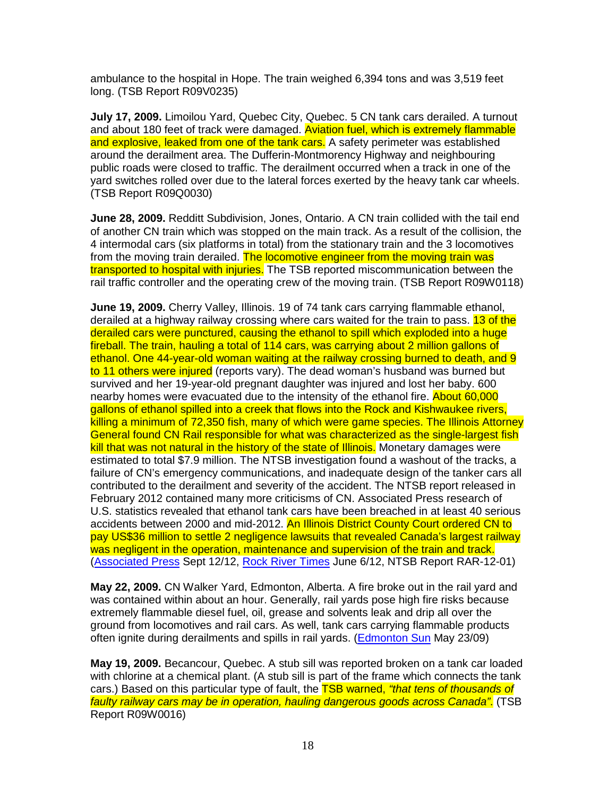ambulance to the hospital in Hope. The train weighed 6,394 tons and was 3,519 feet long. (TSB Report R09V0235)

**July 17, 2009.** Limoilou Yard, Quebec City, Quebec. 5 CN tank cars derailed. A turnout and about 180 feet of track were damaged. Aviation fuel, which is extremely flammable and explosive, leaked from one of the tank cars. A safety perimeter was established around the derailment area. The Dufferin-Montmorency Highway and neighbouring public roads were closed to traffic. The derailment occurred when a track in one of the yard switches rolled over due to the lateral forces exerted by the heavy tank car wheels. (TSB Report R09Q0030)

**June 28, 2009.** Redditt Subdivision, Jones, Ontario. A CN train collided with the tail end of another CN train which was stopped on the main track. As a result of the collision, the 4 intermodal cars (six platforms in total) from the stationary train and the 3 locomotives from the moving train derailed. The locomotive engineer from the moving train was transported to hospital with injuries. The TSB reported miscommunication between the rail traffic controller and the operating crew of the moving train. (TSB Report R09W0118)

**June 19, 2009.** Cherry Valley, Illinois. 19 of 74 tank cars carrying flammable ethanol, derailed at a highway railway crossing where cars waited for the train to pass. 13 of the derailed cars were punctured, causing the ethanol to spill which exploded into a huge fireball. The train, hauling a total of 114 cars, was carrying about 2 million gallons of ethanol. One 44-year-old woman waiting at the railway crossing burned to death, and 9 to 11 others were injured (reports vary). The dead woman's husband was burned but survived and her 19-year-old pregnant daughter was injured and lost her baby. 600 nearby homes were evacuated due to the intensity of the ethanol fire. About 60,000 gallons of ethanol spilled into a creek that flows into the Rock and Kishwaukee rivers, killing a minimum of 72,350 fish, many of which were game species. The Illinois Attorney General found CN Rail responsible for what was characterized as the single-largest fish kill that was not natural in the history of the state of Illinois. Monetary damages were estimated to total \$7.9 million. The NTSB investigation found a washout of the tracks, a failure of CN's emergency communications, and inadequate design of the tanker cars all contributed to the derailment and severity of the accident. The NTSB report released in February 2012 contained many more criticisms of CN. Associated Press research of U.S. statistics revealed that ethanol tank cars have been breached in at least 40 serious accidents between 2000 and mid-2012. An Illinois District County Court ordered CN to pay US\$36 million to settle 2 negligence lawsuits that revealed Canada's largest railway was negligent in the operation, maintenance and supervision of the train and track. (Associated Press Sept 12/12, Rock River Times June 6/12, NTSB Report RAR-12-01)

**May 22, 2009.** CN Walker Yard, Edmonton, Alberta. A fire broke out in the rail yard and was contained within about an hour. Generally, rail yards pose high fire risks because extremely flammable diesel fuel, oil, grease and solvents leak and drip all over the ground from locomotives and rail cars. As well, tank cars carrying flammable products often ignite during derailments and spills in rail yards. (Edmonton Sun May 23/09)

**May 19, 2009.** Becancour, Quebec. A stub sill was reported broken on a tank car loaded with chlorine at a chemical plant. (A stub sill is part of the frame which connects the tank cars.) Based on this particular type of fault, the **TSB warned, "that tens of thousands of** faulty railway cars may be in operation, hauling dangerous goods across Canada". (TSB Report R09W0016)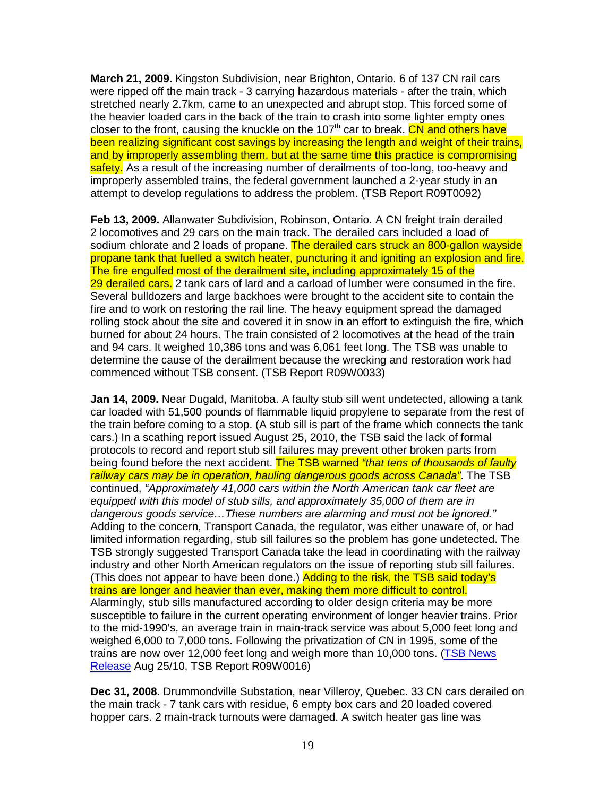**March 21, 2009.** Kingston Subdivision, near Brighton, Ontario. 6 of 137 CN rail cars were ripped off the main track - 3 carrying hazardous materials - after the train, which stretched nearly 2.7km, came to an unexpected and abrupt stop. This forced some of the heavier loaded cars in the back of the train to crash into some lighter empty ones closer to the front, causing the knuckle on the 107<sup>th</sup> car to break. CN and others have been realizing significant cost savings by increasing the length and weight of their trains, and by improperly assembling them, but at the same time this practice is compromising safety. As a result of the increasing number of derailments of too-long, too-heavy and improperly assembled trains, the federal government launched a 2-year study in an attempt to develop regulations to address the problem. (TSB Report R09T0092)

**Feb 13, 2009.** Allanwater Subdivision, Robinson, Ontario. A CN freight train derailed 2 locomotives and 29 cars on the main track. The derailed cars included a load of sodium chlorate and 2 loads of propane. The derailed cars struck an 800-gallon wayside propane tank that fuelled a switch heater, puncturing it and igniting an explosion and fire. The fire engulfed most of the derailment site, including approximately 15 of the 29 derailed cars. 2 tank cars of lard and a carload of lumber were consumed in the fire. Several bulldozers and large backhoes were brought to the accident site to contain the fire and to work on restoring the rail line. The heavy equipment spread the damaged rolling stock about the site and covered it in snow in an effort to extinguish the fire, which burned for about 24 hours. The train consisted of 2 locomotives at the head of the train and 94 cars. It weighed 10,386 tons and was 6,061 feet long. The TSB was unable to determine the cause of the derailment because the wrecking and restoration work had commenced without TSB consent. (TSB Report R09W0033)

**Jan 14, 2009.** Near Dugald, Manitoba. A faulty stub sill went undetected, allowing a tank car loaded with 51,500 pounds of flammable liquid propylene to separate from the rest of the train before coming to a stop. (A stub sill is part of the frame which connects the tank cars.) In a scathing report issued August 25, 2010, the TSB said the lack of formal protocols to record and report stub sill failures may prevent other broken parts from being found before the next accident. The TSB warned "that tens of thousands of faulty railway cars may be in operation, hauling dangerous goods across Canada". The TSB continued, "Approximately 41,000 cars within the North American tank car fleet are equipped with this model of stub sills, and approximately 35,000 of them are in dangerous goods service…These numbers are alarming and must not be ignored." Adding to the concern, Transport Canada, the regulator, was either unaware of, or had limited information regarding, stub sill failures so the problem has gone undetected. The TSB strongly suggested Transport Canada take the lead in coordinating with the railway industry and other North American regulators on the issue of reporting stub sill failures. (This does not appear to have been done.) Adding to the risk, the TSB said today's trains are longer and heavier than ever, making them more difficult to control. Alarmingly, stub sills manufactured according to older design criteria may be more susceptible to failure in the current operating environment of longer heavier trains. Prior to the mid-1990's, an average train in main-track service was about 5,000 feet long and weighed 6,000 to 7,000 tons. Following the privatization of CN in 1995, some of the trains are now over 12,000 feet long and weigh more than 10,000 tons. (TSB News Release Aug 25/10, TSB Report R09W0016)

**Dec 31, 2008.** Drummondville Substation, near Villeroy, Quebec. 33 CN cars derailed on the main track - 7 tank cars with residue, 6 empty box cars and 20 loaded covered hopper cars. 2 main-track turnouts were damaged. A switch heater gas line was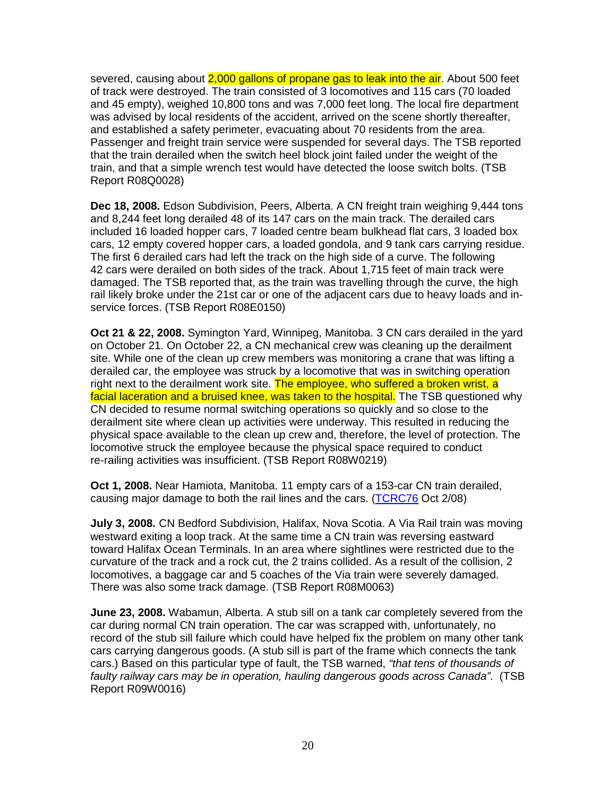severed, causing about 2,000 gallons of propane gas to leak into the air. About 500 feet of track were destroyed. The train consisted of 3 locomotives and 115 cars (70 loaded and 45 empty), weighed 10,800 tons and was 7,000 feet long. The local fire department was advised by local residents of the accident, arrived on the scene shortly thereafter, and established a safety perimeter, evacuating about 70 residents from the area. Passenger and freight train service were suspended for several days. The TSB reported that the train derailed when the switch heel block joint failed under the weight of the train, and that a simple wrench test would have detected the loose switch bolts. (TSB Report R08Q0028)

**Dec 18, 2008.** Edson Subdivision, Peers, Alberta. A CN freight train weighing 9,444 tons and 8,244 feet long derailed 48 of its 147 cars on the main track. The derailed cars included 16 loaded hopper cars, 7 loaded centre beam bulkhead flat cars, 3 loaded box cars, 12 empty covered hopper cars, a loaded gondola, and 9 tank cars carrying residue. The first 6 derailed cars had left the track on the high side of a curve. The following 42 cars were derailed on both sides of the track. About 1,715 feet of main track were damaged. The TSB reported that, as the train was travelling through the curve, the high rail likely broke under the 21st car or one of the adjacent cars due to heavy loads and inservice forces. (TSB Report R08E0150)

**Oct 21 & 22, 2008.** Symington Yard, Winnipeg, Manitoba. 3 CN cars derailed in the yard on October 21. On October 22, a CN mechanical crew was cleaning up the derailment site. While one of the clean up crew members was monitoring a crane that was lifting a derailed car, the employee was struck by a locomotive that was in switching operation right next to the derailment work site. The employee, who suffered a broken wrist, a facial laceration and a bruised knee, was taken to the hospital. The TSB questioned why CN decided to resume normal switching operations so quickly and so close to the derailment site where clean up activities were underway. This resulted in reducing the physical space available to the clean up crew and, therefore, the level of protection. The locomotive struck the employee because the physical space required to conduct re-railing activities was insufficient. (TSB Report R08W0219)

**Oct 1, 2008.** Near Hamiota, Manitoba. 11 empty cars of a 153-car CN train derailed, causing major damage to both the rail lines and the cars. (TCRC76 Oct 2/08)

**July 3, 2008.** CN Bedford Subdivision, Halifax, Nova Scotia. A Via Rail train was moving westward exiting a loop track. At the same time a CN train was reversing eastward toward Halifax Ocean Terminals. In an area where sightlines were restricted due to the curvature of the track and a rock cut, the 2 trains collided. As a result of the collision, 2 locomotives, a baggage car and 5 coaches of the Via train were severely damaged. There was also some track damage. (TSB Report R08M0063)

**June 23, 2008.** Wabamun, Alberta. A stub sill on a tank car completely severed from the car during normal CN train operation. The car was scrapped with, unfortunately, no record of the stub sill failure which could have helped fix the problem on many other tank cars carrying dangerous goods. (A stub sill is part of the frame which connects the tank cars.) Based on this particular type of fault, the TSB warned, "that tens of thousands of faulty railway cars may be in operation, hauling dangerous goods across Canada". (TSB Report R09W0016)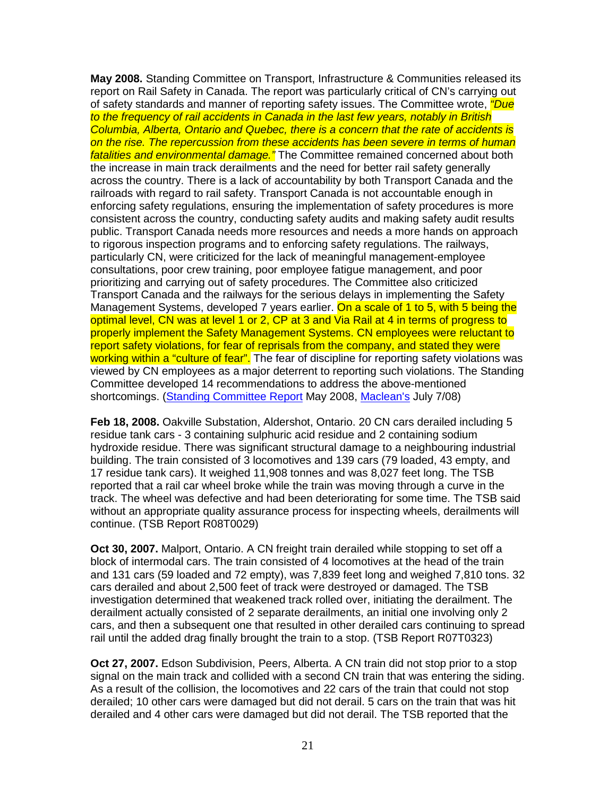**May 2008.** Standing Committee on Transport, Infrastructure & Communities released its report on Rail Safety in Canada. The report was particularly critical of CN's carrying out of safety standards and manner of reporting safety issues. The Committee wrote, *"Due* to the frequency of rail accidents in Canada in the last few years, notably in British Columbia, Alberta, Ontario and Quebec, there is a concern that the rate of accidents is on the rise. The repercussion from these accidents has been severe in terms of human fatalities and environmental damage." The Committee remained concerned about both the increase in main track derailments and the need for better rail safety generally across the country. There is a lack of accountability by both Transport Canada and the railroads with regard to rail safety. Transport Canada is not accountable enough in enforcing safety regulations, ensuring the implementation of safety procedures is more consistent across the country, conducting safety audits and making safety audit results public. Transport Canada needs more resources and needs a more hands on approach to rigorous inspection programs and to enforcing safety regulations. The railways, particularly CN, were criticized for the lack of meaningful management-employee consultations, poor crew training, poor employee fatigue management, and poor prioritizing and carrying out of safety procedures. The Committee also criticized Transport Canada and the railways for the serious delays in implementing the Safety Management Systems, developed 7 years earlier. On a scale of 1 to 5, with 5 being the optimal level, CN was at level 1 or 2, CP at 3 and Via Rail at 4 in terms of progress to properly implement the Safety Management Systems. CN employees were reluctant to report safety violations, for fear of reprisals from the company, and stated they were working within a "culture of fear". The fear of discipline for reporting safety violations was viewed by CN employees as a major deterrent to reporting such violations. The Standing Committee developed 14 recommendations to address the above-mentioned shortcomings. (Standing Committee Report May 2008, Maclean's July 7/08)

**Feb 18, 2008.** Oakville Substation, Aldershot, Ontario. 20 CN cars derailed including 5 residue tank cars - 3 containing sulphuric acid residue and 2 containing sodium hydroxide residue. There was significant structural damage to a neighbouring industrial building. The train consisted of 3 locomotives and 139 cars (79 loaded, 43 empty, and 17 residue tank cars). It weighed 11,908 tonnes and was 8,027 feet long. The TSB reported that a rail car wheel broke while the train was moving through a curve in the track. The wheel was defective and had been deteriorating for some time. The TSB said without an appropriate quality assurance process for inspecting wheels, derailments will continue. (TSB Report R08T0029)

**Oct 30, 2007.** Malport, Ontario. A CN freight train derailed while stopping to set off a block of intermodal cars. The train consisted of 4 locomotives at the head of the train and 131 cars (59 loaded and 72 empty), was 7,839 feet long and weighed 7,810 tons. 32 cars derailed and about 2,500 feet of track were destroyed or damaged. The TSB investigation determined that weakened track rolled over, initiating the derailment. The derailment actually consisted of 2 separate derailments, an initial one involving only 2 cars, and then a subsequent one that resulted in other derailed cars continuing to spread rail until the added drag finally brought the train to a stop. (TSB Report R07T0323)

**Oct 27, 2007.** Edson Subdivision, Peers, Alberta. A CN train did not stop prior to a stop signal on the main track and collided with a second CN train that was entering the siding. As a result of the collision, the locomotives and 22 cars of the train that could not stop derailed; 10 other cars were damaged but did not derail. 5 cars on the train that was hit derailed and 4 other cars were damaged but did not derail. The TSB reported that the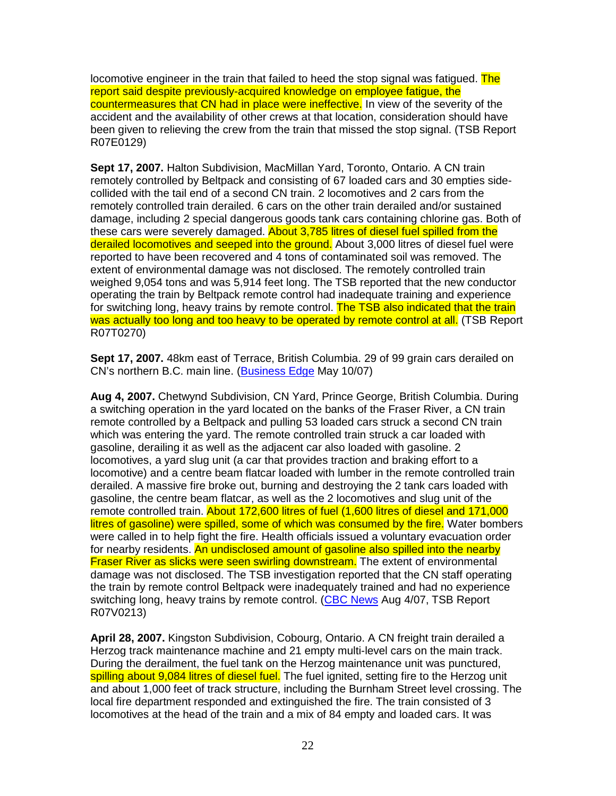locomotive engineer in the train that failed to heed the stop signal was fatigued. The report said despite previously-acquired knowledge on employee fatigue, the countermeasures that CN had in place were ineffective. In view of the severity of the accident and the availability of other crews at that location, consideration should have been given to relieving the crew from the train that missed the stop signal. (TSB Report R07E0129)

**Sept 17, 2007.** Halton Subdivision, MacMillan Yard, Toronto, Ontario. A CN train remotely controlled by Beltpack and consisting of 67 loaded cars and 30 empties sidecollided with the tail end of a second CN train. 2 locomotives and 2 cars from the remotely controlled train derailed. 6 cars on the other train derailed and/or sustained damage, including 2 special dangerous goods tank cars containing chlorine gas. Both of these cars were severely damaged. About 3,785 litres of diesel fuel spilled from the derailed locomotives and seeped into the ground. About 3,000 litres of diesel fuel were reported to have been recovered and 4 tons of contaminated soil was removed. The extent of environmental damage was not disclosed. The remotely controlled train weighed 9,054 tons and was 5,914 feet long. The TSB reported that the new conductor operating the train by Beltpack remote control had inadequate training and experience for switching long, heavy trains by remote control. The TSB also indicated that the train was actually too long and too heavy to be operated by remote control at all. (TSB Report R07T0270)

**Sept 17, 2007.** 48km east of Terrace, British Columbia. 29 of 99 grain cars derailed on CN's northern B.C. main line. (Business Edge May 10/07)

**Aug 4, 2007.** Chetwynd Subdivision, CN Yard, Prince George, British Columbia. During a switching operation in the yard located on the banks of the Fraser River, a CN train remote controlled by a Beltpack and pulling 53 loaded cars struck a second CN train which was entering the yard. The remote controlled train struck a car loaded with gasoline, derailing it as well as the adjacent car also loaded with gasoline. 2 locomotives, a yard slug unit (a car that provides traction and braking effort to a locomotive) and a centre beam flatcar loaded with lumber in the remote controlled train derailed. A massive fire broke out, burning and destroying the 2 tank cars loaded with gasoline, the centre beam flatcar, as well as the 2 locomotives and slug unit of the remote controlled train. About 172,600 litres of fuel (1,600 litres of diesel and 171,000 litres of gasoline) were spilled, some of which was consumed by the fire. Water bombers were called in to help fight the fire. Health officials issued a voluntary evacuation order for nearby residents. An undisclosed amount of gasoline also spilled into the nearby Fraser River as slicks were seen swirling downstream. The extent of environmental damage was not disclosed. The TSB investigation reported that the CN staff operating the train by remote control Beltpack were inadequately trained and had no experience switching long, heavy trains by remote control. (CBC News Aug 4/07, TSB Report R07V0213)

**April 28, 2007.** Kingston Subdivision, Cobourg, Ontario. A CN freight train derailed a Herzog track maintenance machine and 21 empty multi-level cars on the main track. During the derailment, the fuel tank on the Herzog maintenance unit was punctured, spilling about 9,084 litres of diesel fuel. The fuel ignited, setting fire to the Herzog unit and about 1,000 feet of track structure, including the Burnham Street level crossing. The local fire department responded and extinguished the fire. The train consisted of 3 locomotives at the head of the train and a mix of 84 empty and loaded cars. It was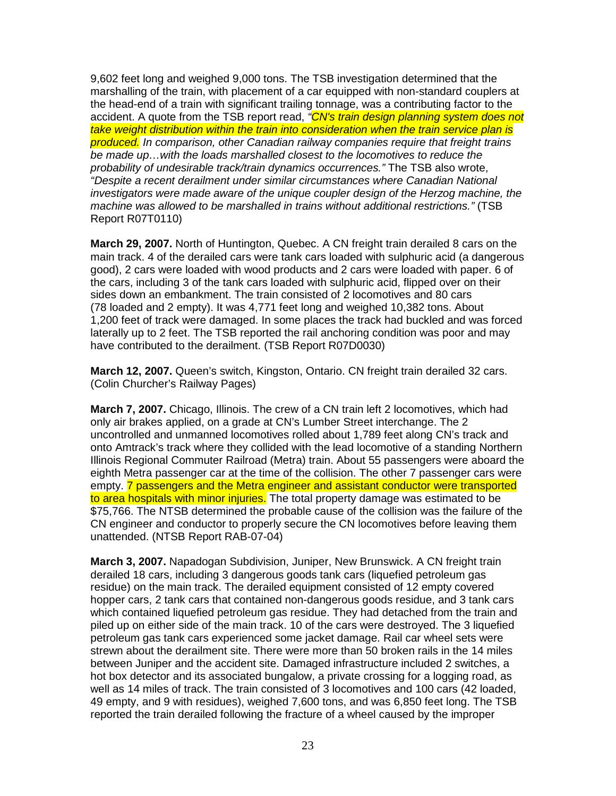9,602 feet long and weighed 9,000 tons. The TSB investigation determined that the marshalling of the train, with placement of a car equipped with non-standard couplers at the head-end of a train with significant trailing tonnage, was a contributing factor to the accident. A quote from the TSB report read, <sup>"</sup>CN's train design planning system does not take weight distribution within the train into consideration when the train service plan is produced. In comparison, other Canadian railway companies require that freight trains be made up…with the loads marshalled closest to the locomotives to reduce the probability of undesirable track/train dynamics occurrences." The TSB also wrote, "Despite a recent derailment under similar circumstances where Canadian National investigators were made aware of the unique coupler design of the Herzog machine, the machine was allowed to be marshalled in trains without additional restrictions." (TSB Report R07T0110)

**March 29, 2007.** North of Huntington, Quebec. A CN freight train derailed 8 cars on the main track. 4 of the derailed cars were tank cars loaded with sulphuric acid (a dangerous good), 2 cars were loaded with wood products and 2 cars were loaded with paper. 6 of the cars, including 3 of the tank cars loaded with sulphuric acid, flipped over on their sides down an embankment. The train consisted of 2 locomotives and 80 cars (78 loaded and 2 empty). It was 4,771 feet long and weighed 10,382 tons. About 1,200 feet of track were damaged. In some places the track had buckled and was forced laterally up to 2 feet. The TSB reported the rail anchoring condition was poor and may have contributed to the derailment. (TSB Report R07D0030)

**March 12, 2007.** Queen's switch, Kingston, Ontario. CN freight train derailed 32 cars. (Colin Churcher's Railway Pages)

**March 7, 2007.** Chicago, Illinois. The crew of a CN train left 2 locomotives, which had only air brakes applied, on a grade at CN's Lumber Street interchange. The 2 uncontrolled and unmanned locomotives rolled about 1,789 feet along CN's track and onto Amtrack's track where they collided with the lead locomotive of a standing Northern Illinois Regional Commuter Railroad (Metra) train. About 55 passengers were aboard the eighth Metra passenger car at the time of the collision. The other 7 passenger cars were empty. 7 passengers and the Metra engineer and assistant conductor were transported to area hospitals with minor injuries. The total property damage was estimated to be \$75,766. The NTSB determined the probable cause of the collision was the failure of the CN engineer and conductor to properly secure the CN locomotives before leaving them unattended. (NTSB Report RAB-07-04)

**March 3, 2007.** Napadogan Subdivision, Juniper, New Brunswick. A CN freight train derailed 18 cars, including 3 dangerous goods tank cars (liquefied petroleum gas residue) on the main track. The derailed equipment consisted of 12 empty covered hopper cars, 2 tank cars that contained non-dangerous goods residue, and 3 tank cars which contained liquefied petroleum gas residue. They had detached from the train and piled up on either side of the main track. 10 of the cars were destroyed. The 3 liquefied petroleum gas tank cars experienced some jacket damage. Rail car wheel sets were strewn about the derailment site. There were more than 50 broken rails in the 14 miles between Juniper and the accident site. Damaged infrastructure included 2 switches, a hot box detector and its associated bungalow, a private crossing for a logging road, as well as 14 miles of track. The train consisted of 3 locomotives and 100 cars (42 loaded, 49 empty, and 9 with residues), weighed 7,600 tons, and was 6,850 feet long. The TSB reported the train derailed following the fracture of a wheel caused by the improper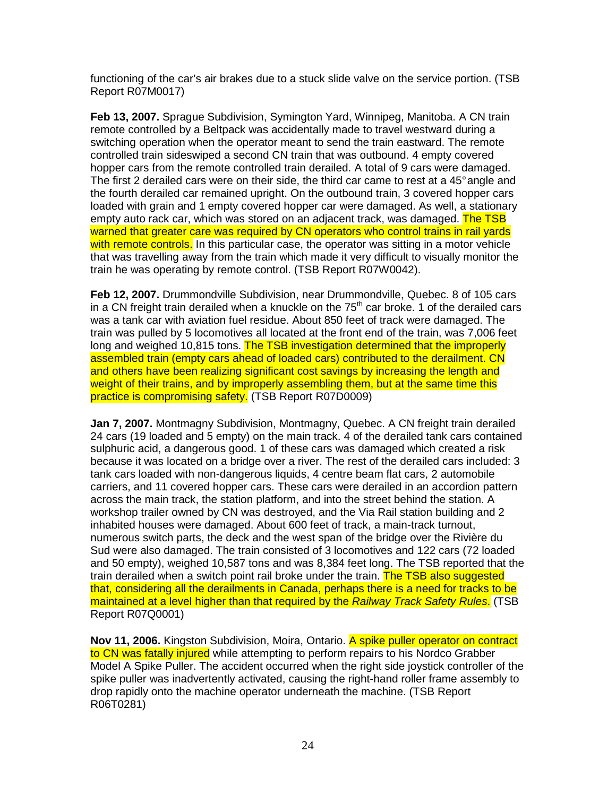functioning of the car's air brakes due to a stuck slide valve on the service portion. (TSB Report R07M0017)

**Feb 13, 2007.** Sprague Subdivision, Symington Yard, Winnipeg, Manitoba. A CN train remote controlled by a Beltpack was accidentally made to travel westward during a switching operation when the operator meant to send the train eastward. The remote controlled train sideswiped a second CN train that was outbound. 4 empty covered hopper cars from the remote controlled train derailed. A total of 9 cars were damaged. The first 2 derailed cars were on their side, the third car came to rest at a 45° angle and the fourth derailed car remained upright. On the outbound train, 3 covered hopper cars loaded with grain and 1 empty covered hopper car were damaged. As well, a stationary empty auto rack car, which was stored on an adjacent track, was damaged. The TSB warned that greater care was required by CN operators who control trains in rail yards with remote controls. In this particular case, the operator was sitting in a motor vehicle that was travelling away from the train which made it very difficult to visually monitor the train he was operating by remote control. (TSB Report R07W0042).

**Feb 12, 2007.** Drummondville Subdivision, near Drummondville, Quebec. 8 of 105 cars in a CN freight train derailed when a knuckle on the  $75<sup>th</sup>$  car broke. 1 of the derailed cars was a tank car with aviation fuel residue. About 850 feet of track were damaged. The train was pulled by 5 locomotives all located at the front end of the train, was 7,006 feet long and weighed 10,815 tons. The TSB investigation determined that the improperly assembled train (empty cars ahead of loaded cars) contributed to the derailment. CN and others have been realizing significant cost savings by increasing the length and weight of their trains, and by improperly assembling them, but at the same time this practice is compromising safety. (TSB Report R07D0009)

**Jan 7, 2007.** Montmagny Subdivision, Montmagny, Quebec. A CN freight train derailed 24 cars (19 loaded and 5 empty) on the main track. 4 of the derailed tank cars contained sulphuric acid, a dangerous good. 1 of these cars was damaged which created a risk because it was located on a bridge over a river. The rest of the derailed cars included: 3 tank cars loaded with non-dangerous liquids, 4 centre beam flat cars, 2 automobile carriers, and 11 covered hopper cars. These cars were derailed in an accordion pattern across the main track, the station platform, and into the street behind the station. A workshop trailer owned by CN was destroyed, and the Via Rail station building and 2 inhabited houses were damaged. About 600 feet of track, a main-track turnout, numerous switch parts, the deck and the west span of the bridge over the Rivière du Sud were also damaged. The train consisted of 3 locomotives and 122 cars (72 loaded and 50 empty), weighed 10,587 tons and was 8,384 feet long. The TSB reported that the train derailed when a switch point rail broke under the train. The TSB also suggested that, considering all the derailments in Canada, perhaps there is a need for tracks to be maintained at a level higher than that required by the Railway Track Safety Rules. (TSB Report R07Q0001)

**Nov 11, 2006.** Kingston Subdivision, Moira, Ontario. A spike puller operator on contract to CN was fatally injured while attempting to perform repairs to his Nordco Grabber Model A Spike Puller. The accident occurred when the right side joystick controller of the spike puller was inadvertently activated, causing the right-hand roller frame assembly to drop rapidly onto the machine operator underneath the machine. (TSB Report R06T0281)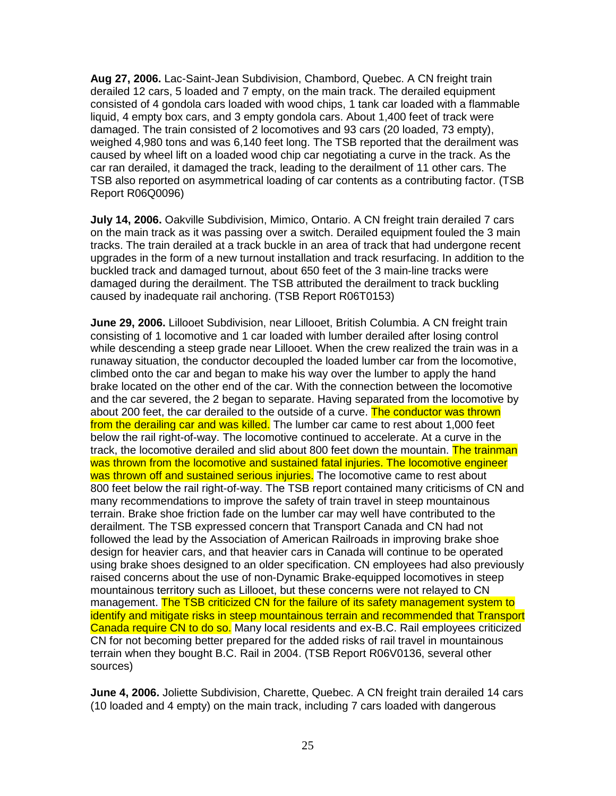**Aug 27, 2006.** Lac-Saint-Jean Subdivision, Chambord, Quebec. A CN freight train derailed 12 cars, 5 loaded and 7 empty, on the main track. The derailed equipment consisted of 4 gondola cars loaded with wood chips, 1 tank car loaded with a flammable liquid, 4 empty box cars, and 3 empty gondola cars. About 1,400 feet of track were damaged. The train consisted of 2 locomotives and 93 cars (20 loaded, 73 empty), weighed 4,980 tons and was 6,140 feet long. The TSB reported that the derailment was caused by wheel lift on a loaded wood chip car negotiating a curve in the track. As the car ran derailed, it damaged the track, leading to the derailment of 11 other cars. The TSB also reported on asymmetrical loading of car contents as a contributing factor. (TSB Report R06Q0096)

**July 14, 2006.** Oakville Subdivision, Mimico, Ontario. A CN freight train derailed 7 cars on the main track as it was passing over a switch. Derailed equipment fouled the 3 main tracks. The train derailed at a track buckle in an area of track that had undergone recent upgrades in the form of a new turnout installation and track resurfacing. In addition to the buckled track and damaged turnout, about 650 feet of the 3 main-line tracks were damaged during the derailment. The TSB attributed the derailment to track buckling caused by inadequate rail anchoring. (TSB Report R06T0153)

**June 29, 2006.** Lillooet Subdivision, near Lillooet, British Columbia. A CN freight train consisting of 1 locomotive and 1 car loaded with lumber derailed after losing control while descending a steep grade near Lillooet. When the crew realized the train was in a runaway situation, the conductor decoupled the loaded lumber car from the locomotive, climbed onto the car and began to make his way over the lumber to apply the hand brake located on the other end of the car. With the connection between the locomotive and the car severed, the 2 began to separate. Having separated from the locomotive by about 200 feet, the car derailed to the outside of a curve. The conductor was thrown from the derailing car and was killed. The lumber car came to rest about 1,000 feet below the rail right-of-way. The locomotive continued to accelerate. At a curve in the track, the locomotive derailed and slid about 800 feet down the mountain. The trainman was thrown from the locomotive and sustained fatal injuries. The locomotive engineer was thrown off and sustained serious injuries. The locomotive came to rest about 800 feet below the rail right-of-way. The TSB report contained many criticisms of CN and many recommendations to improve the safety of train travel in steep mountainous terrain. Brake shoe friction fade on the lumber car may well have contributed to the derailment. The TSB expressed concern that Transport Canada and CN had not followed the lead by the Association of American Railroads in improving brake shoe design for heavier cars, and that heavier cars in Canada will continue to be operated using brake shoes designed to an older specification. CN employees had also previously raised concerns about the use of non-Dynamic Brake-equipped locomotives in steep mountainous territory such as Lillooet, but these concerns were not relayed to CN management. The TSB criticized CN for the failure of its safety management system to identify and mitigate risks in steep mountainous terrain and recommended that Transport Canada require CN to do so. Many local residents and ex-B.C. Rail employees criticized CN for not becoming better prepared for the added risks of rail travel in mountainous terrain when they bought B.C. Rail in 2004. (TSB Report R06V0136, several other sources)

**June 4, 2006.** Joliette Subdivision, Charette, Quebec. A CN freight train derailed 14 cars (10 loaded and 4 empty) on the main track, including 7 cars loaded with dangerous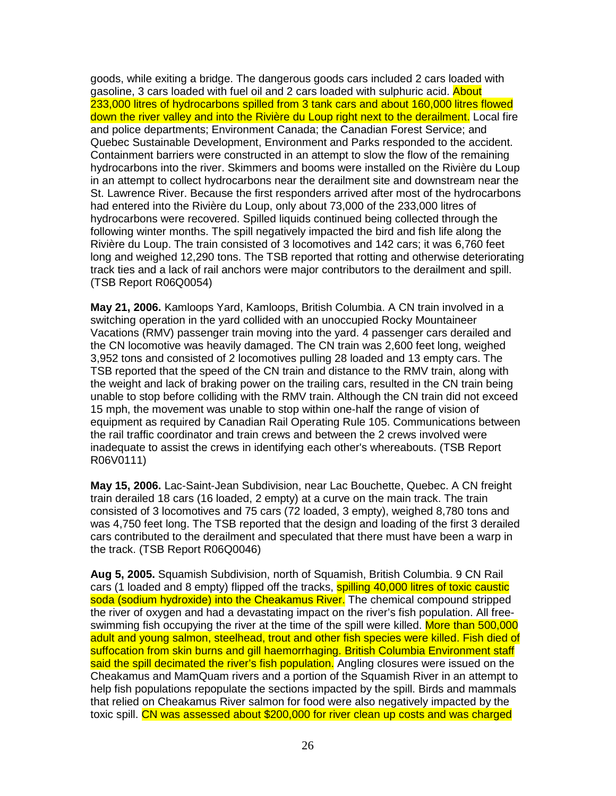goods, while exiting a bridge. The dangerous goods cars included 2 cars loaded with gasoline, 3 cars loaded with fuel oil and 2 cars loaded with sulphuric acid. About 233,000 litres of hydrocarbons spilled from 3 tank cars and about 160,000 litres flowed down the river valley and into the Rivière du Loup right next to the derailment. Local fire and police departments; Environment Canada; the Canadian Forest Service; and Quebec Sustainable Development, Environment and Parks responded to the accident. Containment barriers were constructed in an attempt to slow the flow of the remaining hydrocarbons into the river. Skimmers and booms were installed on the Rivière du Loup in an attempt to collect hydrocarbons near the derailment site and downstream near the St. Lawrence River. Because the first responders arrived after most of the hydrocarbons had entered into the Rivière du Loup, only about 73,000 of the 233,000 litres of hydrocarbons were recovered. Spilled liquids continued being collected through the following winter months. The spill negatively impacted the bird and fish life along the Rivière du Loup. The train consisted of 3 locomotives and 142 cars; it was 6,760 feet long and weighed 12,290 tons. The TSB reported that rotting and otherwise deteriorating track ties and a lack of rail anchors were major contributors to the derailment and spill. (TSB Report R06Q0054)

**May 21, 2006.** Kamloops Yard, Kamloops, British Columbia. A CN train involved in a switching operation in the yard collided with an unoccupied Rocky Mountaineer Vacations (RMV) passenger train moving into the yard. 4 passenger cars derailed and the CN locomotive was heavily damaged. The CN train was 2,600 feet long, weighed 3,952 tons and consisted of 2 locomotives pulling 28 loaded and 13 empty cars. The TSB reported that the speed of the CN train and distance to the RMV train, along with the weight and lack of braking power on the trailing cars, resulted in the CN train being unable to stop before colliding with the RMV train. Although the CN train did not exceed 15 mph, the movement was unable to stop within one-half the range of vision of equipment as required by Canadian Rail Operating Rule 105. Communications between the rail traffic coordinator and train crews and between the 2 crews involved were inadequate to assist the crews in identifying each other's whereabouts. (TSB Report R06V0111)

**May 15, 2006.** Lac-Saint-Jean Subdivision, near Lac Bouchette, Quebec. A CN freight train derailed 18 cars (16 loaded, 2 empty) at a curve on the main track. The train consisted of 3 locomotives and 75 cars (72 loaded, 3 empty), weighed 8,780 tons and was 4,750 feet long. The TSB reported that the design and loading of the first 3 derailed cars contributed to the derailment and speculated that there must have been a warp in the track. (TSB Report R06Q0046)

**Aug 5, 2005.** Squamish Subdivision, north of Squamish, British Columbia. 9 CN Rail cars (1 loaded and 8 empty) flipped off the tracks, **spilling 40,000 litres of toxic caustic** soda (sodium hydroxide) into the Cheakamus River. The chemical compound stripped the river of oxygen and had a devastating impact on the river's fish population. All freeswimming fish occupying the river at the time of the spill were killed. More than 500,000 adult and young salmon, steelhead, trout and other fish species were killed. Fish died of suffocation from skin burns and gill haemorrhaging. British Columbia Environment staff said the spill decimated the river's fish population. Angling closures were issued on the Cheakamus and MamQuam rivers and a portion of the Squamish River in an attempt to help fish populations repopulate the sections impacted by the spill. Birds and mammals that relied on Cheakamus River salmon for food were also negatively impacted by the toxic spill. CN was assessed about \$200,000 for river clean up costs and was charged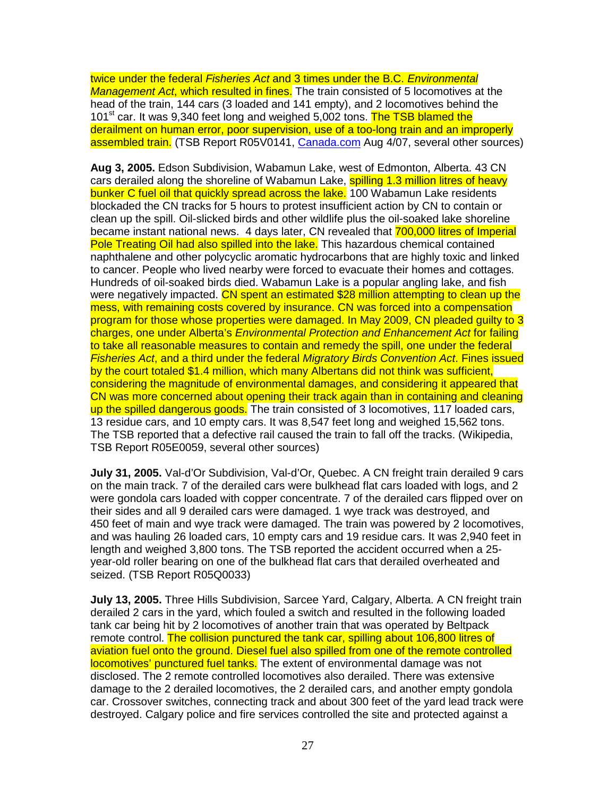twice under the federal Fisheries Act and 3 times under the B.C. Environmental Management Act, which resulted in fines. The train consisted of 5 locomotives at the head of the train, 144 cars (3 loaded and 141 empty), and 2 locomotives behind the 101<sup>st</sup> car. It was 9,340 feet long and weighed 5,002 tons. The TSB blamed the derailment on human error, poor supervision, use of a too-long train and an improperly assembled train. (TSB Report R05V0141, Canada.com Aug 4/07, several other sources)

**Aug 3, 2005.** Edson Subdivision, Wabamun Lake, west of Edmonton, Alberta. 43 CN cars derailed along the shoreline of Wabamun Lake, spilling 1.3 million litres of heavy bunker C fuel oil that quickly spread across the lake. 100 Wabamun Lake residents blockaded the CN tracks for 5 hours to protest insufficient action by CN to contain or clean up the spill. Oil-slicked birds and other wildlife plus the oil-soaked lake shoreline became instant national news. 4 days later, CN revealed that 700,000 litres of Imperial Pole Treating Oil had also spilled into the lake. This hazardous chemical contained naphthalene and other polycyclic aromatic hydrocarbons that are highly toxic and linked to cancer. People who lived nearby were forced to evacuate their homes and cottages. Hundreds of oil-soaked birds died. Wabamun Lake is a popular angling lake, and fish were negatively impacted. CN spent an estimated \$28 million attempting to clean up the mess, with remaining costs covered by insurance. CN was forced into a compensation program for those whose properties were damaged. In May 2009, CN pleaded guilty to 3 charges, one under Alberta's Environmental Protection and Enhancement Act for failing to take all reasonable measures to contain and remedy the spill, one under the federal Fisheries Act, and a third under the federal Migratory Birds Convention Act. Fines issued by the court totaled \$1.4 million, which many Albertans did not think was sufficient, considering the magnitude of environmental damages, and considering it appeared that CN was more concerned about opening their track again than in containing and cleaning up the spilled dangerous goods. The train consisted of 3 locomotives, 117 loaded cars, 13 residue cars, and 10 empty cars. It was 8,547 feet long and weighed 15,562 tons. The TSB reported that a defective rail caused the train to fall off the tracks. (Wikipedia, TSB Report R05E0059, several other sources)

**July 31, 2005.** Val-d'Or Subdivision, Val-d'Or, Quebec. A CN freight train derailed 9 cars on the main track. 7 of the derailed cars were bulkhead flat cars loaded with logs, and 2 were gondola cars loaded with copper concentrate. 7 of the derailed cars flipped over on their sides and all 9 derailed cars were damaged. 1 wye track was destroyed, and 450 feet of main and wye track were damaged. The train was powered by 2 locomotives, and was hauling 26 loaded cars, 10 empty cars and 19 residue cars. It was 2,940 feet in length and weighed 3,800 tons. The TSB reported the accident occurred when a 25 year-old roller bearing on one of the bulkhead flat cars that derailed overheated and seized. (TSB Report R05Q0033)

**July 13, 2005.** Three Hills Subdivision, Sarcee Yard, Calgary, Alberta. A CN freight train derailed 2 cars in the yard, which fouled a switch and resulted in the following loaded tank car being hit by 2 locomotives of another train that was operated by Beltpack remote control. The collision punctured the tank car, spilling about 106,800 litres of aviation fuel onto the ground. Diesel fuel also spilled from one of the remote controlled locomotives' punctured fuel tanks. The extent of environmental damage was not disclosed. The 2 remote controlled locomotives also derailed. There was extensive damage to the 2 derailed locomotives, the 2 derailed cars, and another empty gondola car. Crossover switches, connecting track and about 300 feet of the yard lead track were destroyed. Calgary police and fire services controlled the site and protected against a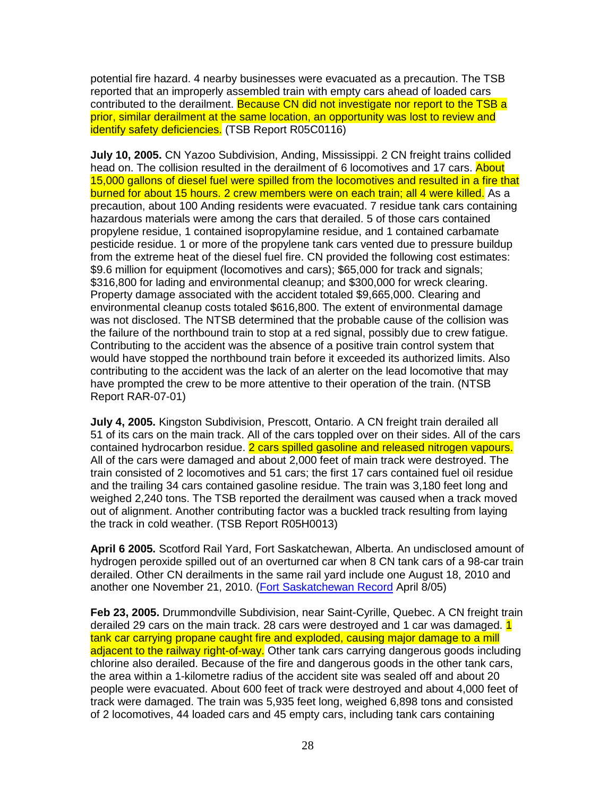potential fire hazard. 4 nearby businesses were evacuated as a precaution. The TSB reported that an improperly assembled train with empty cars ahead of loaded cars contributed to the derailment. Because CN did not investigate nor report to the TSB a prior, similar derailment at the same location, an opportunity was lost to review and identify safety deficiencies. (TSB Report R05C0116)

**July 10, 2005.** CN Yazoo Subdivision, Anding, Mississippi. 2 CN freight trains collided head on. The collision resulted in the derailment of 6 locomotives and 17 cars. About 15,000 gallons of diesel fuel were spilled from the locomotives and resulted in a fire that burned for about 15 hours. 2 crew members were on each train; all 4 were killed. As a precaution, about 100 Anding residents were evacuated. 7 residue tank cars containing hazardous materials were among the cars that derailed. 5 of those cars contained propylene residue, 1 contained isopropylamine residue, and 1 contained carbamate pesticide residue. 1 or more of the propylene tank cars vented due to pressure buildup from the extreme heat of the diesel fuel fire. CN provided the following cost estimates: \$9.6 million for equipment (locomotives and cars); \$65,000 for track and signals; \$316,800 for lading and environmental cleanup; and \$300,000 for wreck clearing. Property damage associated with the accident totaled \$9,665,000. Clearing and environmental cleanup costs totaled \$616,800. The extent of environmental damage was not disclosed. The NTSB determined that the probable cause of the collision was the failure of the northbound train to stop at a red signal, possibly due to crew fatigue. Contributing to the accident was the absence of a positive train control system that would have stopped the northbound train before it exceeded its authorized limits. Also contributing to the accident was the lack of an alerter on the lead locomotive that may have prompted the crew to be more attentive to their operation of the train. (NTSB Report RAR-07-01)

**July 4, 2005.** Kingston Subdivision, Prescott, Ontario. A CN freight train derailed all 51 of its cars on the main track. All of the cars toppled over on their sides. All of the cars contained hydrocarbon residue. 2 cars spilled gasoline and released nitrogen vapours. All of the cars were damaged and about 2,000 feet of main track were destroyed. The train consisted of 2 locomotives and 51 cars; the first 17 cars contained fuel oil residue and the trailing 34 cars contained gasoline residue. The train was 3,180 feet long and weighed 2,240 tons. The TSB reported the derailment was caused when a track moved out of alignment. Another contributing factor was a buckled track resulting from laying the track in cold weather. (TSB Report R05H0013)

**April 6 2005.** Scotford Rail Yard, Fort Saskatchewan, Alberta. An undisclosed amount of hydrogen peroxide spilled out of an overturned car when 8 CN tank cars of a 98-car train derailed. Other CN derailments in the same rail yard include one August 18, 2010 and another one November 21, 2010. (Fort Saskatchewan Record April 8/05)

**Feb 23, 2005.** Drummondville Subdivision, near Saint-Cyrille, Quebec. A CN freight train derailed 29 cars on the main track. 28 cars were destroyed and 1 car was damaged. 1 tank car carrying propane caught fire and exploded, causing major damage to a mill adjacent to the railway right-of-way. Other tank cars carrying dangerous goods including chlorine also derailed. Because of the fire and dangerous goods in the other tank cars, the area within a 1-kilometre radius of the accident site was sealed off and about 20 people were evacuated. About 600 feet of track were destroyed and about 4,000 feet of track were damaged. The train was 5,935 feet long, weighed 6,898 tons and consisted of 2 locomotives, 44 loaded cars and 45 empty cars, including tank cars containing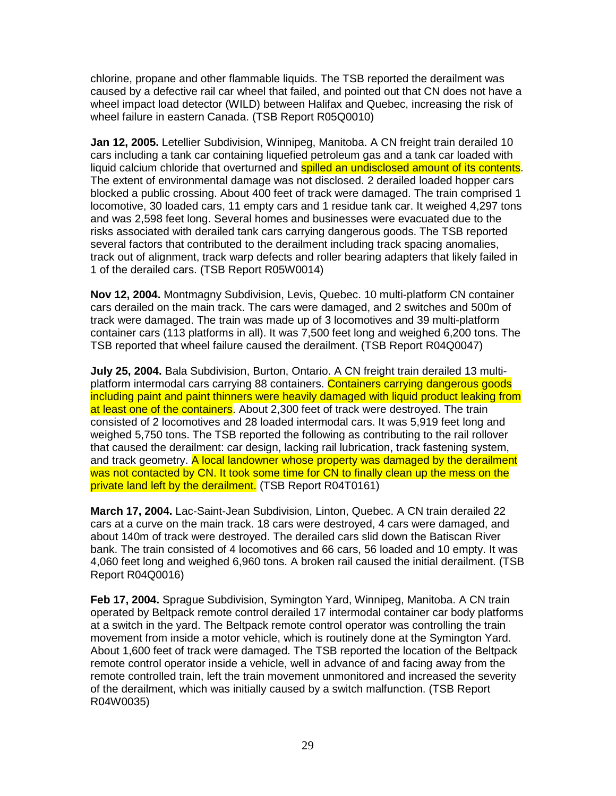chlorine, propane and other flammable liquids. The TSB reported the derailment was caused by a defective rail car wheel that failed, and pointed out that CN does not have a wheel impact load detector (WILD) between Halifax and Quebec, increasing the risk of wheel failure in eastern Canada. (TSB Report R05Q0010)

**Jan 12, 2005.** Letellier Subdivision, Winnipeg, Manitoba. A CN freight train derailed 10 cars including a tank car containing liquefied petroleum gas and a tank car loaded with liquid calcium chloride that overturned and spilled an undisclosed amount of its contents. The extent of environmental damage was not disclosed. 2 derailed loaded hopper cars blocked a public crossing. About 400 feet of track were damaged. The train comprised 1 locomotive, 30 loaded cars, 11 empty cars and 1 residue tank car. It weighed 4,297 tons and was 2,598 feet long. Several homes and businesses were evacuated due to the risks associated with derailed tank cars carrying dangerous goods. The TSB reported several factors that contributed to the derailment including track spacing anomalies, track out of alignment, track warp defects and roller bearing adapters that likely failed in 1 of the derailed cars. (TSB Report R05W0014)

**Nov 12, 2004.** Montmagny Subdivision, Levis, Quebec. 10 multi-platform CN container cars derailed on the main track. The cars were damaged, and 2 switches and 500m of track were damaged. The train was made up of 3 locomotives and 39 multi-platform container cars (113 platforms in all). It was 7,500 feet long and weighed 6,200 tons. The TSB reported that wheel failure caused the derailment. (TSB Report R04Q0047)

**July 25, 2004.** Bala Subdivision, Burton, Ontario. A CN freight train derailed 13 multiplatform intermodal cars carrying 88 containers. Containers carrying dangerous goods including paint and paint thinners were heavily damaged with liquid product leaking from at least one of the containers. About 2,300 feet of track were destroyed. The train consisted of 2 locomotives and 28 loaded intermodal cars. It was 5,919 feet long and weighed 5,750 tons. The TSB reported the following as contributing to the rail rollover that caused the derailment: car design, lacking rail lubrication, track fastening system, and track geometry. A local landowner whose property was damaged by the derailment was not contacted by CN. It took some time for CN to finally clean up the mess on the private land left by the derailment. (TSB Report R04T0161)

**March 17, 2004.** Lac-Saint-Jean Subdivision, Linton, Quebec. A CN train derailed 22 cars at a curve on the main track. 18 cars were destroyed, 4 cars were damaged, and about 140m of track were destroyed. The derailed cars slid down the Batiscan River bank. The train consisted of 4 locomotives and 66 cars, 56 loaded and 10 empty. It was 4,060 feet long and weighed 6,960 tons. A broken rail caused the initial derailment. (TSB Report R04Q0016)

**Feb 17, 2004.** Sprague Subdivision, Symington Yard, Winnipeg, Manitoba. A CN train operated by Beltpack remote control derailed 17 intermodal container car body platforms at a switch in the yard. The Beltpack remote control operator was controlling the train movement from inside a motor vehicle, which is routinely done at the Symington Yard. About 1,600 feet of track were damaged. The TSB reported the location of the Beltpack remote control operator inside a vehicle, well in advance of and facing away from the remote controlled train, left the train movement unmonitored and increased the severity of the derailment, which was initially caused by a switch malfunction. (TSB Report R04W0035)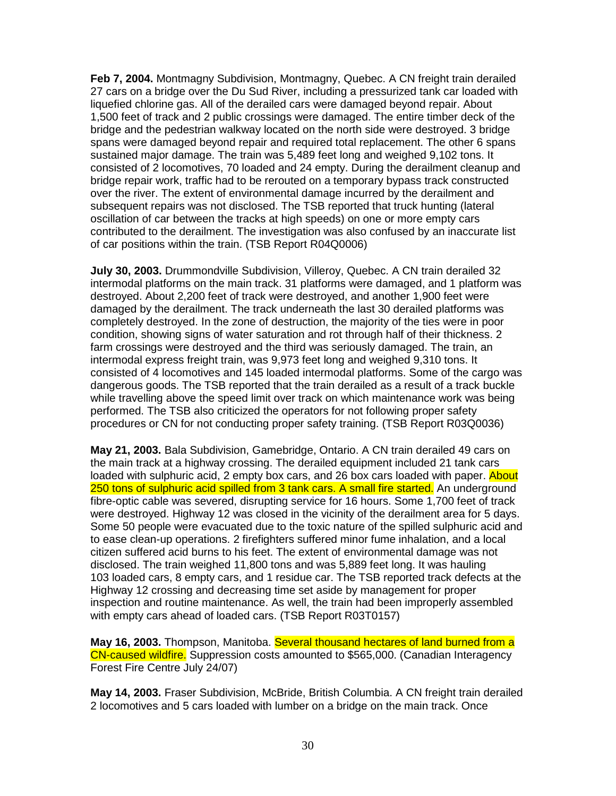**Feb 7, 2004.** Montmagny Subdivision, Montmagny, Quebec. A CN freight train derailed 27 cars on a bridge over the Du Sud River, including a pressurized tank car loaded with liquefied chlorine gas. All of the derailed cars were damaged beyond repair. About 1,500 feet of track and 2 public crossings were damaged. The entire timber deck of the bridge and the pedestrian walkway located on the north side were destroyed. 3 bridge spans were damaged beyond repair and required total replacement. The other 6 spans sustained major damage. The train was 5,489 feet long and weighed 9,102 tons. It consisted of 2 locomotives, 70 loaded and 24 empty. During the derailment cleanup and bridge repair work, traffic had to be rerouted on a temporary bypass track constructed over the river. The extent of environmental damage incurred by the derailment and subsequent repairs was not disclosed. The TSB reported that truck hunting (lateral oscillation of car between the tracks at high speeds) on one or more empty cars contributed to the derailment. The investigation was also confused by an inaccurate list of car positions within the train. (TSB Report R04Q0006)

**July 30, 2003.** Drummondville Subdivision, Villeroy, Quebec. A CN train derailed 32 intermodal platforms on the main track. 31 platforms were damaged, and 1 platform was destroyed. About 2,200 feet of track were destroyed, and another 1,900 feet were damaged by the derailment. The track underneath the last 30 derailed platforms was completely destroyed. In the zone of destruction, the majority of the ties were in poor condition, showing signs of water saturation and rot through half of their thickness. 2 farm crossings were destroyed and the third was seriously damaged. The train, an intermodal express freight train, was 9,973 feet long and weighed 9,310 tons. It consisted of 4 locomotives and 145 loaded intermodal platforms. Some of the cargo was dangerous goods. The TSB reported that the train derailed as a result of a track buckle while travelling above the speed limit over track on which maintenance work was being performed. The TSB also criticized the operators for not following proper safety procedures or CN for not conducting proper safety training. (TSB Report R03Q0036)

**May 21, 2003.** Bala Subdivision, Gamebridge, Ontario. A CN train derailed 49 cars on the main track at a highway crossing. The derailed equipment included 21 tank cars loaded with sulphuric acid, 2 empty box cars, and 26 box cars loaded with paper. About 250 tons of sulphuric acid spilled from 3 tank cars. A small fire started. An underground fibre-optic cable was severed, disrupting service for 16 hours. Some 1,700 feet of track were destroyed. Highway 12 was closed in the vicinity of the derailment area for 5 days. Some 50 people were evacuated due to the toxic nature of the spilled sulphuric acid and to ease clean-up operations. 2 firefighters suffered minor fume inhalation, and a local citizen suffered acid burns to his feet. The extent of environmental damage was not disclosed. The train weighed 11,800 tons and was 5,889 feet long. It was hauling 103 loaded cars, 8 empty cars, and 1 residue car. The TSB reported track defects at the Highway 12 crossing and decreasing time set aside by management for proper inspection and routine maintenance. As well, the train had been improperly assembled with empty cars ahead of loaded cars. (TSB Report R03T0157)

**May 16, 2003.** Thompson, Manitoba. Several thousand hectares of land burned from a CN-caused wildfire. Suppression costs amounted to \$565,000. (Canadian Interagency Forest Fire Centre July 24/07)

**May 14, 2003.** Fraser Subdivision, McBride, British Columbia. A CN freight train derailed 2 locomotives and 5 cars loaded with lumber on a bridge on the main track. Once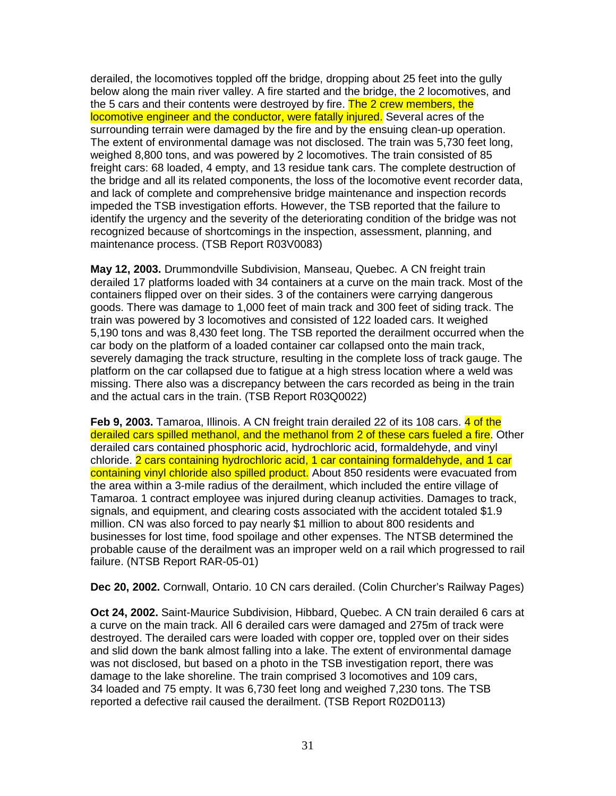derailed, the locomotives toppled off the bridge, dropping about 25 feet into the gully below along the main river valley. A fire started and the bridge, the 2 locomotives, and the 5 cars and their contents were destroyed by fire. The 2 crew members, the locomotive engineer and the conductor, were fatally injured. Several acres of the surrounding terrain were damaged by the fire and by the ensuing clean-up operation. The extent of environmental damage was not disclosed. The train was 5,730 feet long, weighed 8,800 tons, and was powered by 2 locomotives. The train consisted of 85 freight cars: 68 loaded, 4 empty, and 13 residue tank cars. The complete destruction of the bridge and all its related components, the loss of the locomotive event recorder data, and lack of complete and comprehensive bridge maintenance and inspection records impeded the TSB investigation efforts. However, the TSB reported that the failure to identify the urgency and the severity of the deteriorating condition of the bridge was not recognized because of shortcomings in the inspection, assessment, planning, and maintenance process. (TSB Report R03V0083)

**May 12, 2003.** Drummondville Subdivision, Manseau, Quebec. A CN freight train derailed 17 platforms loaded with 34 containers at a curve on the main track. Most of the containers flipped over on their sides. 3 of the containers were carrying dangerous goods. There was damage to 1,000 feet of main track and 300 feet of siding track. The train was powered by 3 locomotives and consisted of 122 loaded cars. It weighed 5,190 tons and was 8,430 feet long. The TSB reported the derailment occurred when the car body on the platform of a loaded container car collapsed onto the main track, severely damaging the track structure, resulting in the complete loss of track gauge. The platform on the car collapsed due to fatigue at a high stress location where a weld was missing. There also was a discrepancy between the cars recorded as being in the train and the actual cars in the train. (TSB Report R03Q0022)

**Feb 9, 2003.** Tamaroa, Illinois. A CN freight train derailed 22 of its 108 cars. 4 of the derailed cars spilled methanol, and the methanol from 2 of these cars fueled a fire. Other derailed cars contained phosphoric acid, hydrochloric acid, formaldehyde, and vinyl chloride. 2 cars containing hydrochloric acid, 1 car containing formaldehyde, and 1 car containing vinyl chloride also spilled product. About 850 residents were evacuated from the area within a 3-mile radius of the derailment, which included the entire village of Tamaroa. 1 contract employee was injured during cleanup activities. Damages to track, signals, and equipment, and clearing costs associated with the accident totaled \$1.9 million. CN was also forced to pay nearly \$1 million to about 800 residents and businesses for lost time, food spoilage and other expenses. The NTSB determined the probable cause of the derailment was an improper weld on a rail which progressed to rail failure. (NTSB Report RAR-05-01)

**Dec 20, 2002.** Cornwall, Ontario. 10 CN cars derailed. (Colin Churcher's Railway Pages)

**Oct 24, 2002.** Saint-Maurice Subdivision, Hibbard, Quebec. A CN train derailed 6 cars at a curve on the main track. All 6 derailed cars were damaged and 275m of track were destroyed. The derailed cars were loaded with copper ore, toppled over on their sides and slid down the bank almost falling into a lake. The extent of environmental damage was not disclosed, but based on a photo in the TSB investigation report, there was damage to the lake shoreline. The train comprised 3 locomotives and 109 cars, 34 loaded and 75 empty. It was 6,730 feet long and weighed 7,230 tons. The TSB reported a defective rail caused the derailment. (TSB Report R02D0113)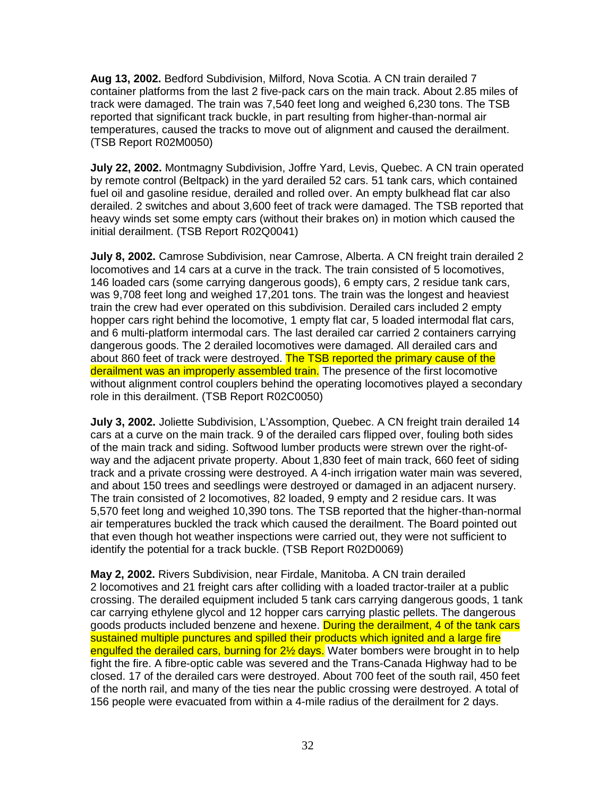**Aug 13, 2002.** Bedford Subdivision, Milford, Nova Scotia. A CN train derailed 7 container platforms from the last 2 five-pack cars on the main track. About 2.85 miles of track were damaged. The train was 7,540 feet long and weighed 6,230 tons. The TSB reported that significant track buckle, in part resulting from higher-than-normal air temperatures, caused the tracks to move out of alignment and caused the derailment. (TSB Report R02M0050)

**July 22, 2002.** Montmagny Subdivision, Joffre Yard, Levis, Quebec. A CN train operated by remote control (Beltpack) in the yard derailed 52 cars. 51 tank cars, which contained fuel oil and gasoline residue, derailed and rolled over. An empty bulkhead flat car also derailed. 2 switches and about 3,600 feet of track were damaged. The TSB reported that heavy winds set some empty cars (without their brakes on) in motion which caused the initial derailment. (TSB Report R02Q0041)

**July 8, 2002.** Camrose Subdivision, near Camrose, Alberta. A CN freight train derailed 2 locomotives and 14 cars at a curve in the track. The train consisted of 5 locomotives, 146 loaded cars (some carrying dangerous goods), 6 empty cars, 2 residue tank cars, was 9,708 feet long and weighed 17,201 tons. The train was the longest and heaviest train the crew had ever operated on this subdivision. Derailed cars included 2 empty hopper cars right behind the locomotive, 1 empty flat car, 5 loaded intermodal flat cars, and 6 multi-platform intermodal cars. The last derailed car carried 2 containers carrying dangerous goods. The 2 derailed locomotives were damaged. All derailed cars and about 860 feet of track were destroyed. The TSB reported the primary cause of the derailment was an improperly assembled train. The presence of the first locomotive without alignment control couplers behind the operating locomotives played a secondary role in this derailment. (TSB Report R02C0050)

**July 3, 2002.** Joliette Subdivision, L'Assomption, Quebec. A CN freight train derailed 14 cars at a curve on the main track. 9 of the derailed cars flipped over, fouling both sides of the main track and siding. Softwood lumber products were strewn over the right-ofway and the adjacent private property. About 1,830 feet of main track, 660 feet of siding track and a private crossing were destroyed. A 4-inch irrigation water main was severed, and about 150 trees and seedlings were destroyed or damaged in an adjacent nursery. The train consisted of 2 locomotives, 82 loaded, 9 empty and 2 residue cars. It was 5,570 feet long and weighed 10,390 tons. The TSB reported that the higher-than-normal air temperatures buckled the track which caused the derailment. The Board pointed out that even though hot weather inspections were carried out, they were not sufficient to identify the potential for a track buckle. (TSB Report R02D0069)

**May 2, 2002.** Rivers Subdivision, near Firdale, Manitoba. A CN train derailed 2 locomotives and 21 freight cars after colliding with a loaded tractor-trailer at a public crossing. The derailed equipment included 5 tank cars carrying dangerous goods, 1 tank car carrying ethylene glycol and 12 hopper cars carrying plastic pellets. The dangerous goods products included benzene and hexene. During the derailment, 4 of the tank cars sustained multiple punctures and spilled their products which ignited and a large fire engulfed the derailed cars, burning for 2<sup>1/2</sup> days. Water bombers were brought in to help fight the fire. A fibre-optic cable was severed and the Trans-Canada Highway had to be closed. 17 of the derailed cars were destroyed. About 700 feet of the south rail, 450 feet of the north rail, and many of the ties near the public crossing were destroyed. A total of 156 people were evacuated from within a 4-mile radius of the derailment for 2 days.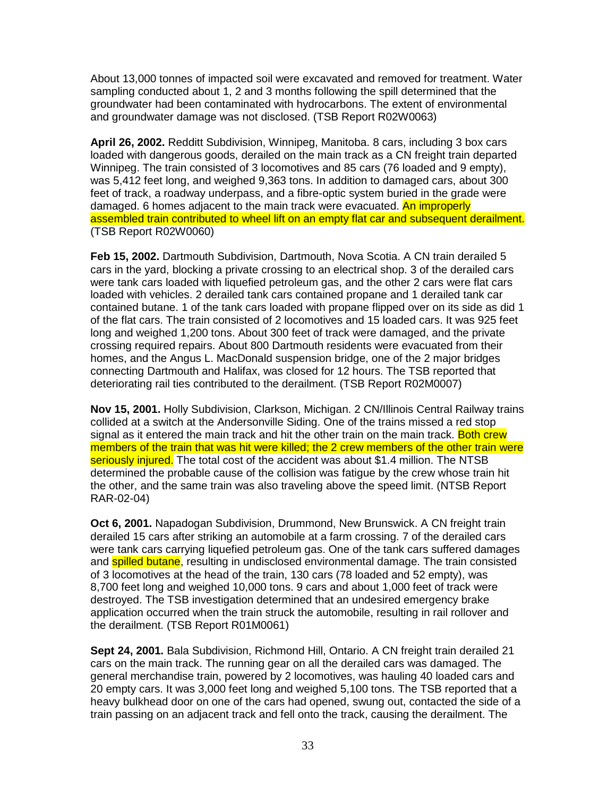About 13,000 tonnes of impacted soil were excavated and removed for treatment. Water sampling conducted about 1, 2 and 3 months following the spill determined that the groundwater had been contaminated with hydrocarbons. The extent of environmental and groundwater damage was not disclosed. (TSB Report R02W0063)

**April 26, 2002.** Redditt Subdivision, Winnipeg, Manitoba. 8 cars, including 3 box cars loaded with dangerous goods, derailed on the main track as a CN freight train departed Winnipeg. The train consisted of 3 locomotives and 85 cars (76 loaded and 9 empty), was 5,412 feet long, and weighed 9,363 tons. In addition to damaged cars, about 300 feet of track, a roadway underpass, and a fibre-optic system buried in the grade were damaged. 6 homes adjacent to the main track were evacuated. An improperly assembled train contributed to wheel lift on an empty flat car and subsequent derailment. (TSB Report R02W0060)

**Feb 15, 2002.** Dartmouth Subdivision, Dartmouth, Nova Scotia. A CN train derailed 5 cars in the yard, blocking a private crossing to an electrical shop. 3 of the derailed cars were tank cars loaded with liquefied petroleum gas, and the other 2 cars were flat cars loaded with vehicles. 2 derailed tank cars contained propane and 1 derailed tank car contained butane. 1 of the tank cars loaded with propane flipped over on its side as did 1 of the flat cars. The train consisted of 2 locomotives and 15 loaded cars. It was 925 feet long and weighed 1,200 tons. About 300 feet of track were damaged, and the private crossing required repairs. About 800 Dartmouth residents were evacuated from their homes, and the Angus L. MacDonald suspension bridge, one of the 2 major bridges connecting Dartmouth and Halifax, was closed for 12 hours. The TSB reported that deteriorating rail ties contributed to the derailment. (TSB Report R02M0007)

**Nov 15, 2001.** Holly Subdivision, Clarkson, Michigan. 2 CN/Illinois Central Railway trains collided at a switch at the Andersonville Siding. One of the trains missed a red stop signal as it entered the main track and hit the other train on the main track. Both crew members of the train that was hit were killed; the 2 crew members of the other train were seriously injured. The total cost of the accident was about \$1.4 million. The NTSB determined the probable cause of the collision was fatigue by the crew whose train hit the other, and the same train was also traveling above the speed limit. (NTSB Report RAR-02-04)

**Oct 6, 2001.** Napadogan Subdivision, Drummond, New Brunswick. A CN freight train derailed 15 cars after striking an automobile at a farm crossing. 7 of the derailed cars were tank cars carrying liquefied petroleum gas. One of the tank cars suffered damages and **spilled butane**, resulting in undisclosed environmental damage. The train consisted of 3 locomotives at the head of the train, 130 cars (78 loaded and 52 empty), was 8,700 feet long and weighed 10,000 tons. 9 cars and about 1,000 feet of track were destroyed. The TSB investigation determined that an undesired emergency brake application occurred when the train struck the automobile, resulting in rail rollover and the derailment. (TSB Report R01M0061)

**Sept 24, 2001.** Bala Subdivision, Richmond Hill, Ontario. A CN freight train derailed 21 cars on the main track. The running gear on all the derailed cars was damaged. The general merchandise train, powered by 2 locomotives, was hauling 40 loaded cars and 20 empty cars. It was 3,000 feet long and weighed 5,100 tons. The TSB reported that a heavy bulkhead door on one of the cars had opened, swung out, contacted the side of a train passing on an adjacent track and fell onto the track, causing the derailment. The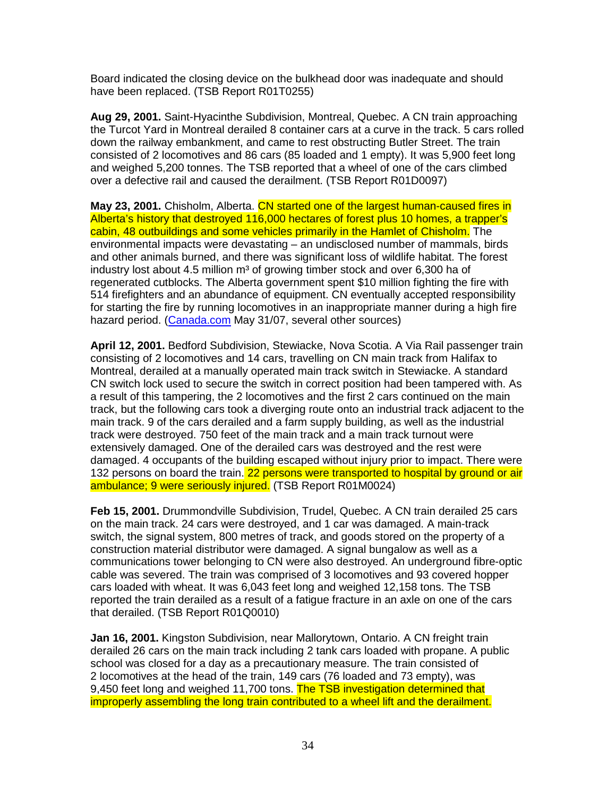Board indicated the closing device on the bulkhead door was inadequate and should have been replaced. (TSB Report R01T0255)

**Aug 29, 2001.** Saint-Hyacinthe Subdivision, Montreal, Quebec. A CN train approaching the Turcot Yard in Montreal derailed 8 container cars at a curve in the track. 5 cars rolled down the railway embankment, and came to rest obstructing Butler Street. The train consisted of 2 locomotives and 86 cars (85 loaded and 1 empty). It was 5,900 feet long and weighed 5,200 tonnes. The TSB reported that a wheel of one of the cars climbed over a defective rail and caused the derailment. (TSB Report R01D0097)

**May 23, 2001.** Chisholm, Alberta. CN started one of the largest human-caused fires in Alberta's history that destroyed 116,000 hectares of forest plus 10 homes, a trapper's cabin, 48 outbuildings and some vehicles primarily in the Hamlet of Chisholm. The environmental impacts were devastating – an undisclosed number of mammals, birds and other animals burned, and there was significant loss of wildlife habitat. The forest industry lost about 4.5 million  $m<sup>3</sup>$  of growing timber stock and over 6,300 ha of regenerated cutblocks. The Alberta government spent \$10 million fighting the fire with 514 firefighters and an abundance of equipment. CN eventually accepted responsibility for starting the fire by running locomotives in an inappropriate manner during a high fire hazard period. (Canada.com May 31/07, several other sources)

**April 12, 2001.** Bedford Subdivision, Stewiacke, Nova Scotia. A Via Rail passenger train consisting of 2 locomotives and 14 cars, travelling on CN main track from Halifax to Montreal, derailed at a manually operated main track switch in Stewiacke. A standard CN switch lock used to secure the switch in correct position had been tampered with. As a result of this tampering, the 2 locomotives and the first 2 cars continued on the main track, but the following cars took a diverging route onto an industrial track adjacent to the main track. 9 of the cars derailed and a farm supply building, as well as the industrial track were destroyed. 750 feet of the main track and a main track turnout were extensively damaged. One of the derailed cars was destroyed and the rest were damaged. 4 occupants of the building escaped without injury prior to impact. There were 132 persons on board the train. 22 persons were transported to hospital by ground or air ambulance; 9 were seriously injured. (TSB Report R01M0024)

**Feb 15, 2001.** Drummondville Subdivision, Trudel, Quebec. A CN train derailed 25 cars on the main track. 24 cars were destroyed, and 1 car was damaged. A main-track switch, the signal system, 800 metres of track, and goods stored on the property of a construction material distributor were damaged. A signal bungalow as well as a communications tower belonging to CN were also destroyed. An underground fibre-optic cable was severed. The train was comprised of 3 locomotives and 93 covered hopper cars loaded with wheat. It was 6,043 feet long and weighed 12,158 tons. The TSB reported the train derailed as a result of a fatigue fracture in an axle on one of the cars that derailed. (TSB Report R01Q0010)

**Jan 16, 2001.** Kingston Subdivision, near Mallorytown, Ontario. A CN freight train derailed 26 cars on the main track including 2 tank cars loaded with propane. A public school was closed for a day as a precautionary measure. The train consisted of 2 locomotives at the head of the train, 149 cars (76 loaded and 73 empty), was 9,450 feet long and weighed 11,700 tons. The TSB investigation determined that improperly assembling the long train contributed to a wheel lift and the derailment.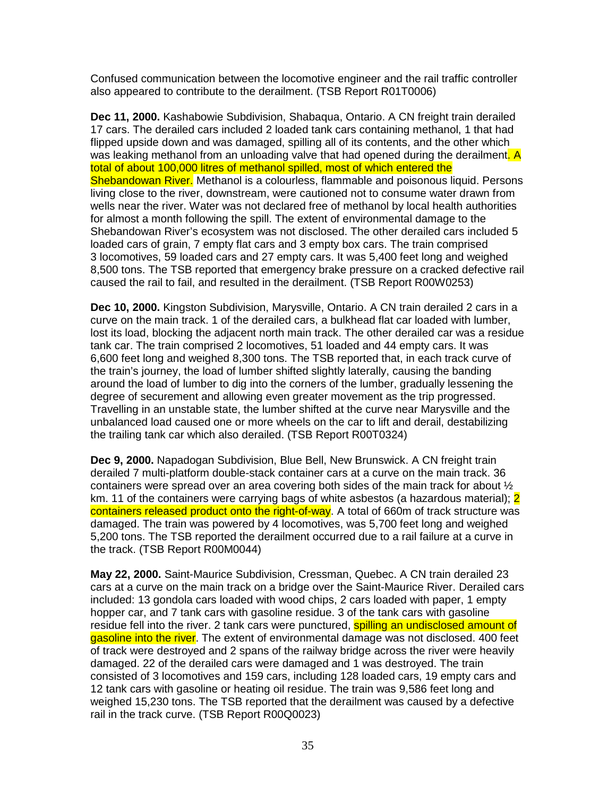Confused communication between the locomotive engineer and the rail traffic controller also appeared to contribute to the derailment. (TSB Report R01T0006)

**Dec 11, 2000.** Kashabowie Subdivision, Shabaqua, Ontario. A CN freight train derailed 17 cars. The derailed cars included 2 loaded tank cars containing methanol, 1 that had flipped upside down and was damaged, spilling all of its contents, and the other which was leaking methanol from an unloading valve that had opened during the derailment. A total of about 100,000 litres of methanol spilled, most of which entered the Shebandowan River. Methanol is a colourless, flammable and poisonous liquid. Persons living close to the river, downstream, were cautioned not to consume water drawn from wells near the river. Water was not declared free of methanol by local health authorities for almost a month following the spill. The extent of environmental damage to the Shebandowan River's ecosystem was not disclosed. The other derailed cars included 5 loaded cars of grain, 7 empty flat cars and 3 empty box cars. The train comprised 3 locomotives, 59 loaded cars and 27 empty cars. It was 5,400 feet long and weighed 8,500 tons. The TSB reported that emergency brake pressure on a cracked defective rail caused the rail to fail, and resulted in the derailment. (TSB Report R00W0253)

**Dec 10, 2000.** Kingston Subdivision, Marysville, Ontario. A CN train derailed 2 cars in a curve on the main track. 1 of the derailed cars, a bulkhead flat car loaded with lumber, lost its load, blocking the adjacent north main track. The other derailed car was a residue tank car. The train comprised 2 locomotives, 51 loaded and 44 empty cars. It was 6,600 feet long and weighed 8,300 tons. The TSB reported that, in each track curve of the train's journey, the load of lumber shifted slightly laterally, causing the banding around the load of lumber to dig into the corners of the lumber, gradually lessening the degree of securement and allowing even greater movement as the trip progressed. Travelling in an unstable state, the lumber shifted at the curve near Marysville and the unbalanced load caused one or more wheels on the car to lift and derail, destabilizing the trailing tank car which also derailed. (TSB Report R00T0324)

**Dec 9, 2000.** Napadogan Subdivision, Blue Bell, New Brunswick. A CN freight train derailed 7 multi-platform double-stack container cars at a curve on the main track. 36 containers were spread over an area covering both sides of the main track for about  $\frac{1}{2}$ km. 11 of the containers were carrying bags of white asbestos (a hazardous material); 2 containers released product onto the right-of-way. A total of 660m of track structure was damaged. The train was powered by 4 locomotives, was 5,700 feet long and weighed 5,200 tons. The TSB reported the derailment occurred due to a rail failure at a curve in the track. (TSB Report R00M0044)

**May 22, 2000.** Saint-Maurice Subdivision, Cressman, Quebec. A CN train derailed 23 cars at a curve on the main track on a bridge over the Saint-Maurice River. Derailed cars included: 13 gondola cars loaded with wood chips, 2 cars loaded with paper, 1 empty hopper car, and 7 tank cars with gasoline residue. 3 of the tank cars with gasoline residue fell into the river. 2 tank cars were punctured, **spilling an undisclosed amount of** gasoline into the river. The extent of environmental damage was not disclosed. 400 feet of track were destroyed and 2 spans of the railway bridge across the river were heavily damaged. 22 of the derailed cars were damaged and 1 was destroyed. The train consisted of 3 locomotives and 159 cars, including 128 loaded cars, 19 empty cars and 12 tank cars with gasoline or heating oil residue. The train was 9,586 feet long and weighed 15,230 tons. The TSB reported that the derailment was caused by a defective rail in the track curve. (TSB Report R00Q0023)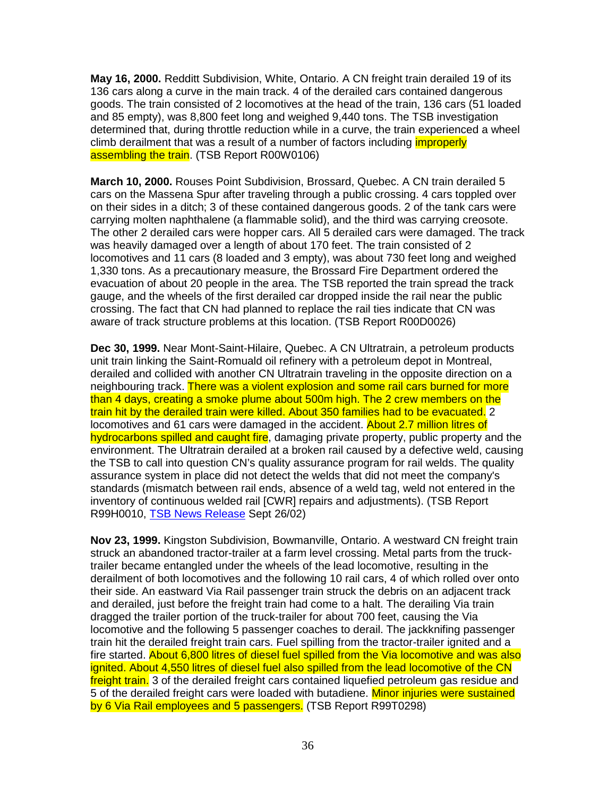**May 16, 2000.** Redditt Subdivision, White, Ontario. A CN freight train derailed 19 of its 136 cars along a curve in the main track. 4 of the derailed cars contained dangerous goods. The train consisted of 2 locomotives at the head of the train, 136 cars (51 loaded and 85 empty), was 8,800 feet long and weighed 9,440 tons. The TSB investigation determined that, during throttle reduction while in a curve, the train experienced a wheel climb derailment that was a result of a number of factors including *improperly* assembling the train. (TSB Report R00W0106)

**March 10, 2000.** Rouses Point Subdivision, Brossard, Quebec. A CN train derailed 5 cars on the Massena Spur after traveling through a public crossing. 4 cars toppled over on their sides in a ditch; 3 of these contained dangerous goods. 2 of the tank cars were carrying molten naphthalene (a flammable solid), and the third was carrying creosote. The other 2 derailed cars were hopper cars. All 5 derailed cars were damaged. The track was heavily damaged over a length of about 170 feet. The train consisted of 2 locomotives and 11 cars (8 loaded and 3 empty), was about 730 feet long and weighed 1,330 tons. As a precautionary measure, the Brossard Fire Department ordered the evacuation of about 20 people in the area. The TSB reported the train spread the track gauge, and the wheels of the first derailed car dropped inside the rail near the public crossing. The fact that CN had planned to replace the rail ties indicate that CN was aware of track structure problems at this location. (TSB Report R00D0026)

**Dec 30, 1999.** Near Mont-Saint-Hilaire, Quebec. A CN Ultratrain, a petroleum products unit train linking the Saint-Romuald oil refinery with a petroleum depot in Montreal, derailed and collided with another CN Ultratrain traveling in the opposite direction on a neighbouring track. There was a violent explosion and some rail cars burned for more than 4 days, creating a smoke plume about 500m high. The 2 crew members on the train hit by the derailed train were killed. About 350 families had to be evacuated. 2 locomotives and 61 cars were damaged in the accident. About 2.7 million litres of hydrocarbons spilled and caught fire, damaging private property, public property and the environment. The Ultratrain derailed at a broken rail caused by a defective weld, causing the TSB to call into question CN's quality assurance program for rail welds. The quality assurance system in place did not detect the welds that did not meet the company's standards (mismatch between rail ends, absence of a weld tag, weld not entered in the inventory of continuous welded rail [CWR] repairs and adjustments). (TSB Report R99H0010, TSB News Release Sept 26/02)

**Nov 23, 1999.** Kingston Subdivision, Bowmanville, Ontario. A westward CN freight train struck an abandoned tractor-trailer at a farm level crossing. Metal parts from the trucktrailer became entangled under the wheels of the lead locomotive, resulting in the derailment of both locomotives and the following 10 rail cars, 4 of which rolled over onto their side. An eastward Via Rail passenger train struck the debris on an adjacent track and derailed, just before the freight train had come to a halt. The derailing Via train dragged the trailer portion of the truck-trailer for about 700 feet, causing the Via locomotive and the following 5 passenger coaches to derail. The jackknifing passenger train hit the derailed freight train cars. Fuel spilling from the tractor-trailer ignited and a fire started. About 6,800 litres of diesel fuel spilled from the Via locomotive and was also ignited. About 4,550 litres of diesel fuel also spilled from the lead locomotive of the CN freight train. 3 of the derailed freight cars contained liquefied petroleum gas residue and 5 of the derailed freight cars were loaded with butadiene. Minor injuries were sustained by 6 Via Rail employees and 5 passengers. (TSB Report R99T0298)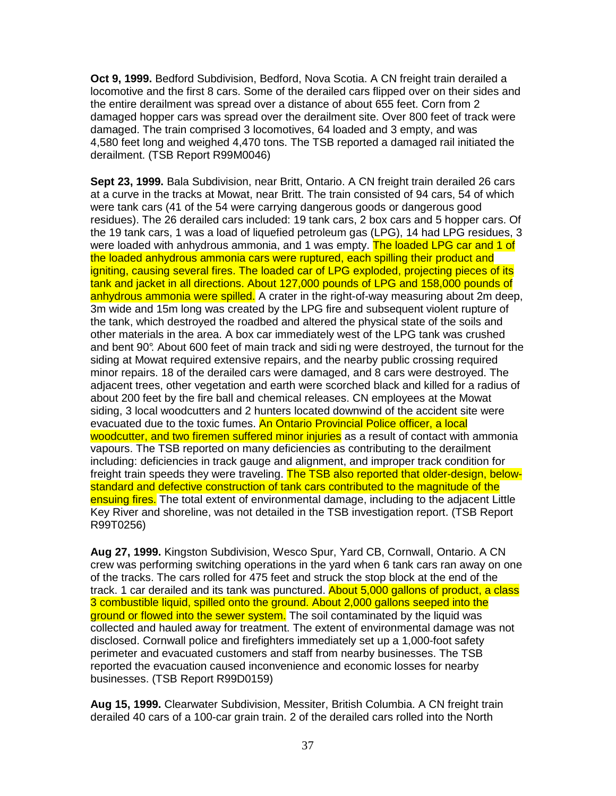**Oct 9, 1999.** Bedford Subdivision, Bedford, Nova Scotia. A CN freight train derailed a locomotive and the first 8 cars. Some of the derailed cars flipped over on their sides and the entire derailment was spread over a distance of about 655 feet. Corn from 2 damaged hopper cars was spread over the derailment site. Over 800 feet of track were damaged. The train comprised 3 locomotives, 64 loaded and 3 empty, and was 4,580 feet long and weighed 4,470 tons. The TSB reported a damaged rail initiated the derailment. (TSB Report R99M0046)

**Sept 23, 1999.** Bala Subdivision, near Britt, Ontario. A CN freight train derailed 26 cars at a curve in the tracks at Mowat, near Britt. The train consisted of 94 cars, 54 of which were tank cars (41 of the 54 were carrying dangerous goods or dangerous good residues). The 26 derailed cars included: 19 tank cars, 2 box cars and 5 hopper cars. Of the 19 tank cars, 1 was a load of liquefied petroleum gas (LPG), 14 had LPG residues, 3 were loaded with anhydrous ammonia, and 1 was empty. The loaded LPG car and 1 of the loaded anhydrous ammonia cars were ruptured, each spilling their product and igniting, causing several fires. The loaded car of LPG exploded, projecting pieces of its tank and jacket in all directions. About 127,000 pounds of LPG and 158,000 pounds of anhydrous ammonia were spilled. A crater in the right-of-way measuring about 2m deep, 3m wide and 15m long was created by the LPG fire and subsequent violent rupture of the tank, which destroyed the roadbed and altered the physical state of the soils and other materials in the area. A box car immediately west of the LPG tank was crushed and bent 90°. About 600 feet of main track and sidi ng were destroyed, the turnout for the siding at Mowat required extensive repairs, and the nearby public crossing required minor repairs. 18 of the derailed cars were damaged, and 8 cars were destroyed. The adjacent trees, other vegetation and earth were scorched black and killed for a radius of about 200 feet by the fire ball and chemical releases. CN employees at the Mowat siding, 3 local woodcutters and 2 hunters located downwind of the accident site were evacuated due to the toxic fumes. An Ontario Provincial Police officer, a local woodcutter, and two firemen suffered minor injuries as a result of contact with ammonia vapours. The TSB reported on many deficiencies as contributing to the derailment including: deficiencies in track gauge and alignment, and improper track condition for freight train speeds they were traveling. The TSB also reported that older-design, belowstandard and defective construction of tank cars contributed to the magnitude of the ensuing fires. The total extent of environmental damage, including to the adjacent Little Key River and shoreline, was not detailed in the TSB investigation report. (TSB Report R99T0256)

**Aug 27, 1999.** Kingston Subdivision, Wesco Spur, Yard CB, Cornwall, Ontario. A CN crew was performing switching operations in the yard when 6 tank cars ran away on one of the tracks. The cars rolled for 475 feet and struck the stop block at the end of the track. 1 car derailed and its tank was punctured. About 5,000 gallons of product, a class 3 combustible liquid, spilled onto the ground. About 2,000 gallons seeped into the ground or flowed into the sewer system. The soil contaminated by the liquid was collected and hauled away for treatment. The extent of environmental damage was not disclosed. Cornwall police and firefighters immediately set up a 1,000-foot safety perimeter and evacuated customers and staff from nearby businesses. The TSB reported the evacuation caused inconvenience and economic losses for nearby businesses. (TSB Report R99D0159)

**Aug 15, 1999.** Clearwater Subdivision, Messiter, British Columbia. A CN freight train derailed 40 cars of a 100-car grain train. 2 of the derailed cars rolled into the North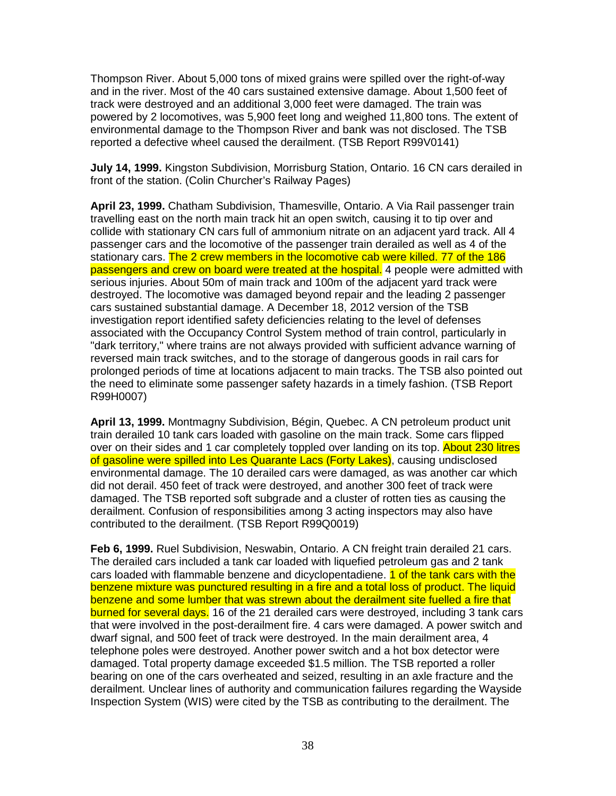Thompson River. About 5,000 tons of mixed grains were spilled over the right-of-way and in the river. Most of the 40 cars sustained extensive damage. About 1,500 feet of track were destroyed and an additional 3,000 feet were damaged. The train was powered by 2 locomotives, was 5,900 feet long and weighed 11,800 tons. The extent of environmental damage to the Thompson River and bank was not disclosed. The TSB reported a defective wheel caused the derailment. (TSB Report R99V0141)

**July 14, 1999.** Kingston Subdivision, Morrisburg Station, Ontario. 16 CN cars derailed in front of the station. (Colin Churcher's Railway Pages)

**April 23, 1999.** Chatham Subdivision, Thamesville, Ontario. A Via Rail passenger train travelling east on the north main track hit an open switch, causing it to tip over and collide with stationary CN cars full of ammonium nitrate on an adjacent yard track. All 4 passenger cars and the locomotive of the passenger train derailed as well as 4 of the stationary cars. The 2 crew members in the locomotive cab were killed. 77 of the 186 passengers and crew on board were treated at the hospital. 4 people were admitted with serious injuries. About 50m of main track and 100m of the adjacent yard track were destroyed. The locomotive was damaged beyond repair and the leading 2 passenger cars sustained substantial damage. A December 18, 2012 version of the TSB investigation report identified safety deficiencies relating to the level of defenses associated with the Occupancy Control System method of train control, particularly in "dark territory," where trains are not always provided with sufficient advance warning of reversed main track switches, and to the storage of dangerous goods in rail cars for prolonged periods of time at locations adjacent to main tracks. The TSB also pointed out the need to eliminate some passenger safety hazards in a timely fashion. (TSB Report R99H0007)

**April 13, 1999.** Montmagny Subdivision, Bégin, Quebec. A CN petroleum product unit train derailed 10 tank cars loaded with gasoline on the main track. Some cars flipped over on their sides and 1 car completely toppled over landing on its top. About 230 litres of gasoline were spilled into Les Quarante Lacs (Forty Lakes), causing undisclosed environmental damage. The 10 derailed cars were damaged, as was another car which did not derail. 450 feet of track were destroyed, and another 300 feet of track were damaged. The TSB reported soft subgrade and a cluster of rotten ties as causing the derailment. Confusion of responsibilities among 3 acting inspectors may also have contributed to the derailment. (TSB Report R99Q0019)

**Feb 6, 1999.** Ruel Subdivision, Neswabin, Ontario. A CN freight train derailed 21 cars. The derailed cars included a tank car loaded with liquefied petroleum gas and 2 tank cars loaded with flammable benzene and dicyclopentadiene. 1 of the tank cars with the benzene mixture was punctured resulting in a fire and a total loss of product. The liquid benzene and some lumber that was strewn about the derailment site fuelled a fire that burned for several days. 16 of the 21 derailed cars were destroyed, including 3 tank cars that were involved in the post-derailment fire. 4 cars were damaged. A power switch and dwarf signal, and 500 feet of track were destroyed. In the main derailment area, 4 telephone poles were destroyed. Another power switch and a hot box detector were damaged. Total property damage exceeded \$1.5 million. The TSB reported a roller bearing on one of the cars overheated and seized, resulting in an axle fracture and the derailment. Unclear lines of authority and communication failures regarding the Wayside Inspection System (WIS) were cited by the TSB as contributing to the derailment. The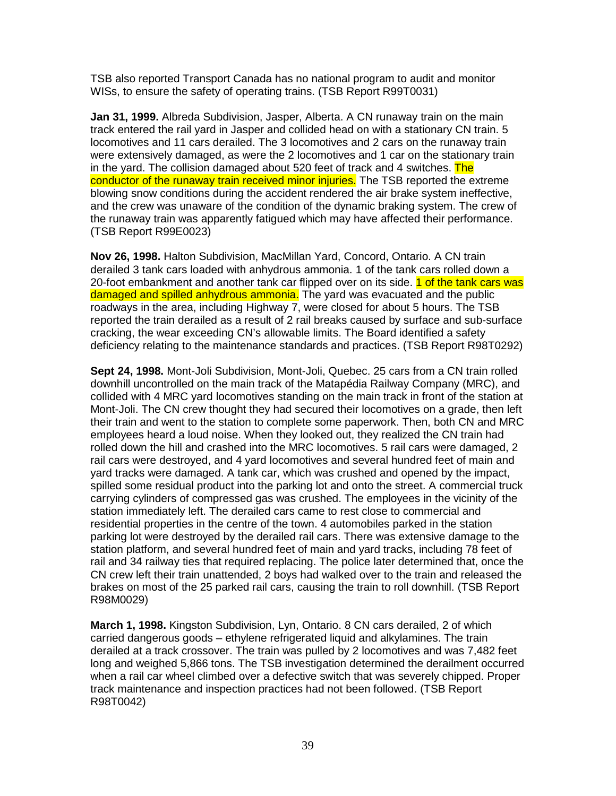TSB also reported Transport Canada has no national program to audit and monitor WISs, to ensure the safety of operating trains. (TSB Report R99T0031)

**Jan 31, 1999.** Albreda Subdivision, Jasper, Alberta. A CN runaway train on the main track entered the rail yard in Jasper and collided head on with a stationary CN train. 5 locomotives and 11 cars derailed. The 3 locomotives and 2 cars on the runaway train were extensively damaged, as were the 2 locomotives and 1 car on the stationary train in the yard. The collision damaged about 520 feet of track and 4 switches. The conductor of the runaway train received minor injuries. The TSB reported the extreme blowing snow conditions during the accident rendered the air brake system ineffective, and the crew was unaware of the condition of the dynamic braking system. The crew of the runaway train was apparently fatigued which may have affected their performance. (TSB Report R99E0023)

**Nov 26, 1998.** Halton Subdivision, MacMillan Yard, Concord, Ontario. A CN train derailed 3 tank cars loaded with anhydrous ammonia. 1 of the tank cars rolled down a 20-foot embankment and another tank car flipped over on its side. 1 of the tank cars was damaged and spilled anhydrous ammonia. The yard was evacuated and the public roadways in the area, including Highway 7, were closed for about 5 hours. The TSB reported the train derailed as a result of 2 rail breaks caused by surface and sub-surface cracking, the wear exceeding CN's allowable limits. The Board identified a safety deficiency relating to the maintenance standards and practices. (TSB Report R98T0292)

**Sept 24, 1998.** Mont-Joli Subdivision, Mont-Joli, Quebec. 25 cars from a CN train rolled downhill uncontrolled on the main track of the Matapédia Railway Company (MRC), and collided with 4 MRC yard locomotives standing on the main track in front of the station at Mont-Joli. The CN crew thought they had secured their locomotives on a grade, then left their train and went to the station to complete some paperwork. Then, both CN and MRC employees heard a loud noise. When they looked out, they realized the CN train had rolled down the hill and crashed into the MRC locomotives. 5 rail cars were damaged, 2 rail cars were destroyed, and 4 yard locomotives and several hundred feet of main and yard tracks were damaged. A tank car, which was crushed and opened by the impact, spilled some residual product into the parking lot and onto the street. A commercial truck carrying cylinders of compressed gas was crushed. The employees in the vicinity of the station immediately left. The derailed cars came to rest close to commercial and residential properties in the centre of the town. 4 automobiles parked in the station parking lot were destroyed by the derailed rail cars. There was extensive damage to the station platform, and several hundred feet of main and yard tracks, including 78 feet of rail and 34 railway ties that required replacing. The police later determined that, once the CN crew left their train unattended, 2 boys had walked over to the train and released the brakes on most of the 25 parked rail cars, causing the train to roll downhill. (TSB Report R98M0029)

**March 1, 1998.** Kingston Subdivision, Lyn, Ontario. 8 CN cars derailed, 2 of which carried dangerous goods – ethylene refrigerated liquid and alkylamines. The train derailed at a track crossover. The train was pulled by 2 locomotives and was 7,482 feet long and weighed 5,866 tons. The TSB investigation determined the derailment occurred when a rail car wheel climbed over a defective switch that was severely chipped. Proper track maintenance and inspection practices had not been followed. (TSB Report R98T0042)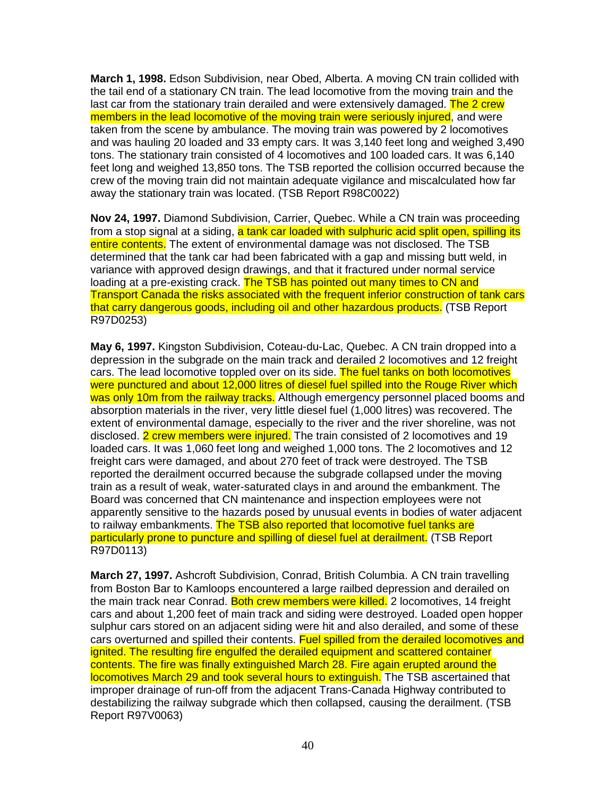**March 1, 1998.** Edson Subdivision, near Obed, Alberta. A moving CN train collided with the tail end of a stationary CN train. The lead locomotive from the moving train and the last car from the stationary train derailed and were extensively damaged. The 2 crew members in the lead locomotive of the moving train were seriously injured, and were taken from the scene by ambulance. The moving train was powered by 2 locomotives and was hauling 20 loaded and 33 empty cars. It was 3,140 feet long and weighed 3,490 tons. The stationary train consisted of 4 locomotives and 100 loaded cars. It was 6,140 feet long and weighed 13,850 tons. The TSB reported the collision occurred because the crew of the moving train did not maintain adequate vigilance and miscalculated how far away the stationary train was located. (TSB Report R98C0022)

**Nov 24, 1997.** Diamond Subdivision, Carrier, Quebec. While a CN train was proceeding from a stop signal at a siding, a tank car loaded with sulphuric acid split open, spilling its entire contents. The extent of environmental damage was not disclosed. The TSB determined that the tank car had been fabricated with a gap and missing butt weld, in variance with approved design drawings, and that it fractured under normal service loading at a pre-existing crack. The TSB has pointed out many times to CN and Transport Canada the risks associated with the frequent inferior construction of tank cars that carry dangerous goods, including oil and other hazardous products. (TSB Report R97D0253)

**May 6, 1997.** Kingston Subdivision, Coteau-du-Lac, Quebec. A CN train dropped into a depression in the subgrade on the main track and derailed 2 locomotives and 12 freight cars. The lead locomotive toppled over on its side. The fuel tanks on both locomotives were punctured and about 12,000 litres of diesel fuel spilled into the Rouge River which was only 10m from the railway tracks. Although emergency personnel placed booms and absorption materials in the river, very little diesel fuel (1,000 litres) was recovered. The extent of environmental damage, especially to the river and the river shoreline, was not disclosed. 2 crew members were injured. The train consisted of 2 locomotives and 19 loaded cars. It was 1,060 feet long and weighed 1,000 tons. The 2 locomotives and 12 freight cars were damaged, and about 270 feet of track were destroyed. The TSB reported the derailment occurred because the subgrade collapsed under the moving train as a result of weak, water-saturated clays in and around the embankment. The Board was concerned that CN maintenance and inspection employees were not apparently sensitive to the hazards posed by unusual events in bodies of water adjacent to railway embankments. The TSB also reported that locomotive fuel tanks are particularly prone to puncture and spilling of diesel fuel at derailment. (TSB Report R97D0113)

**March 27, 1997.** Ashcroft Subdivision, Conrad, British Columbia. A CN train travelling from Boston Bar to Kamloops encountered a large railbed depression and derailed on the main track near Conrad. Both crew members were killed. 2 locomotives, 14 freight cars and about 1,200 feet of main track and siding were destroyed. Loaded open hopper sulphur cars stored on an adjacent siding were hit and also derailed, and some of these cars overturned and spilled their contents. Fuel spilled from the derailed locomotives and ignited. The resulting fire engulfed the derailed equipment and scattered container contents. The fire was finally extinguished March 28. Fire again erupted around the locomotives March 29 and took several hours to extinguish. The TSB ascertained that improper drainage of run-off from the adjacent Trans-Canada Highway contributed to destabilizing the railway subgrade which then collapsed, causing the derailment. (TSB Report R97V0063)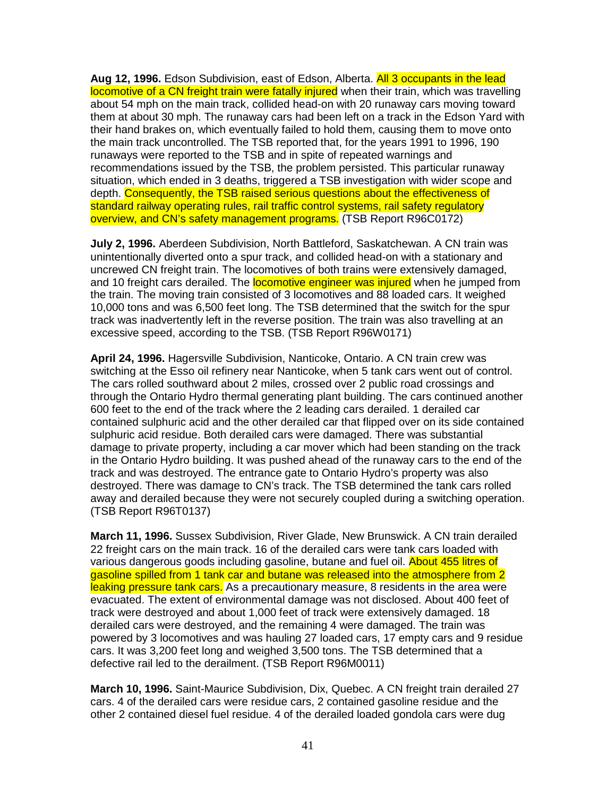**Aug 12, 1996.** Edson Subdivision, east of Edson, Alberta. All 3 occupants in the lead locomotive of a CN freight train were fatally injured when their train, which was travelling about 54 mph on the main track, collided head-on with 20 runaway cars moving toward them at about 30 mph. The runaway cars had been left on a track in the Edson Yard with their hand brakes on, which eventually failed to hold them, causing them to move onto the main track uncontrolled. The TSB reported that, for the years 1991 to 1996, 190 runaways were reported to the TSB and in spite of repeated warnings and recommendations issued by the TSB, the problem persisted. This particular runaway situation, which ended in 3 deaths, triggered a TSB investigation with wider scope and depth. Consequently, the TSB raised serious questions about the effectiveness of standard railway operating rules, rail traffic control systems, rail safety regulatory overview, and CN's safety management programs. (TSB Report R96C0172)

**July 2, 1996.** Aberdeen Subdivision, North Battleford, Saskatchewan. A CN train was unintentionally diverted onto a spur track, and collided head-on with a stationary and uncrewed CN freight train. The locomotives of both trains were extensively damaged, and 10 freight cars derailed. The **locomotive engineer was injured** when he jumped from the train. The moving train consisted of 3 locomotives and 88 loaded cars. It weighed 10,000 tons and was 6,500 feet long. The TSB determined that the switch for the spur track was inadvertently left in the reverse position. The train was also travelling at an excessive speed, according to the TSB. (TSB Report R96W0171)

**April 24, 1996.** Hagersville Subdivision, Nanticoke, Ontario. A CN train crew was switching at the Esso oil refinery near Nanticoke, when 5 tank cars went out of control. The cars rolled southward about 2 miles, crossed over 2 public road crossings and through the Ontario Hydro thermal generating plant building. The cars continued another 600 feet to the end of the track where the 2 leading cars derailed. 1 derailed car contained sulphuric acid and the other derailed car that flipped over on its side contained sulphuric acid residue. Both derailed cars were damaged. There was substantial damage to private property, including a car mover which had been standing on the track in the Ontario Hydro building. It was pushed ahead of the runaway cars to the end of the track and was destroyed. The entrance gate to Ontario Hydro's property was also destroyed. There was damage to CN's track. The TSB determined the tank cars rolled away and derailed because they were not securely coupled during a switching operation. (TSB Report R96T0137)

**March 11, 1996.** Sussex Subdivision, River Glade, New Brunswick. A CN train derailed 22 freight cars on the main track. 16 of the derailed cars were tank cars loaded with various dangerous goods including gasoline, butane and fuel oil. About 455 litres of gasoline spilled from 1 tank car and butane was released into the atmosphere from 2 leaking pressure tank cars. As a precautionary measure, 8 residents in the area were evacuated. The extent of environmental damage was not disclosed. About 400 feet of track were destroyed and about 1,000 feet of track were extensively damaged. 18 derailed cars were destroyed, and the remaining 4 were damaged. The train was powered by 3 locomotives and was hauling 27 loaded cars, 17 empty cars and 9 residue cars. It was 3,200 feet long and weighed 3,500 tons. The TSB determined that a defective rail led to the derailment. (TSB Report R96M0011)

**March 10, 1996.** Saint-Maurice Subdivision, Dix, Quebec. A CN freight train derailed 27 cars. 4 of the derailed cars were residue cars, 2 contained gasoline residue and the other 2 contained diesel fuel residue. 4 of the derailed loaded gondola cars were dug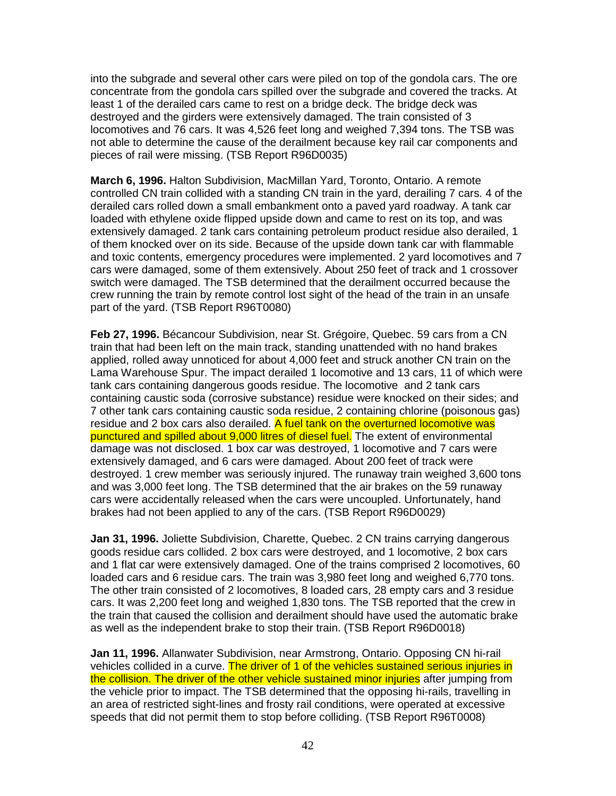into the subgrade and several other cars were piled on top of the gondola cars. The ore concentrate from the gondola cars spilled over the subgrade and covered the tracks. At least 1 of the derailed cars came to rest on a bridge deck. The bridge deck was destroyed and the girders were extensively damaged. The train consisted of 3 locomotives and 76 cars. It was 4,526 feet long and weighed 7,394 tons. The TSB was not able to determine the cause of the derailment because key rail car components and pieces of rail were missing. (TSB Report R96D0035)

**March 6, 1996.** Halton Subdivision, MacMillan Yard, Toronto, Ontario. A remote controlled CN train collided with a standing CN train in the yard, derailing 7 cars. 4 of the derailed cars rolled down a small embankment onto a paved yard roadway. A tank car loaded with ethylene oxide flipped upside down and came to rest on its top, and was extensively damaged. 2 tank cars containing petroleum product residue also derailed, 1 of them knocked over on its side. Because of the upside down tank car with flammable and toxic contents, emergency procedures were implemented. 2 yard locomotives and 7 cars were damaged, some of them extensively. About 250 feet of track and 1 crossover switch were damaged. The TSB determined that the derailment occurred because the crew running the train by remote control lost sight of the head of the train in an unsafe part of the yard. (TSB Report R96T0080)

**Feb 27, 1996.** Bécancour Subdivision, near St. Grégoire, Quebec. 59 cars from a CN train that had been left on the main track, standing unattended with no hand brakes applied, rolled away unnoticed for about 4,000 feet and struck another CN train on the Lama Warehouse Spur. The impact derailed 1 locomotive and 13 cars, 11 of which were tank cars containing dangerous goods residue. The locomotive and 2 tank cars containing caustic soda (corrosive substance) residue were knocked on their sides; and 7 other tank cars containing caustic soda residue, 2 containing chlorine (poisonous gas) residue and 2 box cars also derailed. A fuel tank on the overturned locomotive was punctured and spilled about 9,000 litres of diesel fuel. The extent of environmental damage was not disclosed. 1 box car was destroyed, 1 locomotive and 7 cars were extensively damaged, and 6 cars were damaged. About 200 feet of track were destroyed. 1 crew member was seriously injured. The runaway train weighed 3,600 tons and was 3,000 feet long. The TSB determined that the air brakes on the 59 runaway cars were accidentally released when the cars were uncoupled. Unfortunately, hand brakes had not been applied to any of the cars. (TSB Report R96D0029)

**Jan 31, 1996.** Joliette Subdivision, Charette, Quebec. 2 CN trains carrying dangerous goods residue cars collided. 2 box cars were destroyed, and 1 locomotive, 2 box cars and 1 flat car were extensively damaged. One of the trains comprised 2 locomotives, 60 loaded cars and 6 residue cars. The train was 3,980 feet long and weighed 6,770 tons. The other train consisted of 2 locomotives, 8 loaded cars, 28 empty cars and 3 residue cars. It was 2,200 feet long and weighed 1,830 tons. The TSB reported that the crew in the train that caused the collision and derailment should have used the automatic brake as well as the independent brake to stop their train. (TSB Report R96D0018)

**Jan 11, 1996.** Allanwater Subdivision, near Armstrong, Ontario. Opposing CN hi-rail vehicles collided in a curve. The driver of 1 of the vehicles sustained serious injuries in the collision. The driver of the other vehicle sustained minor injuries after jumping from the vehicle prior to impact. The TSB determined that the opposing hi-rails, travelling in an area of restricted sight-lines and frosty rail conditions, were operated at excessive speeds that did not permit them to stop before colliding. (TSB Report R96T0008)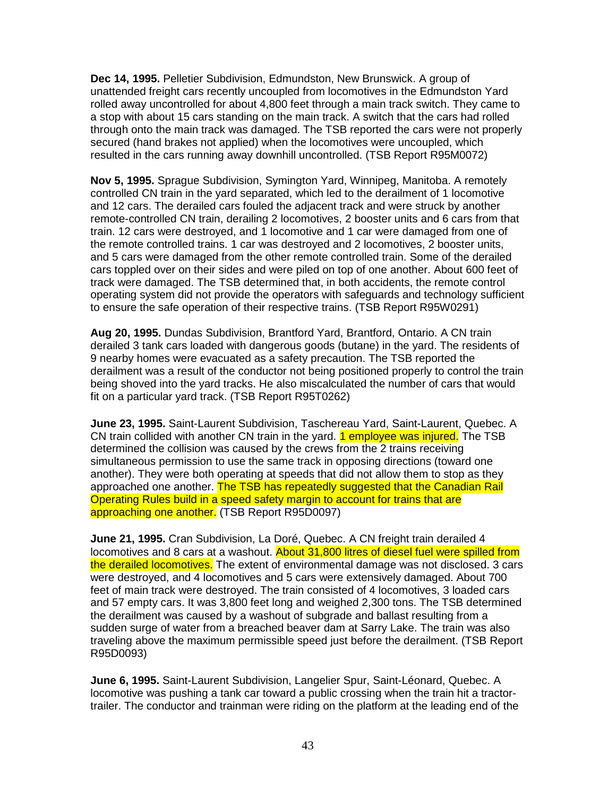**Dec 14, 1995.** Pelletier Subdivision, Edmundston, New Brunswick. A group of unattended freight cars recently uncoupled from locomotives in the Edmundston Yard rolled away uncontrolled for about 4,800 feet through a main track switch. They came to a stop with about 15 cars standing on the main track. A switch that the cars had rolled through onto the main track was damaged. The TSB reported the cars were not properly secured (hand brakes not applied) when the locomotives were uncoupled, which resulted in the cars running away downhill uncontrolled. (TSB Report R95M0072)

**Nov 5, 1995.** Sprague Subdivision, Symington Yard, Winnipeg, Manitoba. A remotely controlled CN train in the yard separated, which led to the derailment of 1 locomotive and 12 cars. The derailed cars fouled the adjacent track and were struck by another remote-controlled CN train, derailing 2 locomotives, 2 booster units and 6 cars from that train. 12 cars were destroyed, and 1 locomotive and 1 car were damaged from one of the remote controlled trains. 1 car was destroyed and 2 locomotives, 2 booster units, and 5 cars were damaged from the other remote controlled train. Some of the derailed cars toppled over on their sides and were piled on top of one another. About 600 feet of track were damaged. The TSB determined that, in both accidents, the remote control operating system did not provide the operators with safeguards and technology sufficient to ensure the safe operation of their respective trains. (TSB Report R95W0291)

**Aug 20, 1995.** Dundas Subdivision, Brantford Yard, Brantford, Ontario. A CN train derailed 3 tank cars loaded with dangerous goods (butane) in the yard. The residents of 9 nearby homes were evacuated as a safety precaution. The TSB reported the derailment was a result of the conductor not being positioned properly to control the train being shoved into the yard tracks. He also miscalculated the number of cars that would fit on a particular yard track. (TSB Report R95T0262)

**June 23, 1995.** Saint-Laurent Subdivision, Taschereau Yard, Saint-Laurent, Quebec. A CN train collided with another CN train in the yard. 1 employee was injured. The TSB determined the collision was caused by the crews from the 2 trains receiving simultaneous permission to use the same track in opposing directions (toward one another). They were both operating at speeds that did not allow them to stop as they approached one another. The TSB has repeatedly suggested that the Canadian Rail Operating Rules build in a speed safety margin to account for trains that are approaching one another. (TSB Report R95D0097)

**June 21, 1995.** Cran Subdivision, La Doré, Quebec. A CN freight train derailed 4 locomotives and 8 cars at a washout. About 31,800 litres of diesel fuel were spilled from the derailed locomotives. The extent of environmental damage was not disclosed. 3 cars were destroyed, and 4 locomotives and 5 cars were extensively damaged. About 700 feet of main track were destroyed. The train consisted of 4 locomotives, 3 loaded cars and 57 empty cars. It was 3,800 feet long and weighed 2,300 tons. The TSB determined the derailment was caused by a washout of subgrade and ballast resulting from a sudden surge of water from a breached beaver dam at Sarry Lake. The train was also traveling above the maximum permissible speed just before the derailment. (TSB Report R95D0093)

**June 6, 1995.** Saint-Laurent Subdivision, Langelier Spur, Saint-Léonard, Quebec. A locomotive was pushing a tank car toward a public crossing when the train hit a tractortrailer. The conductor and trainman were riding on the platform at the leading end of the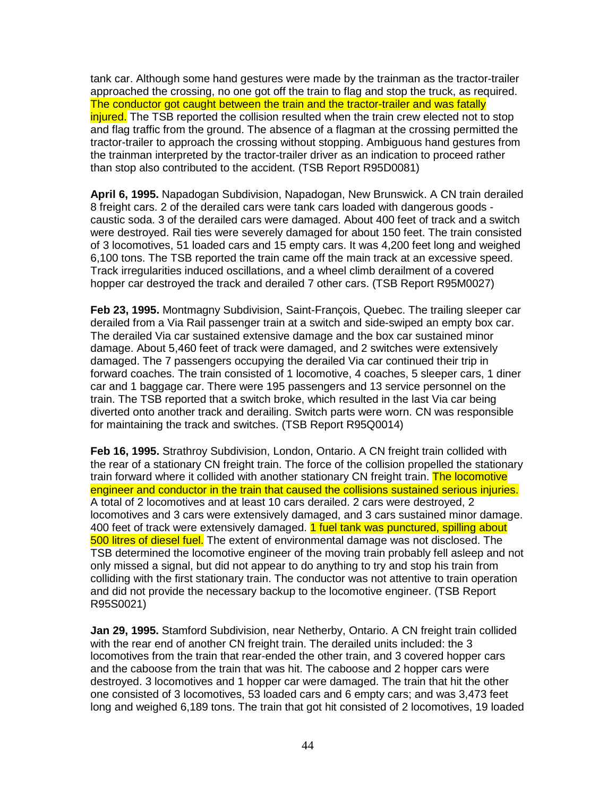tank car. Although some hand gestures were made by the trainman as the tractor-trailer approached the crossing, no one got off the train to flag and stop the truck, as required. The conductor got caught between the train and the tractor-trailer and was fatally injured. The TSB reported the collision resulted when the train crew elected not to stop and flag traffic from the ground. The absence of a flagman at the crossing permitted the tractor-trailer to approach the crossing without stopping. Ambiguous hand gestures from the trainman interpreted by the tractor-trailer driver as an indication to proceed rather than stop also contributed to the accident. (TSB Report R95D0081)

**April 6, 1995.** Napadogan Subdivision, Napadogan, New Brunswick. A CN train derailed 8 freight cars. 2 of the derailed cars were tank cars loaded with dangerous goods caustic soda. 3 of the derailed cars were damaged. About 400 feet of track and a switch were destroyed. Rail ties were severely damaged for about 150 feet. The train consisted of 3 locomotives, 51 loaded cars and 15 empty cars. It was 4,200 feet long and weighed 6,100 tons. The TSB reported the train came off the main track at an excessive speed. Track irregularities induced oscillations, and a wheel climb derailment of a covered hopper car destroyed the track and derailed 7 other cars. (TSB Report R95M0027)

**Feb 23, 1995.** Montmagny Subdivision, Saint-François, Quebec. The trailing sleeper car derailed from a Via Rail passenger train at a switch and side-swiped an empty box car. The derailed Via car sustained extensive damage and the box car sustained minor damage. About 5,460 feet of track were damaged, and 2 switches were extensively damaged. The 7 passengers occupying the derailed Via car continued their trip in forward coaches. The train consisted of 1 locomotive, 4 coaches, 5 sleeper cars, 1 diner car and 1 baggage car. There were 195 passengers and 13 service personnel on the train. The TSB reported that a switch broke, which resulted in the last Via car being diverted onto another track and derailing. Switch parts were worn. CN was responsible for maintaining the track and switches. (TSB Report R95Q0014)

**Feb 16, 1995.** Strathroy Subdivision, London, Ontario. A CN freight train collided with the rear of a stationary CN freight train. The force of the collision propelled the stationary train forward where it collided with another stationary CN freight train. The locomotive engineer and conductor in the train that caused the collisions sustained serious injuries. A total of 2 locomotives and at least 10 cars derailed. 2 cars were destroyed, 2 locomotives and 3 cars were extensively damaged, and 3 cars sustained minor damage. 400 feet of track were extensively damaged. 1 fuel tank was punctured, spilling about 500 litres of diesel fuel. The extent of environmental damage was not disclosed. The TSB determined the locomotive engineer of the moving train probably fell asleep and not only missed a signal, but did not appear to do anything to try and stop his train from colliding with the first stationary train. The conductor was not attentive to train operation and did not provide the necessary backup to the locomotive engineer. (TSB Report R95S0021)

**Jan 29, 1995.** Stamford Subdivision, near Netherby, Ontario. A CN freight train collided with the rear end of another CN freight train. The derailed units included: the 3 locomotives from the train that rear-ended the other train, and 3 covered hopper cars and the caboose from the train that was hit. The caboose and 2 hopper cars were destroyed. 3 locomotives and 1 hopper car were damaged. The train that hit the other one consisted of 3 locomotives, 53 loaded cars and 6 empty cars; and was 3,473 feet long and weighed 6,189 tons. The train that got hit consisted of 2 locomotives, 19 loaded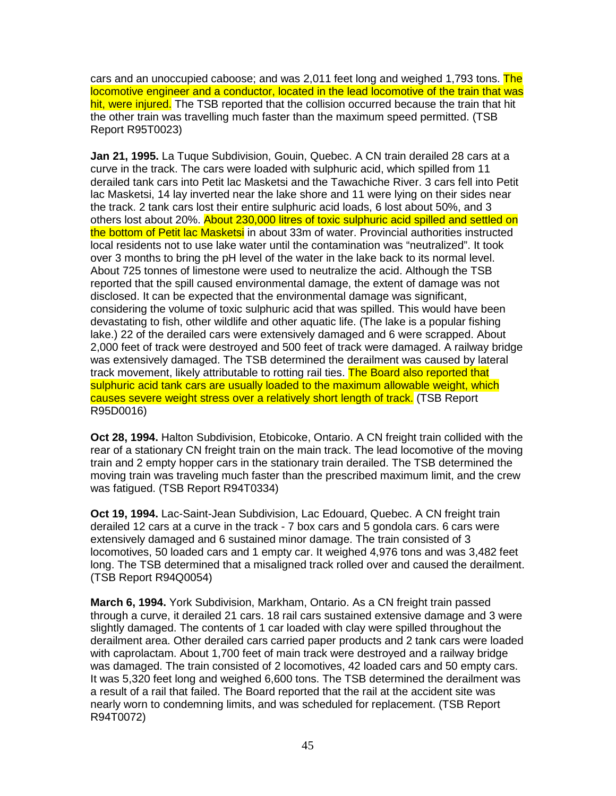cars and an unoccupied caboose; and was 2,011 feet long and weighed 1,793 tons. The locomotive engineer and a conductor, located in the lead locomotive of the train that was hit, were injured. The TSB reported that the collision occurred because the train that hit the other train was travelling much faster than the maximum speed permitted. (TSB Report R95T0023)

**Jan 21, 1995.** La Tuque Subdivision, Gouin, Quebec. A CN train derailed 28 cars at a curve in the track. The cars were loaded with sulphuric acid, which spilled from 11 derailed tank cars into Petit lac Masketsi and the Tawachiche River. 3 cars fell into Petit lac Masketsi, 14 lay inverted near the lake shore and 11 were lying on their sides near the track. 2 tank cars lost their entire sulphuric acid loads, 6 lost about 50%, and 3 others lost about 20%. About 230,000 litres of toxic sulphuric acid spilled and settled on the bottom of Petit lac Masketsi in about 33m of water. Provincial authorities instructed local residents not to use lake water until the contamination was "neutralized". It took over 3 months to bring the pH level of the water in the lake back to its normal level. About 725 tonnes of limestone were used to neutralize the acid. Although the TSB reported that the spill caused environmental damage, the extent of damage was not disclosed. It can be expected that the environmental damage was significant, considering the volume of toxic sulphuric acid that was spilled. This would have been devastating to fish, other wildlife and other aquatic life. (The lake is a popular fishing lake.) 22 of the derailed cars were extensively damaged and 6 were scrapped. About 2,000 feet of track were destroyed and 500 feet of track were damaged. A railway bridge was extensively damaged. The TSB determined the derailment was caused by lateral track movement, likely attributable to rotting rail ties. The Board also reported that sulphuric acid tank cars are usually loaded to the maximum allowable weight, which causes severe weight stress over a relatively short length of track. (TSB Report R95D0016)

**Oct 28, 1994.** Halton Subdivision, Etobicoke, Ontario. A CN freight train collided with the rear of a stationary CN freight train on the main track. The lead locomotive of the moving train and 2 empty hopper cars in the stationary train derailed. The TSB determined the moving train was traveling much faster than the prescribed maximum limit, and the crew was fatigued. (TSB Report R94T0334)

**Oct 19, 1994.** Lac-Saint-Jean Subdivision, Lac Edouard, Quebec. A CN freight train derailed 12 cars at a curve in the track - 7 box cars and 5 gondola cars. 6 cars were extensively damaged and 6 sustained minor damage. The train consisted of 3 locomotives, 50 loaded cars and 1 empty car. It weighed 4,976 tons and was 3,482 feet long. The TSB determined that a misaligned track rolled over and caused the derailment. (TSB Report R94Q0054)

**March 6, 1994.** York Subdivision, Markham, Ontario. As a CN freight train passed through a curve, it derailed 21 cars. 18 rail cars sustained extensive damage and 3 were slightly damaged. The contents of 1 car loaded with clay were spilled throughout the derailment area. Other derailed cars carried paper products and 2 tank cars were loaded with caprolactam. About 1,700 feet of main track were destroyed and a railway bridge was damaged. The train consisted of 2 locomotives, 42 loaded cars and 50 empty cars. It was 5,320 feet long and weighed 6,600 tons. The TSB determined the derailment was a result of a rail that failed. The Board reported that the rail at the accident site was nearly worn to condemning limits, and was scheduled for replacement. (TSB Report R94T0072)